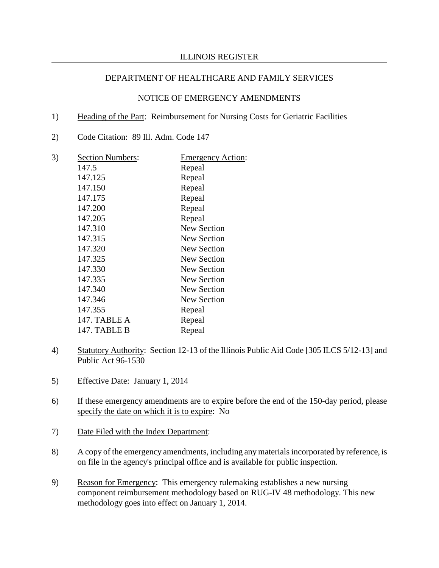- 1) Heading of the Part: Reimbursement for Nursing Costs for Geriatric Facilities
- 2) Code Citation: 89 Ill. Adm. Code 147
- 3) Section Numbers: Emergency Action: 147.5 Repeal 147.125 Repeal 147.150 Repeal 147.175 Repeal<br>147.200 Repeal 147.200 147.205 Repeal 147.310 New Section 147.315 New Section 147.320 New Section 147.325 New Section 147.330 New Section 147.335 New Section 147.340 New Section 147.346 New Section 147.355 Repeal 147. TABLE A Repeal 147. TABLE B Repeal
- 4) Statutory Authority: Section 12-13 of the Illinois Public Aid Code [305 ILCS 5/12-13] and Public Act 96-1530
- 5) Effective Date: January 1, 2014
- 6) If these emergency amendments are to expire before the end of the 150-day period, please specify the date on which it is to expire: No
- 7) Date Filed with the Index Department:
- 8) A copy of the emergency amendments, including any materials incorporated by reference, is on file in the agency's principal office and is available for public inspection.
- 9) Reason for Emergency: This emergency rulemaking establishes a new nursing component reimbursement methodology based on RUG-IV 48 methodology. This new methodology goes into effect on January 1, 2014.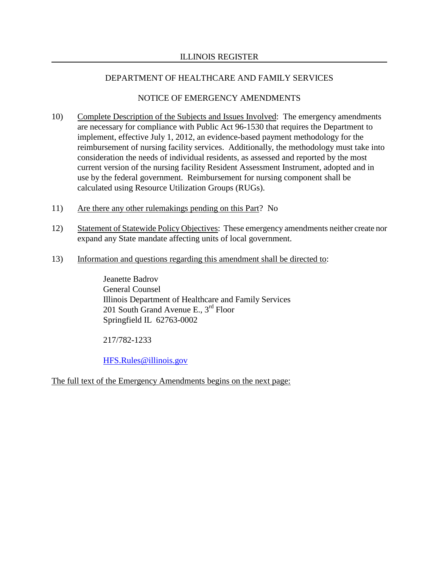### NOTICE OF EMERGENCY AMENDMENTS

- 10) Complete Description of the Subjects and Issues Involved: The emergency amendments are necessary for compliance with Public Act 96-1530 that requires the Department to implement, effective July 1, 2012, an evidence-based payment methodology for the reimbursement of nursing facility services. Additionally, the methodology must take into consideration the needs of individual residents, as assessed and reported by the most current version of the nursing facility Resident Assessment Instrument, adopted and in use by the federal government. Reimbursement for nursing component shall be calculated using Resource Utilization Groups (RUGs).
- 11) Are there any other rulemakings pending on this Part? No
- 12) Statement of Statewide Policy Objectives: These emergency amendments neither create nor expand any State mandate affecting units of local government.
- 13) Information and questions regarding this amendment shall be directed to:

Jeanette Badrov General Counsel Illinois Department of Healthcare and Family Services 201 South Grand Avenue E., 3rd Floor Springfield IL 62763-0002

217/782-1233

[HFS.Rules@illinois.gov](mailto:HFS.Rules@illinois.gov)

The full text of the Emergency Amendments begins on the next page: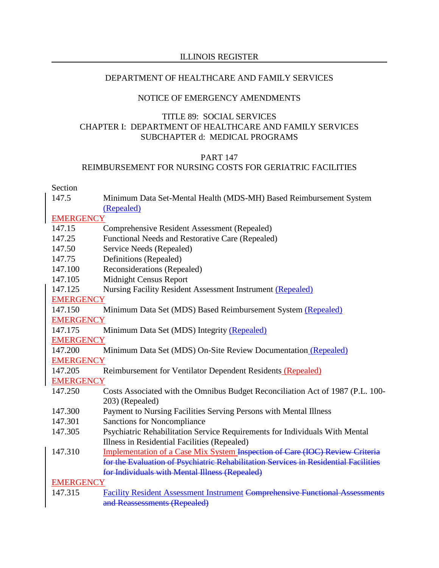### NOTICE OF EMERGENCY AMENDMENTS

### TITLE 89: SOCIAL SERVICES CHAPTER I: DEPARTMENT OF HEALTHCARE AND FAMILY SERVICES SUBCHAPTER d: MEDICAL PROGRAMS

### PART 147

### REIMBURSEMENT FOR NURSING COSTS FOR GERIATRIC FACILITIES

### Section

| 147.5            | Minimum Data Set-Mental Health (MDS-MH) Based Reimbursement System<br>(Repealed)    |  |
|------------------|-------------------------------------------------------------------------------------|--|
| <b>EMERGENCY</b> |                                                                                     |  |
| 147.15           | Comprehensive Resident Assessment (Repealed)                                        |  |
| 147.25           | Functional Needs and Restorative Care (Repealed)                                    |  |
| 147.50           | Service Needs (Repealed)                                                            |  |
| 147.75           | Definitions (Repealed)                                                              |  |
| 147.100          | Reconsiderations (Repealed)                                                         |  |
| 147.105          | <b>Midnight Census Report</b>                                                       |  |
| 147.125          | Nursing Facility Resident Assessment Instrument (Repealed)                          |  |
| <b>EMERGENCY</b> |                                                                                     |  |
| 147.150          | Minimum Data Set (MDS) Based Reimbursement System (Repealed)                        |  |
| <b>EMERGENCY</b> |                                                                                     |  |
| 147.175          | Minimum Data Set (MDS) Integrity (Repealed)                                         |  |
| <b>EMERGENCY</b> |                                                                                     |  |
| 147.200          | Minimum Data Set (MDS) On-Site Review Documentation (Repealed)                      |  |
| <b>EMERGENCY</b> |                                                                                     |  |
| 147.205          | Reimbursement for Ventilator Dependent Residents (Repealed)                         |  |
| <b>EMERGENCY</b> |                                                                                     |  |
| 147.250          | Costs Associated with the Omnibus Budget Reconciliation Act of 1987 (P.L. 100-      |  |
|                  | 203) (Repealed)                                                                     |  |
| 147.300          | Payment to Nursing Facilities Serving Persons with Mental Illness                   |  |
| 147.301          | <b>Sanctions for Noncompliance</b>                                                  |  |
| 147.305          | Psychiatric Rehabilitation Service Requirements for Individuals With Mental         |  |
|                  | Illness in Residential Facilities (Repealed)                                        |  |
| 147.310          | Implementation of a Case Mix System Inspection of Care (IOC) Review Criteria        |  |
|                  | for the Evaluation of Psychiatric Rehabilitation Services in Residential Facilities |  |
|                  | for Individuals with Mental Illness (Repealed)                                      |  |
| <b>EMERGENCY</b> |                                                                                     |  |
| 147.315          | <b>Facility Resident Assessment Instrument Comprehensive Functional Assessments</b> |  |

and Reassessments (Repealed)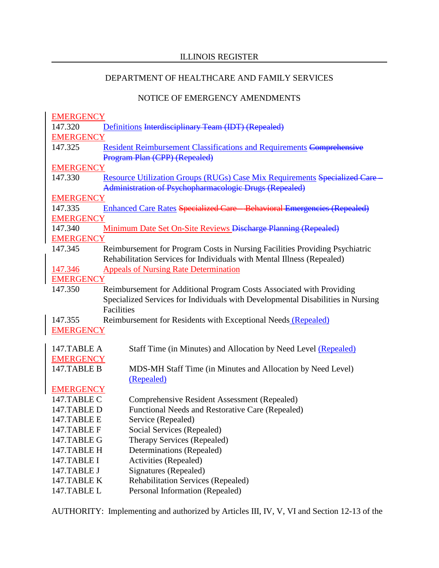# NOTICE OF EMERGENCY AMENDMENTS

| <b>EMERGENCY</b> |                                                                                 |  |
|------------------|---------------------------------------------------------------------------------|--|
| 147.320          | Definitions Interdisciplinary Team (IDT) (Repealed)                             |  |
| <b>EMERGENCY</b> |                                                                                 |  |
| 147.325          | <b>Resident Reimbursement Classifications and Requirements Comprehensive</b>    |  |
|                  | Program Plan (CPP) (Repealed)                                                   |  |
| <b>EMERGENCY</b> |                                                                                 |  |
| 147.330          | Resource Utilization Groups (RUGs) Case Mix Requirements Specialized Care       |  |
|                  | Administration of Psychopharmacologic Drugs (Repealed)                          |  |
| <b>EMERGENCY</b> |                                                                                 |  |
| 147.335          | <b>Enhanced Care Rates Specialized Care - Behavioral Emergencies (Repealed)</b> |  |
| <b>EMERGENCY</b> |                                                                                 |  |
| 147.340          | Minimum Date Set On-Site Reviews Discharge Planning (Repealed)                  |  |
| <b>EMERGENCY</b> |                                                                                 |  |
| 147.345          | Reimbursement for Program Costs in Nursing Facilities Providing Psychiatric     |  |
|                  | Rehabilitation Services for Individuals with Mental Illness (Repealed)          |  |
| 147.346          | <b>Appeals of Nursing Rate Determination</b>                                    |  |
| <b>EMERGENCY</b> |                                                                                 |  |
| 147.350          | Reimbursement for Additional Program Costs Associated with Providing            |  |
|                  | Specialized Services for Individuals with Developmental Disabilities in Nursing |  |
|                  | Facilities                                                                      |  |
| 147.355          | Reimbursement for Residents with Exceptional Needs (Repealed)                   |  |
| <b>EMERGENCY</b> |                                                                                 |  |
|                  |                                                                                 |  |
| 147.TABLE A      | Staff Time (in Minutes) and Allocation by Need Level (Repealed)                 |  |
| <b>EMERGENCY</b> |                                                                                 |  |
| 147.TABLE B      | MDS-MH Staff Time (in Minutes and Allocation by Need Level)                     |  |
|                  | (Repealed)                                                                      |  |
| <b>EMERGENCY</b> |                                                                                 |  |
| 147.TABLE C      | Comprehensive Resident Assessment (Repealed)                                    |  |
| 147.TABLE D      | Functional Needs and Restorative Care (Repealed)                                |  |
| 147.TABLE E      | Service (Repealed)                                                              |  |
| 147.TABLE F      | Social Services (Repealed)                                                      |  |
| 147.TABLE G      | Therapy Services (Repealed)                                                     |  |
| 147.TABLE H      | Determinations (Repealed)                                                       |  |
| 147.TABLE I      | Activities (Repealed)                                                           |  |
| 147.TABLE J      | Signatures (Repealed)                                                           |  |
| 147.TABLE K      | <b>Rehabilitation Services (Repealed)</b>                                       |  |
| 147.TABLE L      | Personal Information (Repealed)                                                 |  |

AUTHORITY: Implementing and authorized by Articles III, IV, V, VI and Section 12-13 of the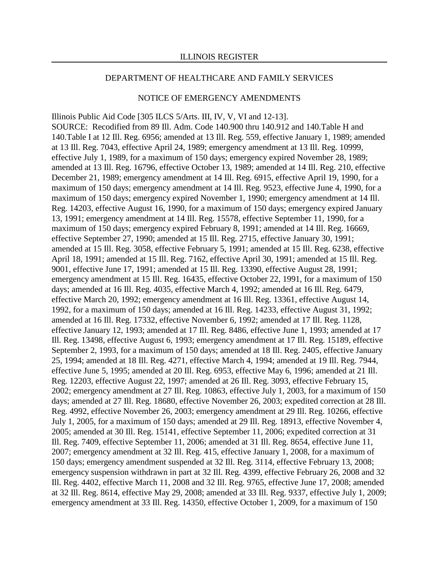#### NOTICE OF EMERGENCY AMENDMENTS

Illinois Public Aid Code [305 ILCS 5/Arts. III, IV, V, VI and 12-13]. SOURCE: Recodified from 89 Ill. Adm. Code 140.900 thru 140.912 and 140.Table H and 140.Table I at 12 Ill. Reg. 6956; amended at 13 Ill. Reg. 559, effective January 1, 1989; amended at 13 Ill. Reg. 7043, effective April 24, 1989; emergency amendment at 13 Ill. Reg. 10999, effective July 1, 1989, for a maximum of 150 days; emergency expired November 28, 1989; amended at 13 Ill. Reg. 16796, effective October 13, 1989; amended at 14 Ill. Reg. 210, effective December 21, 1989; emergency amendment at 14 Ill. Reg. 6915, effective April 19, 1990, for a maximum of 150 days; emergency amendment at 14 Ill. Reg. 9523, effective June 4, 1990, for a maximum of 150 days; emergency expired November 1, 1990; emergency amendment at 14 Ill. Reg. 14203, effective August 16, 1990, for a maximum of 150 days; emergency expired January 13, 1991; emergency amendment at 14 Ill. Reg. 15578, effective September 11, 1990, for a maximum of 150 days; emergency expired February 8, 1991; amended at 14 Ill. Reg. 16669, effective September 27, 1990; amended at 15 Ill. Reg. 2715, effective January 30, 1991; amended at 15 Ill. Reg. 3058, effective February 5, 1991; amended at 15 Ill. Reg. 6238, effective April 18, 1991; amended at 15 Ill. Reg. 7162, effective April 30, 1991; amended at 15 Ill. Reg. 9001, effective June 17, 1991; amended at 15 Ill. Reg. 13390, effective August 28, 1991; emergency amendment at 15 Ill. Reg. 16435, effective October 22, 1991, for a maximum of 150 days; amended at 16 Ill. Reg. 4035, effective March 4, 1992; amended at 16 Ill. Reg. 6479, effective March 20, 1992; emergency amendment at 16 Ill. Reg. 13361, effective August 14, 1992, for a maximum of 150 days; amended at 16 Ill. Reg. 14233, effective August 31, 1992; amended at 16 Ill. Reg. 17332, effective November 6, 1992; amended at 17 Ill. Reg. 1128, effective January 12, 1993; amended at 17 Ill. Reg. 8486, effective June 1, 1993; amended at 17 Ill. Reg. 13498, effective August 6, 1993; emergency amendment at 17 Ill. Reg. 15189, effective September 2, 1993, for a maximum of 150 days; amended at 18 Ill. Reg. 2405, effective January 25, 1994; amended at 18 Ill. Reg. 4271, effective March 4, 1994; amended at 19 Ill. Reg. 7944, effective June 5, 1995; amended at 20 Ill. Reg. 6953, effective May 6, 1996; amended at 21 Ill. Reg. 12203, effective August 22, 1997; amended at 26 Ill. Reg. 3093, effective February 15, 2002; emergency amendment at 27 Ill. Reg. 10863, effective July 1, 2003, for a maximum of 150 days; amended at 27 Ill. Reg. 18680, effective November 26, 2003; expedited correction at 28 Ill. Reg. 4992, effective November 26, 2003; emergency amendment at 29 Ill. Reg. 10266, effective July 1, 2005, for a maximum of 150 days; amended at 29 Ill. Reg. 18913, effective November 4, 2005; amended at 30 Ill. Reg. 15141, effective September 11, 2006; expedited correction at 31 Ill. Reg. 7409, effective September 11, 2006; amended at 31 Ill. Reg. 8654, effective June 11, 2007; emergency amendment at 32 Ill. Reg. 415, effective January 1, 2008, for a maximum of 150 days; emergency amendment suspended at 32 Ill. Reg. 3114, effective February 13, 2008; emergency suspension withdrawn in part at 32 Ill. Reg. 4399, effective February 26, 2008 and 32 Ill. Reg. 4402, effective March 11, 2008 and 32 Ill. Reg. 9765, effective June 17, 2008; amended at 32 Ill. Reg. 8614, effective May 29, 2008; amended at 33 Ill. Reg. 9337, effective July 1, 2009; emergency amendment at 33 Ill. Reg. 14350, effective October 1, 2009, for a maximum of 150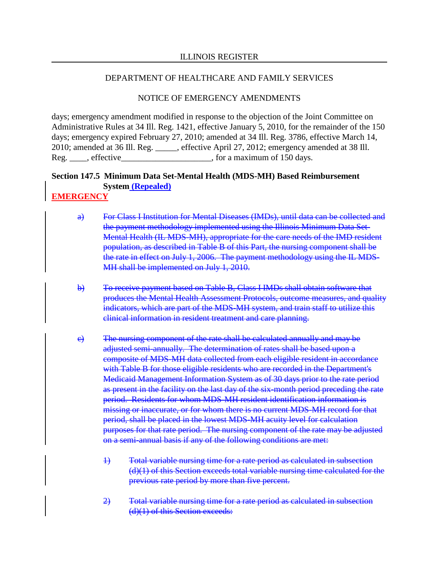### NOTICE OF EMERGENCY AMENDMENTS

days; emergency amendment modified in response to the objection of the Joint Committee on Administrative Rules at 34 Ill. Reg. 1421, effective January 5, 2010, for the remainder of the 150 days; emergency expired February 27, 2010; amended at 34 Ill. Reg. 3786, effective March 14, 2010; amended at 36 Ill. Reg. \_\_\_\_\_, effective April 27, 2012; emergency amended at 38 Ill. Reg. \_\_\_\_, effective\_\_\_\_\_\_\_\_\_\_\_\_\_\_\_\_\_\_\_\_\_\_\_, for a maximum of 150 days.

# **Section 147.5 Minimum Data Set-Mental Health (MDS-MH) Based Reimbursement System (Repealed)**

# **EMERGENCY**

- a) For Class I Institution for Mental Diseases (IMDs), until data can be collected and the payment methodology implemented using the Illinois Minimum Data Set-Mental Health (IL MDS-MH), appropriate for the care needs of the IMD resident population, as described in Table B of this Part, the nursing component shall be the rate in effect on July 1, 2006. The payment methodology using the IL MDS-MH shall be implemented on July 1, 2010.
- b) To receive payment based on Table B, Class I IMDs shall obtain software that produces the Mental Health Assessment Protocols, outcome measures, and quality indicators, which are part of the MDS-MH system, and train staff to utilize this clinical information in resident treatment and care planning.
- c) The nursing component of the rate shall be calculated annually and may be adjusted semi-annually. The determination of rates shall be based upon a composite of MDS-MH data collected from each eligible resident in accordance with Table B for those eligible residents who are recorded in the Department's Medicaid Management Information System as of 30 days prior to the rate period as present in the facility on the last day of the six-month period preceding the rate period. Residents for whom MDS-MH resident identification information is missing or inaccurate, or for whom there is no current MDS-MH record for that period, shall be placed in the lowest MDS-MH acuity level for calculation purposes for that rate period. The nursing component of the rate may be adjusted on a semi-annual basis if any of the following conditions are met:
	- 1) Total variable nursing time for a rate period as calculated in subsection (d)(1) of this Section exceeds total variable nursing time calculated for the previous rate period by more than five percent.
	- 2) Total variable nursing time for a rate period as calculated in subsection (d)(1) of this Section exceeds: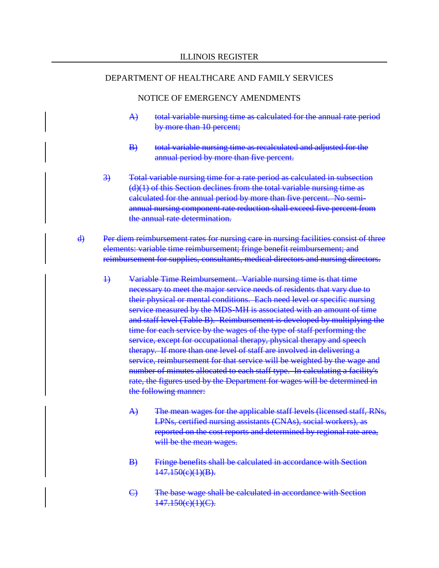- A) total variable nursing time as calculated for the annual rate period by more than 10 percent;
- B) total variable nursing time as recalculated and adjusted for the annual period by more than five percent.
- 3) Total variable nursing time for a rate period as calculated in subsection  $(d)(1)$  of this Section declines from the total variable nursing time as calculated for the annual period by more than five percent. No semiannual nursing component rate reduction shall exceed five percent from the annual rate determination.
- d) Per diem reimbursement rates for nursing care in nursing facilities consist of three elements: variable time reimbursement; fringe benefit reimbursement; and reimbursement for supplies, consultants, medical directors and nursing directors.
	- 1) Variable Time Reimbursement. Variable nursing time is that time necessary to meet the major service needs of residents that vary due to their physical or mental conditions. Each need level or specific nursing service measured by the MDS-MH is associated with an amount of time and staff level (Table B). Reimbursement is developed by multiplying the time for each service by the wages of the type of staff performing the service, except for occupational therapy, physical therapy and speech therapy. If more than one level of staff are involved in delivering a service, reimbursement for that service will be weighted by the wage and number of minutes allocated to each staff type. In calculating a facility's rate, the figures used by the Department for wages will be determined in the following manner:
		- A) The mean wages for the applicable staff levels (licensed staff, RNs, LPNs, certified nursing assistants (CNAs), social workers), as reported on the cost reports and determined by regional rate area, will be the mean wages.
		- B) Fringe benefits shall be calculated in accordance with Section  $147.150(e)(1)(B)$ .
		- C) The base wage shall be calculated in accordance with Section  $147.150(e)(1)(C)$ .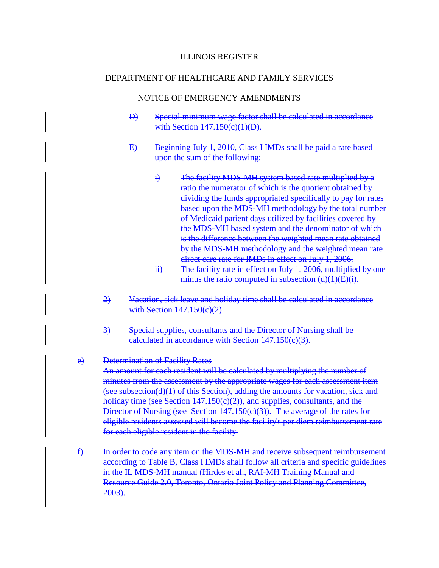#### NOTICE OF EMERGENCY AMENDMENTS

- D) Special minimum wage factor shall be calculated in accordance with Section 147.150(e)(1)(D).
- E) Beginning July 1, 2010, Class I IMDs shall be paid a rate based upon the sum of the following:
	- i) The facility MDS-MH system based rate multiplied by a ratio the numerator of which is the quotient obtained by dividing the funds appropriated specifically to pay for rates based upon the MDS-MH methodology by the total number of Medicaid patient days utilized by facilities covered by the MDS-MH based system and the denominator of which is the difference between the weighted mean rate obtained by the MDS-MH methodology and the weighted mean rate direct care rate for IMDs in effect on July 1, 2006.
	- ii) The facility rate in effect on July 1, 2006, multiplied by one minus the ratio computed in subsection  $(d)(1)(E)(i)$ .
- 2) Vacation, sick leave and holiday time shall be calculated in accordance with Section 147.150(c)(2).
- 3) Special supplies, consultants and the Director of Nursing shall be calculated in accordance with Section 147.150(c)(3).

#### e) Determination of Facility Rates

An amount for each resident will be calculated by multiplying the number of minutes from the assessment by the appropriate wages for each assessment item (see subsection(d)(1) of this Section), adding the amounts for vacation, sick and holiday time (see Section 147.150(c)(2)), and supplies, consultants, and the Director of Nursing (see Section 147.150(c)(3)). The average of the rates for eligible residents assessed will become the facility's per diem reimbursement rate for each eligible resident in the facility.

f) In order to code any item on the MDS-MH and receive subsequent reimbursement according to Table B, Class I IMDs shall follow all criteria and specific guidelines in the IL MDS-MH manual (Hirdes et al., RAI-MH Training Manual and Resource Guide 2.0, Toronto, Ontario Joint Policy and Planning Committee, 2003).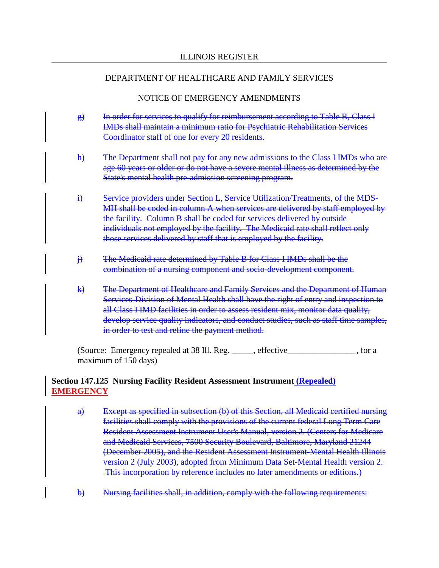### NOTICE OF EMERGENCY AMENDMENTS

- g) In order for services to qualify for reimbursement according to Table B, Class I IMDs shall maintain a minimum ratio for Psychiatric Rehabilitation Services Coordinator staff of one for every 20 residents.
- h) The Department shall not pay for any new admissions to the Class I IMDs who are age 60 years or older or do not have a severe mental illness as determined by the State's mental health pre-admission screening program.
- i) Service providers under Section L, Service Utilization/Treatments, of the MDS-MH shall be coded in column A when services are delivered by staff employed by the facility. Column B shall be coded for services delivered by outside individuals not employed by the facility. The Medicaid rate shall reflect only those services delivered by staff that is employed by the facility.
- j) The Medicaid rate determined by Table B for Class I IMDs shall be the combination of a nursing component and socio-development component.
- k) The Department of Healthcare and Family Services and the Department of Human Services-Division of Mental Health shall have the right of entry and inspection to all Class I IMD facilities in order to assess resident mix, monitor data quality, develop service quality indicators, and conduct studies, such as staff time samples, in order to test and refine the payment method.

(Source: Emergency repealed at 38 Ill. Reg. \_\_\_\_\_, effective\_\_\_\_\_\_\_\_\_\_\_\_\_\_\_\_, for a maximum of 150 days)

### **Section 147.125 Nursing Facility Resident Assessment Instrument (Repealed) EMERGENCY**

- a) Except as specified in subsection (b) of this Section, all Medicaid certified nursing facilities shall comply with the provisions of the current federal Long Term Care Resident Assessment Instrument User's Manual, version 2. (Centers for Medicare and Medicaid Services, 7500 Security Boulevard, Baltimore, Maryland 21244 (December 2005), and the Resident Assessment Instrument-Mental Health Illinois version 2 (July 2003), adopted from Minimum Data Set-Mental Health version 2. This incorporation by reference includes no later amendments or editions.)
- b) Nursing facilities shall, in addition, comply with the following requirements: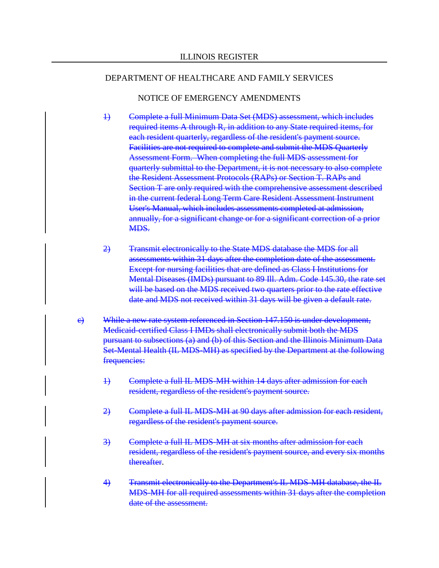- 1) Complete a full Minimum Data Set (MDS) assessment, which includes required items A through R, in addition to any State required items, for each resident quarterly, regardless of the resident's payment source. Facilities are not required to complete and submit the MDS Quarterly Assessment Form. When completing the full MDS assessment for quarterly submittal to the Department, it is not necessary to also complete the Resident Assessment Protocols (RAPs) or Section T. RAPs and Section T are only required with the comprehensive assessment described in the current federal Long Term Care Resident Assessment Instrument User's Manual, which includes assessments completed at admission, annually, for a significant change or for a significant correction of a prior MDS.
- 2) Transmit electronically to the State MDS database the MDS for all assessments within 31 days after the completion date of the assessment. Except for nursing facilities that are defined as Class I Institutions for Mental Diseases (IMDs) pursuant to 89 Ill. Adm. Code 145.30, the rate set will be based on the MDS received two quarters prior to the rate effective date and MDS not received within 31 days will be given a default rate.
- c) While a new rate system referenced in Section 147.150 is under development, Medicaid-certified Class I IMDs shall electronically submit both the MDS pursuant to subsections (a) and (b) of this Section and the Illinois Minimum Data Set-Mental Health (IL MDS-MH) as specified by the Department at the following frequencies:
	- 1) Complete a full IL MDS-MH within 14 days after admission for each resident, regardless of the resident's payment source.
	- 2) Complete a full IL MDS-MH at 90 days after admission for each resident, regardless of the resident's payment source.
	- 3) Complete a full IL MDS-MH at six months after admission for each resident, regardless of the resident's payment source, and every six months thereafter.
	- 4) Transmit electronically to the Department's IL MDS-MH database, the IL MDS-MH for all required assessments within 31 days after the completion date of the assessment.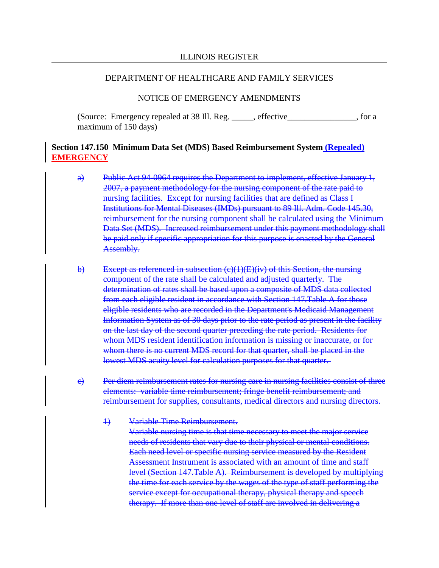#### NOTICE OF EMERGENCY AMENDMENTS

(Source: Emergency repealed at 38 Ill. Reg. \_\_\_\_\_, effective\_\_\_\_\_\_\_\_\_\_\_\_\_\_\_\_, for a maximum of 150 days)

### **Section 147.150 Minimum Data Set (MDS) Based Reimbursement System (Repealed) EMERGENCY**

- a) Public Act 94-0964 requires the Department to implement, effective January 1, 2007, a payment methodology for the nursing component of the rate paid to nursing facilities. Except for nursing facilities that are defined as Class I Institutions for Mental Diseases (IMDs) pursuant to 89 Ill. Adm. Code 145.30, reimbursement for the nursing component shall be calculated using the Minimum Data Set (MDS). Increased reimbursement under this payment methodology shall be paid only if specific appropriation for this purpose is enacted by the General Assembly.
- b) Except as referenced in subsection  $(c)(1)(E)(iv)$  of this Section, the nursing component of the rate shall be calculated and adjusted quarterly. The determination of rates shall be based upon a composite of MDS data collected from each eligible resident in accordance with Section 147.Table A for those eligible residents who are recorded in the Department's Medicaid Management Information System as of 30 days prior to the rate period as present in the facility on the last day of the second quarter preceding the rate period. Residents for whom MDS resident identification information is missing or inaccurate, or for whom there is no current MDS record for that quarter, shall be placed in the lowest MDS acuity level for calculation purposes for that quarter.
- c) Per diem reimbursement rates for nursing care in nursing facilities consist of three elements: variable time reimbursement; fringe benefit reimbursement; and reimbursement for supplies, consultants, medical directors and nursing directors.
	- 1) Variable Time Reimbursement.

Variable nursing time is that time necessary to meet the major service needs of residents that vary due to their physical or mental conditions. Each need level or specific nursing service measured by the Resident Assessment Instrument is associated with an amount of time and staff level (Section 147.Table A). Reimbursement is developed by multiplying the time for each service by the wages of the type of staff performing the service except for occupational therapy, physical therapy and speech therapy. If more than one level of staff are involved in delivering a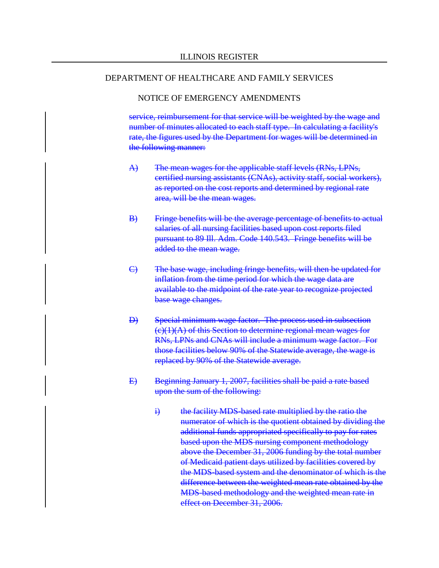#### NOTICE OF EMERGENCY AMENDMENTS

service, reimbursement for that service will be weighted by the wage and number of minutes allocated to each staff type. In calculating a facility's rate, the figures used by the Department for wages will be determined in the following manner:

- A) The mean wages for the applicable staff levels (RNs, LPNs, certified nursing assistants (CNAs), activity staff, social workers), as reported on the cost reports and determined by regional rate area, will be the mean wages.
- B) Fringe benefits will be the average percentage of benefits to actual salaries of all nursing facilities based upon cost reports filed pursuant to 89 Ill. Adm. Code 140.543. Fringe benefits will be added to the mean wage.
- C) The base wage, including fringe benefits, will then be updated for inflation from the time period for which the wage data are available to the midpoint of the rate year to recognize projected base wage changes.
- D) Special minimum wage factor. The process used in subsection  $(c)(1)(A)$  of this Section to determine regional mean wages for RNs, LPNs and CNAs will include a minimum wage factor. For those facilities below 90% of the Statewide average, the wage is replaced by 90% of the Statewide average.
- E) Beginning January 1, 2007, facilities shall be paid a rate based upon the sum of the following:
	- i) the facility MDS-based rate multiplied by the ratio the numerator of which is the quotient obtained by dividing the additional funds appropriated specifically to pay for rates based upon the MDS nursing component methodology above the December 31, 2006 funding by the total number of Medicaid patient days utilized by facilities covered by the MDS-based system and the denominator of which is the difference between the weighted mean rate obtained by the MDS-based methodology and the weighted mean rate in effect on December 31, 2006.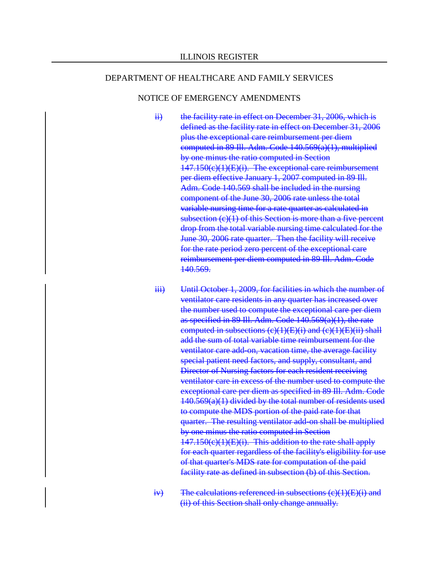- ii) the facility rate in effect on December 31, 2006, which is defined as the facility rate in effect on December 31, 2006 plus the exceptional care reimbursement per diem computed in 89 Ill. Adm. Code 140.569(a)(1), multiplied by one minus the ratio computed in Section 147.150(c)(1)(E)(i). The exceptional care reimbursement per diem effective January 1, 2007 computed in 89 Ill. Adm. Code 140.569 shall be included in the nursing component of the June 30, 2006 rate unless the total variable nursing time for a rate quarter as calculated in subsection (c)(1) of this Section is more than a five percent drop from the total variable nursing time calculated for the June 30, 2006 rate quarter. Then the facility will receive for the rate period zero percent of the exceptional care reimbursement per diem computed in 89 Ill. Adm. Code 140.569.
- iii) Until October 1, 2009, for facilities in which the number of ventilator care residents in any quarter has increased over the number used to compute the exceptional care per diem as specified in 89 Ill. Adm. Code 140.569(a)(1), the rate computed in subsections  $(c)(1)(E)(i)$  and  $(c)(1)(E)(ii)$  shall add the sum of total variable time reimbursement for the ventilator care add-on, vacation time, the average facility special patient need factors, and supply, consultant, and Director of Nursing factors for each resident receiving ventilator care in excess of the number used to compute the exceptional care per diem as specified in 89 Ill. Adm. Code 140.569(a)(1) divided by the total number of residents used to compute the MDS portion of the paid rate for that quarter. The resulting ventilator add-on shall be multiplied by one minus the ratio computed in Section 147.150(c)(1)(E)(i). This addition to the rate shall apply for each quarter regardless of the facility's eligibility for use of that quarter's MDS rate for computation of the paid facility rate as defined in subsection (b) of this Section.
- $iv)$  The calculations referenced in subsections  $(c)(1)(E)(i)$  and (ii) of this Section shall only change annually.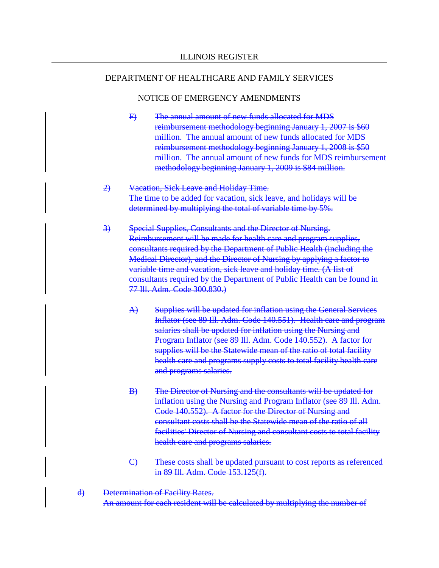- F) The annual amount of new funds allocated for MDS reimbursement methodology beginning January 1, 2007 is \$60 million. The annual amount of new funds allocated for MDS reimbursement methodology beginning January 1, 2008 is \$50 million. The annual amount of new funds for MDS reimbursement methodology beginning January 1, 2009 is \$84 million.
- 2) Vacation, Sick Leave and Holiday Time. The time to be added for vacation, sick leave, and holidays will be determined by multiplying the total of variable time by 5%.
- 3) Special Supplies, Consultants and the Director of Nursing. Reimbursement will be made for health care and program supplies, consultants required by the Department of Public Health (including the Medical Director), and the Director of Nursing by applying a factor to variable time and vacation, sick leave and holiday time. (A list of consultants required by the Department of Public Health can be found in 77 Ill. Adm. Code 300.830.)
	- A) Supplies will be updated for inflation using the General Services Inflator (see 89 Ill. Adm. Code 140.551). Health care and program salaries shall be updated for inflation using the Nursing and Program Inflator (see 89 Ill. Adm. Code 140.552). A factor for supplies will be the Statewide mean of the ratio of total facility health care and programs supply costs to total facility health care and programs salaries.
	- B) The Director of Nursing and the consultants will be updated for inflation using the Nursing and Program Inflator (see 89 Ill. Adm. Code 140.552). A factor for the Director of Nursing and consultant costs shall be the Statewide mean of the ratio of all facilities' Director of Nursing and consultant costs to total facility health care and programs salaries.
	- C) These costs shall be updated pursuant to cost reports as referenced in 89 Ill. Adm. Code 153.125(f).
- d) Determination of Facility Rates. An amount for each resident will be calculated by multiplying the number of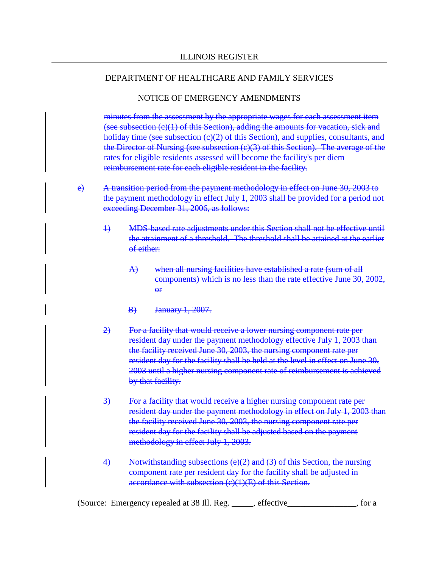### NOTICE OF EMERGENCY AMENDMENTS

minutes from the assessment by the appropriate wages for each assessment item (see subsection (c)(1) of this Section), adding the amounts for vacation, sick and holiday time (see subsection (c)(2) of this Section), and supplies, consultants, and the Director of Nursing (see subsection (c)(3) of this Section). The average of the rates for eligible residents assessed will become the facility's per diem reimbursement rate for each eligible resident in the facility.

- e) A transition period from the payment methodology in effect on June 30, 2003 to the payment methodology in effect July 1, 2003 shall be provided for a period not exceeding December 31, 2006, as follows:
	- 1) MDS-based rate adjustments under this Section shall not be effective until the attainment of a threshold. The threshold shall be attained at the earlier of either:
		- A) when all nursing facilities have established a rate (sum of all components) which is no less than the rate effective June 30, 2002,  $\theta$ <sup>r</sup>
		- B) January 1, 2007.
	- 2) For a facility that would receive a lower nursing component rate per resident day under the payment methodology effective July 1, 2003 than the facility received June 30, 2003, the nursing component rate per resident day for the facility shall be held at the level in effect on June 30, 2003 until a higher nursing component rate of reimbursement is achieved by that facility.
	- 3) For a facility that would receive a higher nursing component rate per resident day under the payment methodology in effect on July 1, 2003 than the facility received June 30, 2003, the nursing component rate per resident day for the facility shall be adjusted based on the payment methodology in effect July 1, 2003.
	- 4) Notwithstanding subsections (e)(2) and (3) of this Section, the nursing component rate per resident day for the facility shall be adjusted in accordance with subsection (c)(1)(E) of this Section.

(Source: Emergency repealed at 38 Ill. Reg. \_\_\_\_\_, effective\_\_\_\_\_\_\_\_\_\_\_\_\_\_\_\_, for a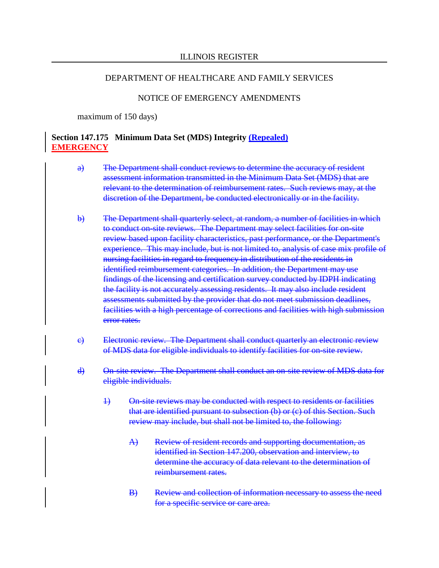### NOTICE OF EMERGENCY AMENDMENTS

maximum of 150 days)

### **Section 147.175 Minimum Data Set (MDS) Integrity (Repealed) EMERGENCY**

- a) The Department shall conduct reviews to determine the accuracy of resident assessment information transmitted in the Minimum Data Set (MDS) that are relevant to the determination of reimbursement rates. Such reviews may, at the discretion of the Department, be conducted electronically or in the facility.
- b) The Department shall quarterly select, at random, a number of facilities in which to conduct on-site reviews. The Department may select facilities for on-site review based upon facility characteristics, past performance, or the Department's experience. This may include, but is not limited to, analysis of case mix profile of nursing facilities in regard to frequency in distribution of the residents in identified reimbursement categories. In addition, the Department may use findings of the licensing and certification survey conducted by IDPH indicating the facility is not accurately assessing residents. It may also include resident assessments submitted by the provider that do not meet submission deadlines, facilities with a high percentage of corrections and facilities with high submission error rates.
- c) Electronic review. The Department shall conduct quarterly an electronic review of MDS data for eligible individuals to identify facilities for on-site review.
- d) On-site review. The Department shall conduct an on-site review of MDS data for eligible individuals.
	- 1) On-site reviews may be conducted with respect to residents or facilities that are identified pursuant to subsection (b) or (c) of this Section. Such review may include, but shall not be limited to, the following:
		- A) Review of resident records and supporting documentation, as identified in Section 147.200, observation and interview, to determine the accuracy of data relevant to the determination of reimbursement rates.
		- B) Review and collection of information necessary to assess the need for a specific service or care area.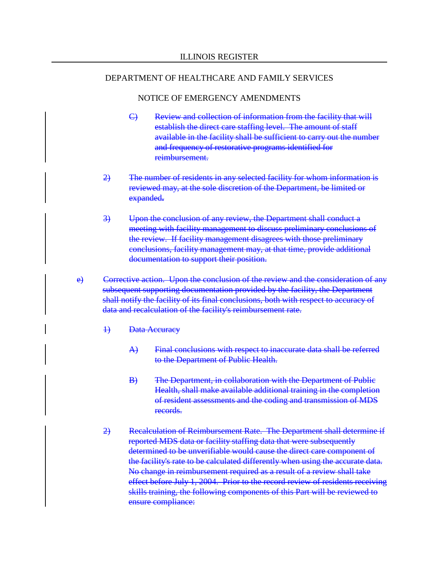- C) Review and collection of information from the facility that will establish the direct care staffing level. The amount of staff available in the facility shall be sufficient to carry out the number and frequency of restorative programs identified for reimbursement.
- 2) The number of residents in any selected facility for whom information is reviewed may, at the sole discretion of the Department, be limited or expanded**.**
- 3) Upon the conclusion of any review, the Department shall conduct a meeting with facility management to discuss preliminary conclusions of the review. If facility management disagrees with those preliminary conclusions, facility management may, at that time, provide additional documentation to support their position.
- e) Corrective action. Upon the conclusion of the review and the consideration of any subsequent supporting documentation provided by the facility, the Department shall notify the facility of its final conclusions, both with respect to accuracy of data and recalculation of the facility's reimbursement rate.
	- 1) Data Accuracy
		- A) Final conclusions with respect to inaccurate data shall be referred to the Department of Public Health.
		- B) The Department, in collaboration with the Department of Public Health, shall make available additional training in the completion of resident assessments and the coding and transmission of MDS records.
	- 2) Recalculation of Reimbursement Rate. The Department shall determine if reported MDS data or facility staffing data that were subsequently determined to be unverifiable would cause the direct care component of the facility's rate to be calculated differently when using the accurate data. No change in reimbursement required as a result of a review shall take effect before July 1, 2004. Prior to the record review of residents receiving skills training, the following components of this Part will be reviewed to ensure compliance: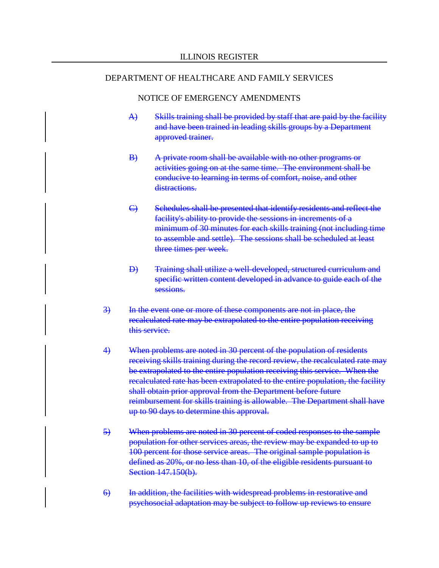- A) Skills training shall be provided by staff that are paid by the facility and have been trained in leading skills groups by a Department approved trainer.
- B) A private room shall be available with no other programs or activities going on at the same time. The environment shall be conducive to learning in terms of comfort, noise, and other distractions.
- C) Schedules shall be presented that identify residents and reflect the facility's ability to provide the sessions in increments of a minimum of 30 minutes for each skills training (not including time to assemble and settle). The sessions shall be scheduled at least three times per week.
- D) Training shall utilize a well-developed, structured curriculum and specific written content developed in advance to guide each of the sessions.
- 3) In the event one or more of these components are not in place, the recalculated rate may be extrapolated to the entire population receiving this service.
- 4) When problems are noted in 30 percent of the population of residents receiving skills training during the record review, the recalculated rate may be extrapolated to the entire population receiving this service. When the recalculated rate has been extrapolated to the entire population, the facility shall obtain prior approval from the Department before future reimbursement for skills training is allowable. The Department shall have up to 90 days to determine this approval.
- 5) When problems are noted in 30 percent of coded responses to the sample population for other services areas, the review may be expanded to up to 100 percent for those service areas. The original sample population is defined as 20%, or no less than 10, of the eligible residents pursuant to Section 147.150(b).
- 6) In addition, the facilities with widespread problems in restorative and psychosocial adaptation may be subject to follow up reviews to ensure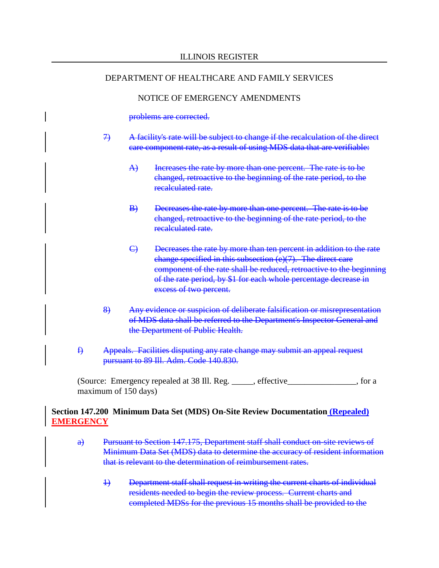### NOTICE OF EMERGENCY AMENDMENTS

problems are corrected.

- 7) A facility's rate will be subject to change if the recalculation of the direct care component rate, as a result of using MDS data that are verifiable:
	- A) Increases the rate by more than one percent. The rate is to be changed, retroactive to the beginning of the rate period, to the recalculated rate.
	- B) Decreases the rate by more than one percent. The rate is to be changed, retroactive to the beginning of the rate period, to the recalculated rate.
	- C) Decreases the rate by more than ten percent in addition to the rate change specified in this subsection (e)(7). The direct care component of the rate shall be reduced, retroactive to the beginning of the rate period, by \$1 for each whole percentage decrease in excess of two percent.
- 8) Any evidence or suspicion of deliberate falsification or misrepresentation of MDS data shall be referred to the Department's Inspector General and the Department of Public Health.
- f) Appeals. Facilities disputing any rate change may submit an appeal request pursuant to 89 Ill. Adm. Code 140.830.

(Source: Emergency repealed at 38 Ill. Reg. \_\_\_\_\_, effective\_\_\_\_\_\_\_\_\_\_\_\_\_\_\_\_, for a maximum of 150 days)

### **Section 147.200 Minimum Data Set (MDS) On-Site Review Documentation (Repealed) EMERGENCY**

- a) Pursuant to Section 147.175, Department staff shall conduct on-site reviews of Minimum Data Set (MDS) data to determine the accuracy of resident information that is relevant to the determination of reimbursement rates.
	- 1) Department staff shall request in writing the current charts of individual residents needed to begin the review process. Current charts and completed MDSs for the previous 15 months shall be provided to the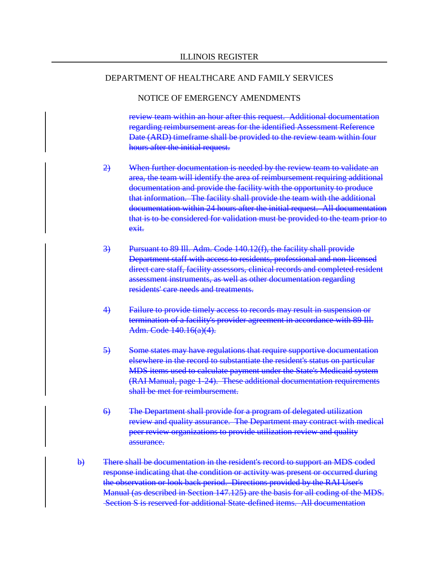### NOTICE OF EMERGENCY AMENDMENTS

review team within an hour after this request. Additional documentation regarding reimbursement areas for the identified Assessment Reference Date (ARD) timeframe shall be provided to the review team within four hours after the initial request.

- 2) When further documentation is needed by the review team to validate an area, the team will identify the area of reimbursement requiring additional documentation and provide the facility with the opportunity to produce that information. The facility shall provide the team with the additional documentation within 24 hours after the initial request. All documentation that is to be considered for validation must be provided to the team prior to exit.
- 3) Pursuant to 89 Ill. Adm. Code 140.12(f), the facility shall provide Department staff with access to residents, professional and non-licensed direct care staff, facility assessors, clinical records and completed resident assessment instruments, as well as other documentation regarding residents' care needs and treatments.
- 4) Failure to provide timely access to records may result in suspension or termination of a facility's provider agreement in accordance with 89 Ill. Adm. Code 140.16(a)(4).
- 5) Some states may have regulations that require supportive documentation elsewhere in the record to substantiate the resident's status on particular MDS items used to calculate payment under the State's Medicaid system (RAI Manual, page 1-24). These additional documentation requirements shall be met for reimbursement.
- 6) The Department shall provide for a program of delegated utilization review and quality assurance. The Department may contract with medical peer review organizations to provide utilization review and quality assurance.
- b) There shall be documentation in the resident's record to support an MDS coded response indicating that the condition or activity was present or occurred during the observation or look back period. Directions provided by the RAI User's Manual (as described in Section 147.125) are the basis for all coding of the MDS. Section S is reserved for additional State-defined items. All documentation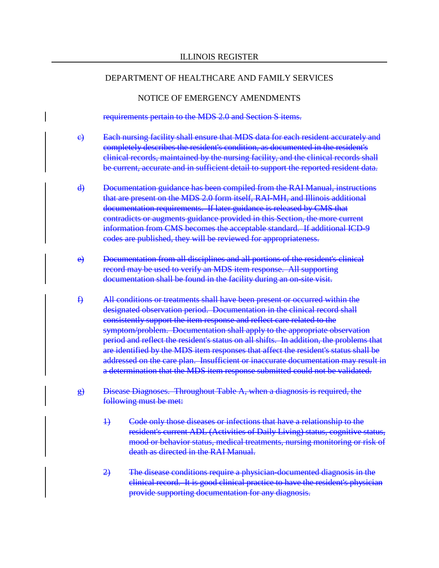#### NOTICE OF EMERGENCY AMENDMENTS

requirements pertain to the MDS 2.0 and Section S items.

- c) Each nursing facility shall ensure that MDS data for each resident accurately and completely describes the resident's condition, as documented in the resident's clinical records, maintained by the nursing facility, and the clinical records shall be current, accurate and in sufficient detail to support the reported resident data.
- d) Documentation guidance has been compiled from the RAI Manual, instructions that are present on the MDS 2.0 form itself, RAI-MH, and Illinois additional documentation requirements. If later guidance is released by CMS that contradicts or augments guidance provided in this Section, the more current information from CMS becomes the acceptable standard. If additional ICD-9 codes are published, they will be reviewed for appropriateness.
- e) Documentation from all disciplines and all portions of the resident's clinical record may be used to verify an MDS item response. All supporting documentation shall be found in the facility during an on-site visit.
- f) All conditions or treatments shall have been present or occurred within the designated observation period. Documentation in the clinical record shall consistently support the item response and reflect care related to the symptom/problem. Documentation shall apply to the appropriate observation period and reflect the resident's status on all shifts. In addition, the problems that are identified by the MDS item responses that affect the resident's status shall be addressed on the care plan. Insufficient or inaccurate documentation may result in a determination that the MDS item response submitted could not be validated.
- g) Disease Diagnoses. Throughout Table A, when a diagnosis is required, the following must be met:
	- 1) Code only those diseases or infections that have a relationship to the resident's current ADL (Activities of Daily Living) status, cognitive status, mood or behavior status, medical treatments, nursing monitoring or risk of death as directed in the RAI Manual.
	- 2) The disease conditions require a physician-documented diagnosis in the clinical record. It is good clinical practice to have the resident's physician provide supporting documentation for any diagnosis.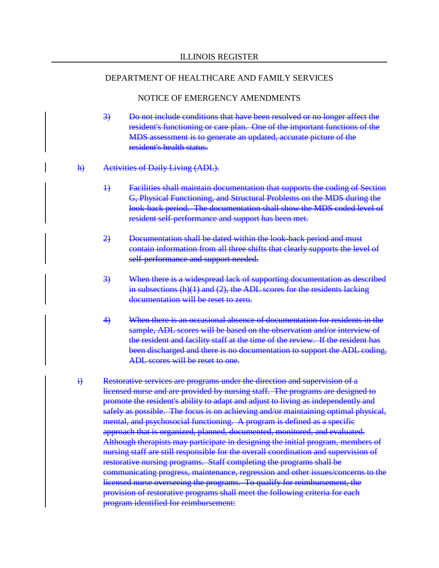- 3) Do not include conditions that have been resolved or no longer affect the resident's functioning or care plan. One of the important functions of the MDS assessment is to generate an updated, accurate picture of the resident's health status.
- h) Activities of Daily Living (ADL).
	- 1) Facilities shall maintain documentation that supports the coding of Section G, Physical Functioning, and Structural Problems on the MDS during the look-back period. The documentation shall show the MDS coded level of resident self-performance and support has been met.
	- 2) Documentation shall be dated within the look-back period and must contain information from all three shifts that clearly supports the level of self-performance and support needed.
	- 3) When there is a widespread lack of supporting documentation as described in subsections (h)(1) and (2), the ADL scores for the residents lacking documentation will be reset to zero.
	- 4) When there is an occasional absence of documentation for residents in the sample, ADL scores will be based on the observation and/or interview of the resident and facility staff at the time of the review. If the resident has been discharged and there is no documentation to support the ADL coding, ADL scores will be reset to one.
- i) Restorative services are programs under the direction and supervision of a licensed nurse and are provided by nursing staff. The programs are designed to promote the resident's ability to adapt and adjust to living as independently and safely as possible. The focus is on achieving and/or maintaining optimal physical, mental, and psychosocial functioning. A program is defined as a specific approach that is organized, planned, documented, monitored, and evaluated. Although therapists may participate in designing the initial program, members of nursing staff are still responsible for the overall coordination and supervision of restorative nursing programs. Staff completing the programs shall be communicating progress, maintenance, regression and other issues/concerns to the licensed nurse overseeing the programs. To qualify for reimbursement, the provision of restorative programs shall meet the following criteria for each program identified for reimbursement: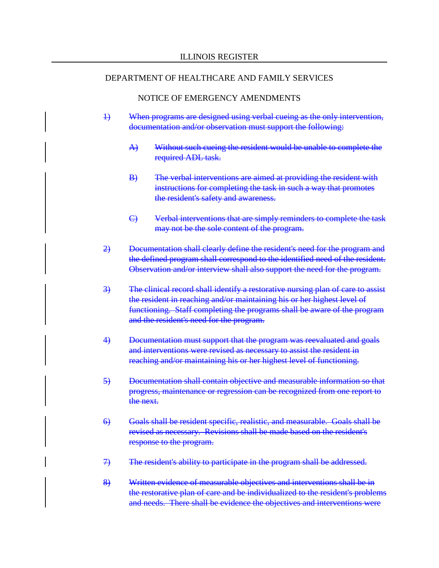- 1) When programs are designed using verbal cueing as the only intervention, documentation and/or observation must support the following:
	- A) Without such cueing the resident would be unable to complete the required ADL task.
	- B) The verbal interventions are aimed at providing the resident with instructions for completing the task in such a way that promotes the resident's safety and awareness.
	- C) Verbal interventions that are simply reminders to complete the task may not be the sole content of the program.
- 2) Documentation shall clearly define the resident's need for the program and the defined program shall correspond to the identified need of the resident. Observation and/or interview shall also support the need for the program.
- 3) The clinical record shall identify a restorative nursing plan of care to assist the resident in reaching and/or maintaining his or her highest level of functioning. Staff completing the programs shall be aware of the program and the resident's need for the program.
- 4) Documentation must support that the program was reevaluated and goals and interventions were revised as necessary to assist the resident in reaching and/or maintaining his or her highest level of functioning.
- 5) Documentation shall contain objective and measurable information so that progress, maintenance or regression can be recognized from one report to the next.
- 6) Goals shall be resident specific, realistic, and measurable. Goals shall be revised as necessary. Revisions shall be made based on the resident's response to the program.
- 7) The resident's ability to participate in the program shall be addressed.
- 8) Written evidence of measurable objectives and interventions shall be in the restorative plan of care and be individualized to the resident's problems and needs. There shall be evidence the objectives and interventions were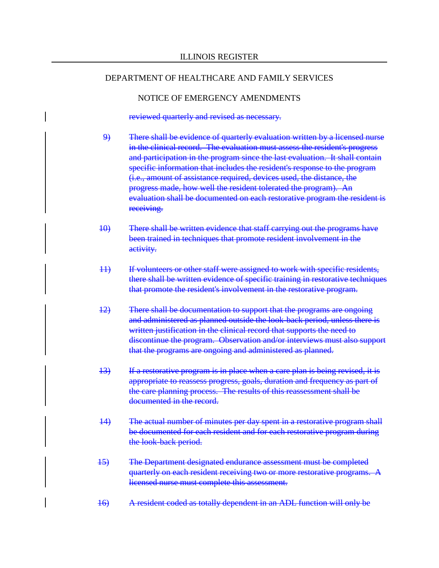#### NOTICE OF EMERGENCY AMENDMENTS

reviewed quarterly and revised as necessary.

- 9) There shall be evidence of quarterly evaluation written by a licensed nurse in the clinical record. The evaluation must assess the resident's progress and participation in the program since the last evaluation. It shall contain specific information that includes the resident's response to the program (i.e., amount of assistance required, devices used, the distance, the progress made, how well the resident tolerated the program). An evaluation shall be documented on each restorative program the resident is receiving.
- 10) There shall be written evidence that staff carrying out the programs have been trained in techniques that promote resident involvement in the activity.
- 11) If volunteers or other staff were assigned to work with specific residents, there shall be written evidence of specific training in restorative techniques that promote the resident's involvement in the restorative program.
- 12) There shall be documentation to support that the programs are ongoing and administered as planned outside the look-back period, unless there is written justification in the clinical record that supports the need to discontinue the program. Observation and/or interviews must also support that the programs are ongoing and administered as planned.
- 13) If a restorative program is in place when a care plan is being revised, it is appropriate to reassess progress, goals, duration and frequency as part of the care planning process. The results of this reassessment shall be documented in the record.
- 14) The actual number of minutes per day spent in a restorative program shall be documented for each resident and for each restorative program during the look-back period.
- 15) The Department designated endurance assessment must be completed quarterly on each resident receiving two or more restorative programs. A licensed nurse must complete this assessment.
- 16) A resident coded as totally dependent in an ADL function will only be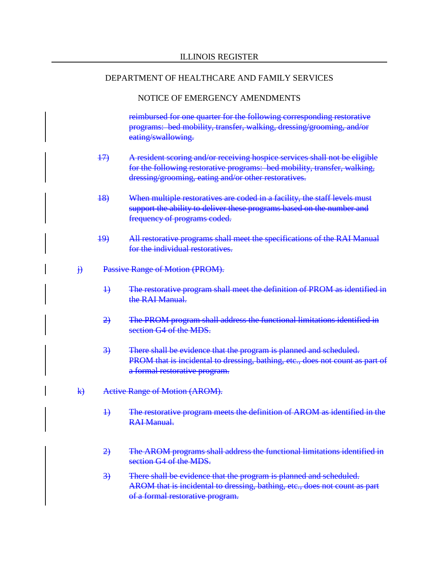### NOTICE OF EMERGENCY AMENDMENTS

reimbursed for one quarter for the following corresponding restorative programs: bed mobility, transfer, walking, dressing/grooming, and/or eating/swallowing.

- 17) A resident scoring and/or receiving hospice services shall not be eligible for the following restorative programs: bed mobility, transfer, walking, dressing/grooming, eating and/or other restoratives.
- 18) When multiple restoratives are coded in a facility, the staff levels must support the ability to deliver these programs based on the number and frequency of programs coded.
- 19) All restorative programs shall meet the specifications of the RAI Manual for the individual restoratives.
- j) Passive Range of Motion (PROM).
	- 1) The restorative program shall meet the definition of PROM as identified in the RAI Manual.
	- 2) The PROM program shall address the functional limitations identified in section G4 of the MDS.
	- 3) There shall be evidence that the program is planned and scheduled. PROM that is incidental to dressing, bathing, etc., does not count as part of a formal restorative program.
- k) Active Range of Motion (AROM).
	- 1) The restorative program meets the definition of AROM as identified in the RAI Manual.
	- 2) The AROM programs shall address the functional limitations identified in section G4 of the MDS.
	- 3) There shall be evidence that the program is planned and scheduled. AROM that is incidental to dressing, bathing, etc., does not count as part of a formal restorative program.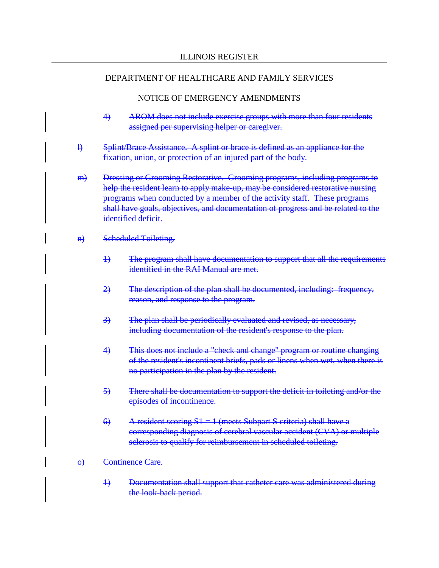- 4) AROM does not include exercise groups with more than four residents assigned per supervising helper or caregiver.
- l) Splint/Brace Assistance. A splint or brace is defined as an appliance for the fixation, union, or protection of an injured part of the body.
- m) Dressing or Grooming Restorative. Grooming programs, including programs to help the resident learn to apply make-up, may be considered restorative nursing programs when conducted by a member of the activity staff. These programs shall have goals, objectives, and documentation of progress and be related to the identified deficit.
- n) Scheduled Toileting.
	- 1) The program shall have documentation to support that all the requirements identified in the RAI Manual are met.
	- 2) The description of the plan shall be documented, including: frequency, reason, and response to the program.
	- 3) The plan shall be periodically evaluated and revised, as necessary, including documentation of the resident's response to the plan.
	- 4) This does not include a "check and change" program or routine changing of the resident's incontinent briefs, pads or linens when wet, when there is no participation in the plan by the resident.
	- 5) There shall be documentation to support the deficit in toileting and/or the episodes of incontinence.
	- 6) A resident scoring  $S1 = 1$  (meets Subpart S criteria) shall have a corresponding diagnosis of cerebral vascular accident (CVA) or multiple sclerosis to qualify for reimbursement in scheduled toileting.
- o) Continence Care.
	- 1) Documentation shall support that catheter care was administered during the look-back period.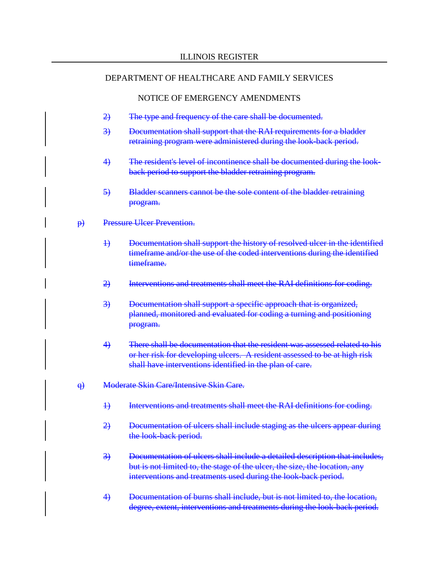- 2) The type and frequency of the care shall be documented.
- 3) Documentation shall support that the RAI requirements for a bladder retraining program were administered during the look-back period.
- 4) The resident's level of incontinence shall be documented during the lookback period to support the bladder retraining program.
- 5) Bladder scanners cannot be the sole content of the bladder retraining program.
- p) Pressure Ulcer Prevention.
	- 1) Documentation shall support the history of resolved ulcer in the identified timeframe and/or the use of the coded interventions during the identified timeframe.
	- 2) Interventions and treatments shall meet the RAI definitions for coding.
	- 3) Documentation shall support a specific approach that is organized, planned, monitored and evaluated for coding a turning and positioning program.
	- 4) There shall be documentation that the resident was assessed related to his or her risk for developing ulcers. A resident assessed to be at high risk shall have interventions identified in the plan of care.
- q) Moderate Skin Care/Intensive Skin Care.
	- 1) Interventions and treatments shall meet the RAI definitions for coding.
	- 2) Documentation of ulcers shall include staging as the ulcers appear during the look-back period.
	- 3) Documentation of ulcers shall include a detailed description that includes, but is not limited to, the stage of the ulcer, the size, the location, any interventions and treatments used during the look-back period.
	- 4) Documentation of burns shall include, but is not limited to, the location, degree, extent, interventions and treatments during the look-back period.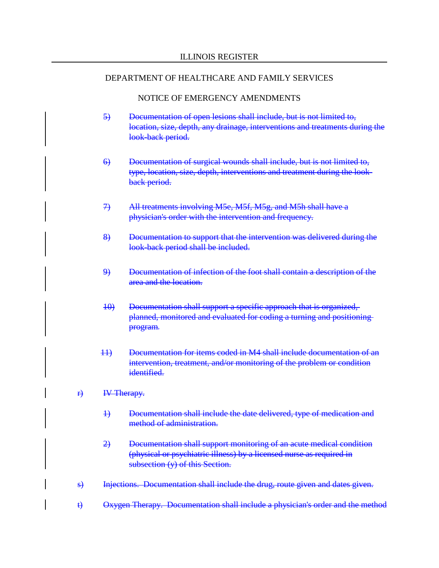- 5) Documentation of open lesions shall include, but is not limited to, location, size, depth, any drainage, interventions and treatments during the look-back period.
- 6) Documentation of surgical wounds shall include, but is not limited to, type, location, size, depth, interventions and treatment during the lookback period.
- 7) All treatments involving M5e, M5f, M5g, and M5h shall have a physician's order with the intervention and frequency.
- 8) Documentation to support that the intervention was delivered during the look-back period shall be included.
- 9) Documentation of infection of the foot shall contain a description of the area and the location.
- 10) Documentation shall support a specific approach that is organized, planned, monitored and evaluated for coding a turning and positioning program.
- 11) Documentation for items coded in M4 shall include documentation of an intervention, treatment, and/or monitoring of the problem or condition identified.
- r) IV Therapy.
	- 1) Documentation shall include the date delivered, type of medication and method of administration.
	- 2) Documentation shall support monitoring of an acute medical condition (physical or psychiatric illness) by a licensed nurse as required in subsection (y) of this Section.
- s) Injections. Documentation shall include the drug, route given and dates given.
- t) Oxygen Therapy. Documentation shall include a physician's order and the method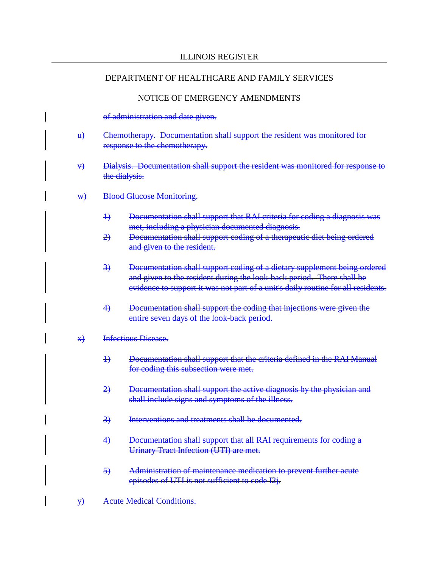### NOTICE OF EMERGENCY AMENDMENTS

### of administration and date given.

- u) Chemotherapy. Documentation shall support the resident was monitored for response to the chemotherapy.
- v) Dialysis. Documentation shall support the resident was monitored for response to the dialysis.
- w) Blood Glucose Monitoring.
	- 1) Documentation shall support that RAI criteria for coding a diagnosis was met, including a physician documented diagnosis.
	- 2) Documentation shall support coding of a therapeutic diet being ordered and given to the resident.
	- 3) Documentation shall support coding of a dietary supplement being ordered and given to the resident during the look-back period. There shall be evidence to support it was not part of a unit's daily routine for all residents.
	- 4) Documentation shall support the coding that injections were given the entire seven days of the look-back period.

### x) Infectious Disease.

- 1) Documentation shall support that the criteria defined in the RAI Manual for coding this subsection were met.
- 2) Documentation shall support the active diagnosis by the physician and shall include signs and symptoms of the illness.
- 3) Interventions and treatments shall be documented.
- 4) Documentation shall support that all RAI requirements for coding a Urinary Tract Infection (UTI) are met.
- 5) Administration of maintenance medication to prevent further acute episodes of UTI is not sufficient to code I2j.
- y) Acute Medical Conditions.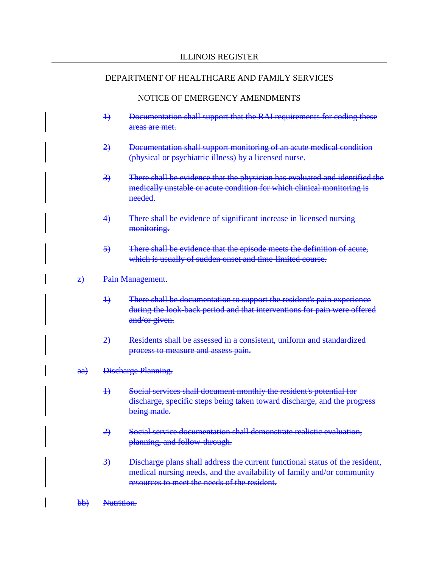- 1) Documentation shall support that the RAI requirements for coding these areas are met.
- 2) Documentation shall support monitoring of an acute medical condition (physical or psychiatric illness) by a licensed nurse.
- 3) There shall be evidence that the physician has evaluated and identified the medically unstable or acute condition for which clinical monitoring is needed.
- 4) There shall be evidence of significant increase in licensed nursing monitoring.
- 5) There shall be evidence that the episode meets the definition of acute, which is usually of sudden onset and time-limited course.
- z) Pain Management.
	- 1) There shall be documentation to support the resident's pain experience during the look-back period and that interventions for pain were offered and/or given.
	- 2) Residents shall be assessed in a consistent, uniform and standardized process to measure and assess pain.
- aa) Discharge Planning.
	- 1) Social services shall document monthly the resident's potential for discharge, specific steps being taken toward discharge, and the progress being made.
	- 2) Social service documentation shall demonstrate realistic evaluation, planning, and follow-through.
	- 3) Discharge plans shall address the current functional status of the resident, medical nursing needs, and the availability of family and/or community resources to meet the needs of the resident.
- bb) Nutrition.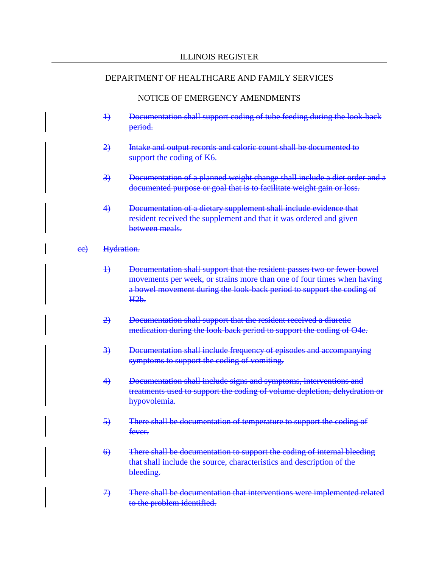- 1) Documentation shall support coding of tube feeding during the look-back period.
- 2) Intake and output records and caloric count shall be documented to support the coding of K6.
- 3) Documentation of a planned weight change shall include a diet order and a documented purpose or goal that is to facilitate weight gain or loss.
- 4) Documentation of a dietary supplement shall include evidence that resident received the supplement and that it was ordered and given between meals.
- ee) Hydration.
	- 1) Documentation shall support that the resident passes two or fewer bowel movements per week, or strains more than one of four times when having a bowel movement during the look-back period to support the coding of H2b.
	- 2) Documentation shall support that the resident received a diuretic medication during the look-back period to support the coding of O4e.
	- 3) Documentation shall include frequency of episodes and accompanying symptoms to support the coding of vomiting.
	- 4) Documentation shall include signs and symptoms, interventions and treatments used to support the coding of volume depletion, dehydration or hypovolemia.
	- 5) There shall be documentation of temperature to support the coding of fever.
	- 6) There shall be documentation to support the coding of internal bleeding that shall include the source, characteristics and description of the bleeding.
	- 7) There shall be documentation that interventions were implemented related to the problem identified.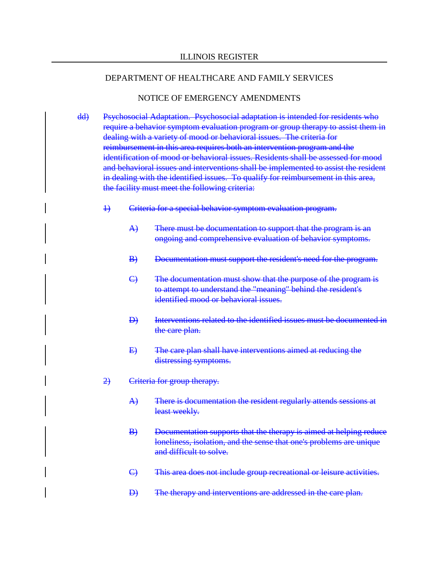- dd) Psychosocial Adaptation. Psychosocial adaptation is intended for residents who require a behavior symptom evaluation program or group therapy to assist them in dealing with a variety of mood or behavioral issues. The criteria for reimbursement in this area requires both an intervention program and the identification of mood or behavioral issues. Residents shall be assessed for mood and behavioral issues and interventions shall be implemented to assist the resident in dealing with the identified issues. To qualify for reimbursement in this area, the facility must meet the following criteria:
	- 1) Criteria for a special behavior symptom evaluation program.
		- A) There must be documentation to support that the program is an ongoing and comprehensive evaluation of behavior symptoms.
		- B) Documentation must support the resident's need for the program.
		- C) The documentation must show that the purpose of the program is to attempt to understand the "meaning" behind the resident's identified mood or behavioral issues.
		- D) Interventions related to the identified issues must be documented in the care plan.
		- E) The care plan shall have interventions aimed at reducing the distressing symptoms.
	- 2) Criteria for group therapy.
		- A) There is documentation the resident regularly attends sessions at least weekly.
		- B) Documentation supports that the therapy is aimed at helping reduce loneliness, isolation, and the sense that one's problems are unique and difficult to solve.
		- C) This area does not include group recreational or leisure activities.
		- D) The therapy and interventions are addressed in the care plan.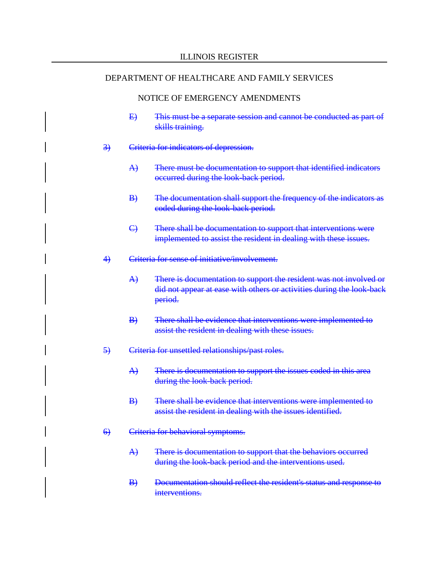- E) This must be a separate session and cannot be conducted as part of skills training.
- 3) Criteria for indicators of depression.
	- A) There must be documentation to support that identified indicators occurred during the look-back period.
	- B) The documentation shall support the frequency of the indicators as coded during the look-back period.
	- C) There shall be documentation to support that interventions were implemented to assist the resident in dealing with these issues.
- 4) Criteria for sense of initiative/involvement.
	- A) There is documentation to support the resident was not involved or did not appear at ease with others or activities during the look-back period.
	- B) There shall be evidence that interventions were implemented to assist the resident in dealing with these issues.
- 5) Criteria for unsettled relationships/past roles.
	- A) There is documentation to support the issues coded in this area during the look-back period.
	- B) There shall be evidence that interventions were implemented to assist the resident in dealing with the issues identified.
- 6) Criteria for behavioral symptoms.
	- A) There is documentation to support that the behaviors occurred during the look-back period and the interventions used.
	- B) Documentation should reflect the resident's status and response to interventions.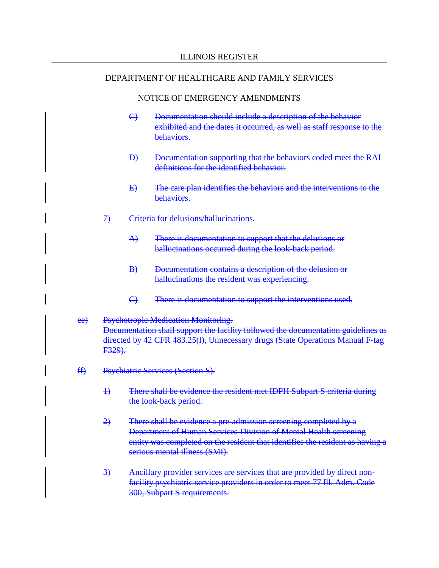- C) Documentation should include a description of the behavior exhibited and the dates it occurred, as well as staff response to the behaviors.
- D) Documentation supporting that the behaviors coded meet the RAI definitions for the identified behavior.
- E) The care plan identifies the behaviors and the interventions to the behaviors.
- 7) Criteria for delusions/hallucinations.
	- A) There is documentation to support that the delusions or hallucinations occurred during the look-back period.
	- B) Documentation contains a description of the delusion or hallucinations the resident was experiencing.
	- C) There is documentation to support the interventions used.
- ee) Psychotropic Medication Monitoring. Documentation shall support the facility followed the documentation guidelines as directed by 42 CFR 483.25(l), Unnecessary drugs (State Operations Manual F-tag F329).
- ff) Psychiatric Services (Section S).
	- 1) There shall be evidence the resident met IDPH Subpart S criteria during the look-back period.
	- 2) There shall be evidence a pre-admission screening completed by a Department of Human Services-Division of Mental Health screening entity was completed on the resident that identifies the resident as having a serious mental illness (SMI).
	- 3) Ancillary provider services are services that are provided by direct nonfacility psychiatric service providers in order to meet 77 Ill. Adm. Code 300, Subpart S requirements.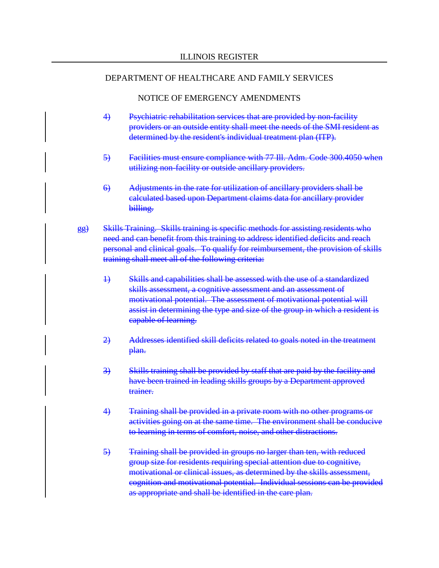- 4) Psychiatric rehabilitation services that are provided by non-facility providers or an outside entity shall meet the needs of the SMI resident as determined by the resident's individual treatment plan (ITP).
- 5) Facilities must ensure compliance with 77 Ill. Adm. Code 300.4050 when utilizing non-facility or outside ancillary providers.
- 6) Adjustments in the rate for utilization of ancillary providers shall be calculated based upon Department claims data for ancillary provider billing.
- gg) Skills Training. Skills training is specific methods for assisting residents who need and can benefit from this training to address identified deficits and reach personal and clinical goals. To qualify for reimbursement, the provision of skills training shall meet all of the following criteria:
	- 1) Skills and capabilities shall be assessed with the use of a standardized skills assessment, a cognitive assessment and an assessment of motivational potential. The assessment of motivational potential will assist in determining the type and size of the group in which a resident is capable of learning.
	- 2) Addresses identified skill deficits related to goals noted in the treatment plan.
	- 3) Skills training shall be provided by staff that are paid by the facility and have been trained in leading skills groups by a Department approved trainer.
	- 4) Training shall be provided in a private room with no other programs or activities going on at the same time. The environment shall be conducive to learning in terms of comfort, noise, and other distractions.
	- 5) Training shall be provided in groups no larger than ten, with reduced group size for residents requiring special attention due to cognitive, motivational or clinical issues, as determined by the skills assessment, cognition and motivational potential. Individual sessions can be provided as appropriate and shall be identified in the care plan.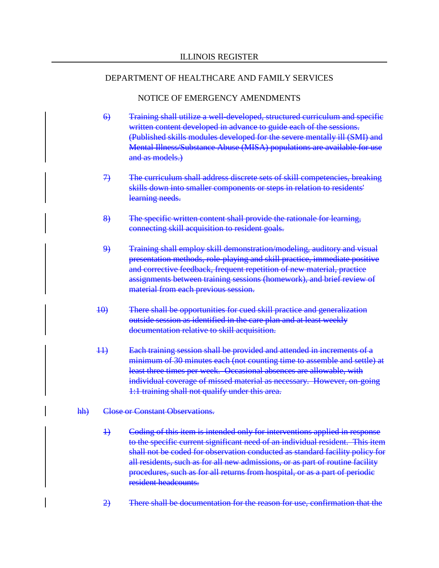- 6) Training shall utilize a well-developed, structured curriculum and specific written content developed in advance to guide each of the sessions. (Published skills modules developed for the severe mentally ill (SMI) and Mental Illness/Substance Abuse (MISA) populations are available for use and as models.)
- 7) The curriculum shall address discrete sets of skill competencies, breaking skills down into smaller components or steps in relation to residents' learning needs.
- 8) The specific written content shall provide the rationale for learning, connecting skill acquisition to resident goals.
- 9) Training shall employ skill demonstration/modeling, auditory and visual presentation methods, role-playing and skill practice, immediate positive and corrective feedback, frequent repetition of new material, practice assignments between training sessions (homework), and brief review of material from each previous session.
- 10) There shall be opportunities for cued skill practice and generalization outside session as identified in the care plan and at least weekly documentation relative to skill acquisition.
- 11) Each training session shall be provided and attended in increments of a minimum of 30 minutes each (not counting time to assemble and settle) at least three times per week. Occasional absences are allowable, with individual coverage of missed material as necessary. However, on-going 1:1 training shall not qualify under this area.
- hh) Close or Constant Observations.
	- 1) Coding of this item is intended only for interventions applied in response to the specific current significant need of an individual resident. This item shall not be coded for observation conducted as standard facility policy for all residents, such as for all new admissions, or as part of routine facility procedures, such as for all returns from hospital, or as a part of periodic resident headcounts.
	- 2) There shall be documentation for the reason for use, confirmation that the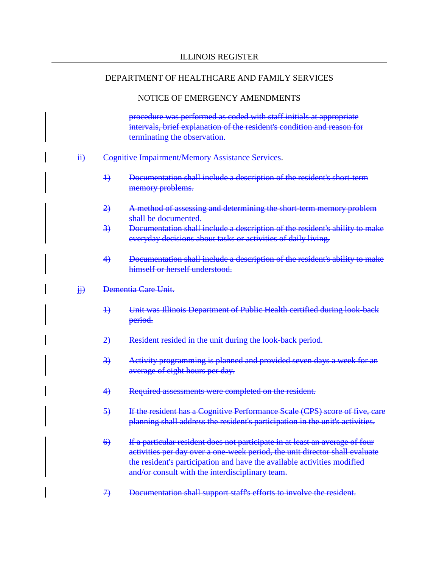#### NOTICE OF EMERGENCY AMENDMENTS

procedure was performed as coded with staff initials at appropriate intervals, brief explanation of the resident's condition and reason for terminating the observation.

- ii) Cognitive Impairment/Memory Assistance Services.
	- 1) Documentation shall include a description of the resident's short-term memory problems.
	- 2) A method of assessing and determining the short-term memory problem shall be documented.
	- 3) Documentation shall include a description of the resident's ability to make everyday decisions about tasks or activities of daily living.
	- 4) Documentation shall include a description of the resident's ability to make himself or herself understood.
- jj) Dementia Care Unit.
	- 1) Unit was Illinois Department of Public Health certified during look-back period.
	- 2) Resident resided in the unit during the look-back period.
	- 3) Activity programming is planned and provided seven days a week for an average of eight hours per day.
	- 4) Required assessments were completed on the resident.
	- 5) If the resident has a Cognitive Performance Scale (CPS) score of five, care planning shall address the resident's participation in the unit's activities.
	- 6) If a particular resident does not participate in at least an average of four activities per day over a one-week period, the unit director shall evaluate the resident's participation and have the available activities modified and/or consult with the interdisciplinary team.
	- 7) Documentation shall support staff's efforts to involve the resident.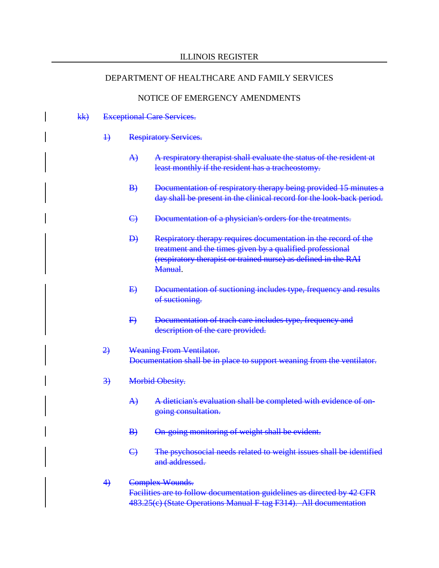#### NOTICE OF EMERGENCY AMENDMENTS

#### kk) Exceptional Care Services.

- 1) Respiratory Services.
	- A) A respiratory therapist shall evaluate the status of the resident at least monthly if the resident has a tracheostomy.
	- B) Documentation of respiratory therapy being provided 15 minutes a day shall be present in the clinical record for the look-back period.
	- C) Documentation of a physician's orders for the treatments.
	- D) Respiratory therapy requires documentation in the record of the treatment and the times given by a qualified professional (respiratory therapist or trained nurse) as defined in the RAI Manual.
	- E) Documentation of suctioning includes type, frequency and results of suctioning.
	- F) Documentation of trach care includes type, frequency and description of the care provided.
- 2) Weaning From Ventilator. Documentation shall be in place to support weaning from the ventilator.
- 3) Morbid Obesity.
	- A) A dietician's evaluation shall be completed with evidence of ongoing consultation.
	- B) On-going monitoring of weight shall be evident.
	- C) The psychosocial needs related to weight issues shall be identified and addressed.
- 4) Complex Wounds. Facilities are to follow documentation guidelines as directed by 42 CFR 483.25(c) (State Operations Manual F-tag F314). All documentation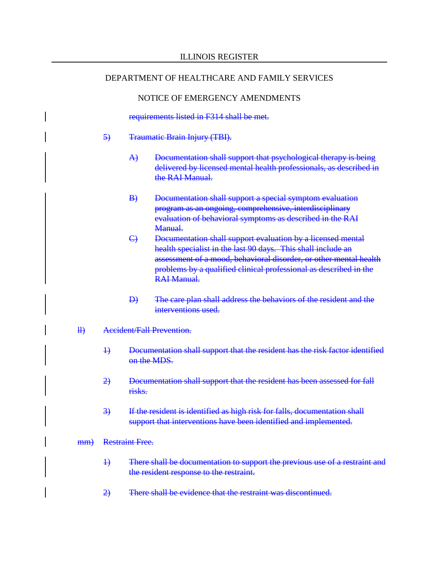#### NOTICE OF EMERGENCY AMENDMENTS

requirements listed in F314 shall be met.

#### 5) Traumatic Brain Injury (TBI).

- A) Documentation shall support that psychological therapy is being delivered by licensed mental health professionals, as described in the RAI Manual.
- B) Documentation shall support a special symptom evaluation program as an ongoing, comprehensive, interdisciplinary evaluation of behavioral symptoms as described in the RAI Manual.
- C) Documentation shall support evaluation by a licensed mental health specialist in the last 90 days. This shall include an assessment of a mood, behavioral disorder, or other mental health problems by a qualified clinical professional as described in the RAI Manual.
- D) The care plan shall address the behaviors of the resident and the interventions used.
- ll) Accident/Fall Prevention.
	- 1) Documentation shall support that the resident has the risk factor identified on the MDS.
	- 2) Documentation shall support that the resident has been assessed for fall risks.
	- 3) If the resident is identified as high risk for falls, documentation shall support that interventions have been identified and implemented.

#### mm) Restraint Free.

- 1) There shall be documentation to support the previous use of a restraint and the resident response to the restraint.
- 2) There shall be evidence that the restraint was discontinued.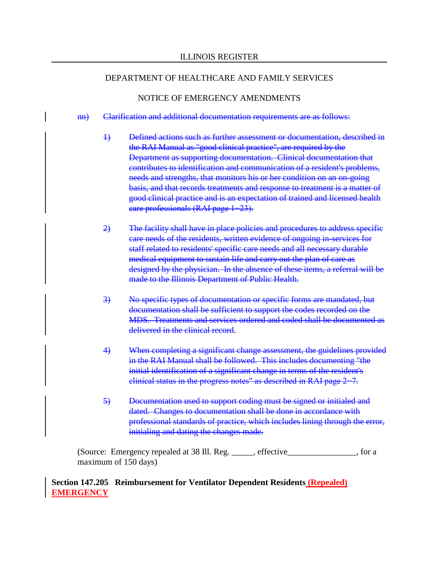#### NOTICE OF EMERGENCY AMENDMENTS

#### nn) Clarification and additional documentation requirements are as follows:

- 1) Defined actions such as further assessment or documentation, described in the RAI Manual as "good clinical practice", are required by the Department as supporting documentation. Clinical documentation that contributes to identification and communication of a resident's problems, needs and strengths, that monitors his or her condition on an on-going basis, and that records treatments and response to treatment is a matter of good clinical practice and is an expectation of trained and licensed health care professionals (RAI page 1−23).
- 2) The facility shall have in place policies and procedures to address specific care needs of the residents, written evidence of ongoing in-services for staff related to residents' specific care needs and all necessary durable medical equipment to sustain life and carry out the plan of care as designed by the physician. In the absence of these items, a referral will be made to the Illinois Department of Public Health.
- 3) No specific types of documentation or specific forms are mandated, but documentation shall be sufficient to support the codes recorded on the MDS. Treatments and services ordered and coded shall be documented as delivered in the clinical record.
- 4) When completing a significant change assessment, the guidelines provided in the RAI Manual shall be followed. This includes documenting "the initial identification of a significant change in terms of the resident's clinical status in the progress notes" as described in RAI page 2−7.
- 5) Documentation used to support coding must be signed or initialed and dated. Changes to documentation shall be done in accordance with professional standards of practice, which includes lining through the error, initialing and dating the changes made.

(Source: Emergency repealed at 38 Ill. Reg. \_\_\_\_\_, effective \_\_\_\_\_\_\_\_\_, for a maximum of 150 days)

## **Section 147.205 Reimbursement for Ventilator Dependent Residents (Repealed) EMERGENCY**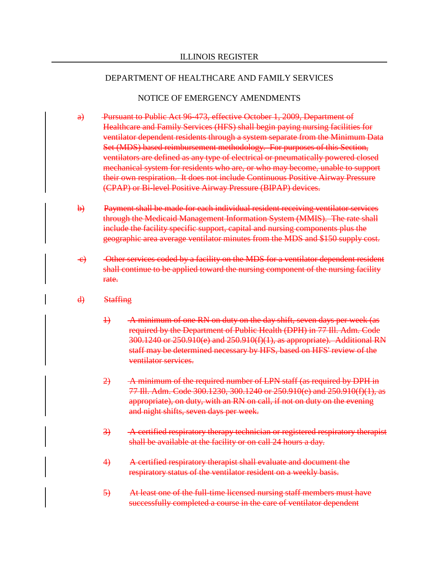- a) Pursuant to Public Act 96-473, effective October 1, 2009, Department of Healthcare and Family Services (HFS) shall begin paying nursing facilities for ventilator dependent residents through a system separate from the Minimum Data Set (MDS) based reimbursement methodology. For purposes of this Section, ventilators are defined as any type of electrical or pneumatically powered closed mechanical system for residents who are, or who may become, unable to support their own respiration. It does not include Continuous Positive Airway Pressure (CPAP) or Bi-level Positive Airway Pressure (BIPAP) devices.
- b) Payment shall be made for each individual resident receiving ventilator services through the Medicaid Management Information System (MMIS). The rate shall include the facility specific support, capital and nursing components plus the geographic area average ventilator minutes from the MDS and \$150 supply cost.
- c) Other services coded by a facility on the MDS for a ventilator dependent resident shall continue to be applied toward the nursing component of the nursing facility rate.
- d) Staffing
	- 1) A minimum of one RN on duty on the day shift, seven days per week (as required by the Department of Public Health (DPH) in 77 Ill. Adm. Code 300.1240 or 250.910(e) and 250.910(f)(1), as appropriate). Additional RN staff may be determined necessary by HFS, based on HFS' review of the ventilator services.
	- 2) A minimum of the required number of LPN staff (as required by DPH in 77 Ill. Adm. Code 300.1230, 300.1240 or 250.910(e) and 250.910(f)(1), as appropriate), on duty, with an RN on call, if not on duty on the evening and night shifts, seven days per week.
	- 3) A certified respiratory therapy technician or registered respiratory therapist shall be available at the facility or on call 24 hours a day.
	- 4) A certified respiratory therapist shall evaluate and document the respiratory status of the ventilator resident on a weekly basis.
	- 5) At least one of the full-time licensed nursing staff members must have successfully completed a course in the care of ventilator dependent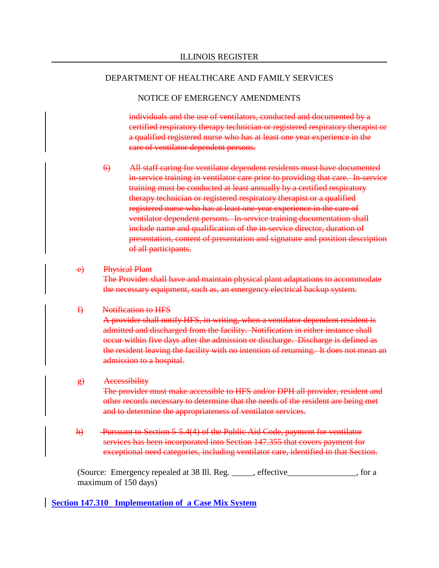#### NOTICE OF EMERGENCY AMENDMENTS

individuals and the use of ventilators, conducted and documented by a certified respiratory therapy technician or registered respiratory therapist or a qualified registered nurse who has at least one year experience in the care of ventilator dependent persons.

6) All staff caring for ventilator dependent residents must have documented in-service training in ventilator care prior to providing that care. In-service training must be conducted at least annually by a certified respiratory therapy technician or registered respiratory therapist or a qualified registered nurse who has at least one-year experience in the care of ventilator dependent persons. In-service training documentation shall include name and qualification of the in-service director, duration of presentation, content of presentation and signature and position description of all participants.

#### e) Physical Plant

The Provider shall have and maintain physical plant adaptations to accommodate the necessary equipment, such as, an emergency electrical backup system.

#### f) Notification to HFS

A provider shall notify HFS, in writing, when a ventilator dependent resident is admitted and discharged from the facility. Notification in either instance shall occur within five days after the admission or discharge. Discharge is defined as the resident leaving the facility with no intention of returning. It does not mean an admission to a hospital.

#### g) Accessibility

The provider must make accessible to HFS and/or DPH all provider, resident and other records necessary to determine that the needs of the resident are being met and to determine the appropriateness of ventilator services.

h) Pursuant to Section 5-5.4(4) of the Public Aid Code, payment for ventilator services has been incorporated into Section 147.355 that covers payment for exceptional need categories, including ventilator care, identified in that Section.

(Source: Emergency repealed at 38 Ill. Reg. \_\_\_\_\_, effective\_\_\_\_\_\_\_\_\_\_\_\_\_\_\_\_, for a maximum of 150 days)

#### **Section 147.310 Implementation of a Case Mix System**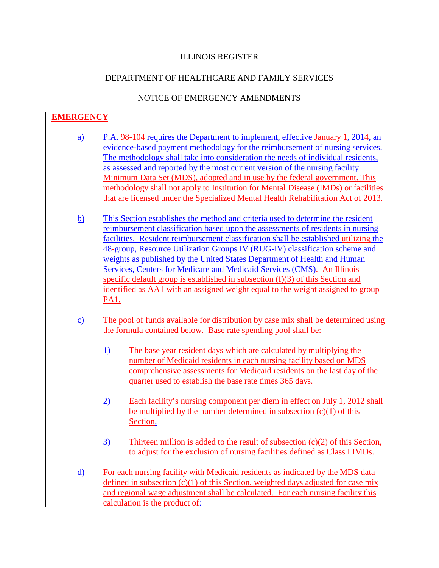# NOTICE OF EMERGENCY AMENDMENTS

# **EMERGENCY**

- a) P.A. 98-104 requires the Department to implement, effective January 1, 2014, an evidence-based payment methodology for the reimbursement of nursing services. The methodology shall take into consideration the needs of individual residents, as assessed and reported by the most current version of the nursing facility Minimum Data Set (MDS), adopted and in use by the federal government. This methodology shall not apply to Institution for Mental Disease (IMDs) or facilities that are licensed under the Specialized Mental Health Rehabilitation Act of 2013.
- b) This Section establishes the method and criteria used to determine the resident reimbursement classification based upon the assessments of residents in nursing facilities. Resident reimbursement classification shall be established utilizing the 48-group, Resource Utilization Groups IV (RUG-IV) classification scheme and weights as published by the United States Department of Health and Human Services, Centers for Medicare and Medicaid Services (CMS). An Illinois specific default group is established in subsection (f)(3) of this Section and identified as AA1 with an assigned weight equal to the weight assigned to group PA1.
- c) The pool of funds available for distribution by case mix shall be determined using the formula contained below. Base rate spending pool shall be:
	- 1) The base year resident days which are calculated by multiplying the number of Medicaid residents in each nursing facility based on MDS comprehensive assessments for Medicaid residents on the last day of the quarter used to establish the base rate times 365 days.
	- 2) Each facility's nursing component per diem in effect on July 1, 2012 shall be multiplied by the number determined in subsection  $(c)(1)$  of this Section.
	- 3) Thirteen million is added to the result of subsection (c)(2) of this Section, to adjust for the exclusion of nursing facilities defined as Class I IMDs.
- d) For each nursing facility with Medicaid residents as indicated by the MDS data defined in subsection  $(c)(1)$  of this Section, weighted days adjusted for case mix and regional wage adjustment shall be calculated. For each nursing facility this calculation is the product of: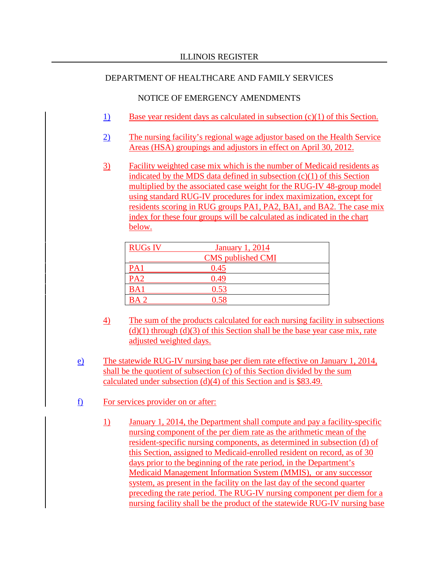- 1) Base year resident days as calculated in subsection (c)(1) of this Section.
- 2) The nursing facility's regional wage adjustor based on the Health Service Areas (HSA) groupings and adjustors in effect on April 30, 2012.
- 3) Facility weighted case mix which is the number of Medicaid residents as indicated by the MDS data defined in subsection (c)(1) of this Section multiplied by the associated case weight for the RUG-IV 48-group model using standard RUG-IV procedures for index maximization, except for residents scoring in RUG groups PA1, PA2, BA1, and BA2. The case mix index for these four groups will be calculated as indicated in the chart below.

| <b>RUGs IV</b>  | <b>January 1, 2014</b>   |
|-----------------|--------------------------|
|                 | <b>CMS</b> published CMI |
| PA1             | 0.45                     |
| 'A′             | י בש                     |
| BA <sub>1</sub> | $0.5 -$                  |
|                 |                          |

- 4) The sum of the products calculated for each nursing facility in subsections  $(d)(1)$  through  $(d)(3)$  of this Section shall be the base year case mix, rate adjusted weighted days.
- e) The statewide RUG-IV nursing base per diem rate effective on January 1, 2014, shall be the quotient of subsection (c) of this Section divided by the sum calculated under subsection (d)(4) of this Section and is \$83.49.
- f) For services provider on or after:
	- 1) January 1, 2014, the Department shall compute and pay a facility-specific nursing component of the per diem rate as the arithmetic mean of the resident-specific nursing components, as determined in subsection (d) of this Section, assigned to Medicaid-enrolled resident on record, as of 30 days prior to the beginning of the rate period, in the Department's Medicaid Management Information System (MMIS), or any successor system, as present in the facility on the last day of the second quarter preceding the rate period. The RUG-IV nursing component per diem for a nursing facility shall be the product of the statewide RUG-IV nursing base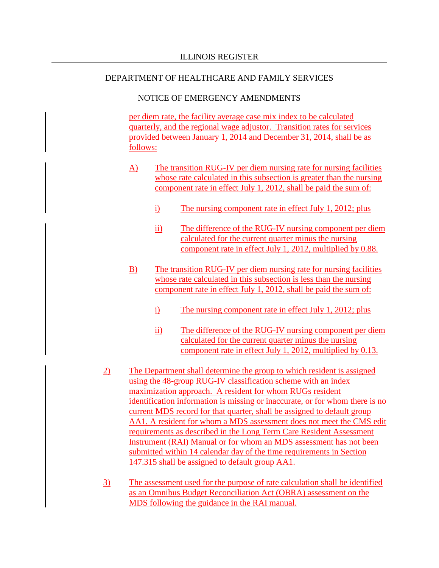#### NOTICE OF EMERGENCY AMENDMENTS

per diem rate, the facility average case mix index to be calculated quarterly, and the regional wage adjustor. Transition rates for services provided between January 1, 2014 and December 31, 2014, shall be as follows:

- A) The transition RUG-IV per diem nursing rate for nursing facilities whose rate calculated in this subsection is greater than the nursing component rate in effect July 1, 2012, shall be paid the sum of:
	- i) The nursing component rate in effect July 1, 2012; plus
	- ii) The difference of the RUG-IV nursing component per diem calculated for the current quarter minus the nursing component rate in effect July 1, 2012, multiplied by 0.88.
- B) The transition RUG-IV per diem nursing rate for nursing facilities whose rate calculated in this subsection is less than the nursing component rate in effect July 1, 2012, shall be paid the sum of:
	- i) The nursing component rate in effect July 1, 2012; plus
	- ii) The difference of the RUG-IV nursing component per diem calculated for the current quarter minus the nursing component rate in effect July 1, 2012, multiplied by 0.13.
- 2) The Department shall determine the group to which resident is assigned using the 48-group RUG-IV classification scheme with an index maximization approach. A resident for whom RUGs resident identification information is missing or inaccurate, or for whom there is no current MDS record for that quarter, shall be assigned to default group AA1. A resident for whom a MDS assessment does not meet the CMS edit requirements as described in the Long Term Care Resident Assessment Instrument (RAI) Manual or for whom an MDS assessment has not been submitted within 14 calendar day of the time requirements in Section 147.315 shall be assigned to default group AA1.
- 3) The assessment used for the purpose of rate calculation shall be identified as an Omnibus Budget Reconciliation Act (OBRA) assessment on the MDS following the guidance in the RAI manual.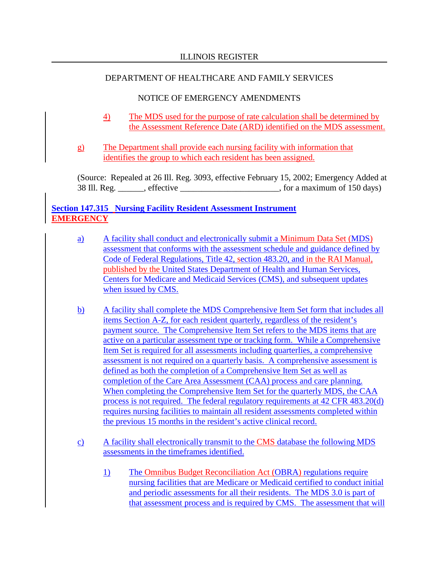# NOTICE OF EMERGENCY AMENDMENTS

- 4) The MDS used for the purpose of rate calculation shall be determined by the Assessment Reference Date (ARD) identified on the MDS assessment.
- g) The Department shall provide each nursing facility with information that identifies the group to which each resident has been assigned.

(Source: Repealed at 26 Ill. Reg. 3093, effective February 15, 2002; Emergency Added at 38 Ill. Reg. \_\_\_\_\_\_, effective \_\_\_\_\_\_\_\_\_\_\_\_\_\_\_\_\_\_\_\_\_\_\_, for a maximum of 150 days)

# **Section 147.315 Nursing Facility Resident Assessment Instrument EMERGENCY**

- a) A facility shall conduct and electronically submit a Minimum Data Set (MDS) assessment that conforms with the assessment schedule and guidance defined by Code of Federal Regulations, Title 42, section 483.20, and in the RAI Manual, published by the United States Department of Health and Human Services, Centers for Medicare and Medicaid Services (CMS), and subsequent updates when issued by CMS.
- b) A facility shall complete the MDS Comprehensive Item Set form that includes all items Section A-Z, for each resident quarterly, regardless of the resident's payment source. The Comprehensive Item Set refers to the MDS items that are active on a particular assessment type or tracking form. While a Comprehensive Item Set is required for all assessments including quarterlies, a comprehensive assessment is not required on a quarterly basis. A comprehensive assessment is defined as both the completion of a Comprehensive Item Set as well as completion of the Care Area Assessment (CAA) process and care planning. When completing the Comprehensive Item Set for the quarterly MDS, the CAA process is not required. The federal regulatory requirements at 42 CFR 483.20(d) requires nursing facilities to maintain all resident assessments completed within the previous 15 months in the resident's active clinical record.
- c) A facility shall electronically transmit to the CMS database the following MDS assessments in the timeframes identified.
	- 1) The Omnibus Budget Reconciliation Act (OBRA) regulations require nursing facilities that are Medicare or Medicaid certified to conduct initial and periodic assessments for all their residents. The MDS 3.0 is part of that assessment process and is required by CMS. The assessment that will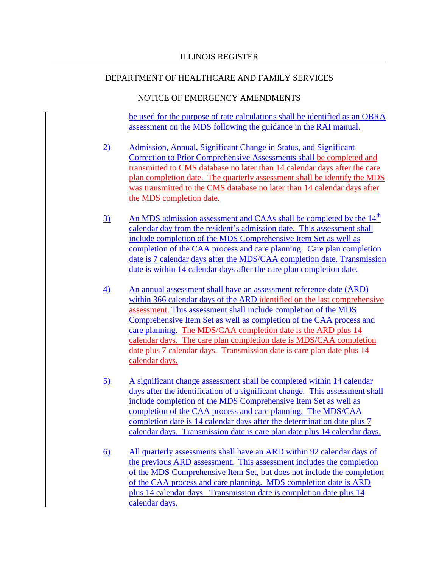#### NOTICE OF EMERGENCY AMENDMENTS

be used for the purpose of rate calculations shall be identified as an OBRA assessment on the MDS following the guidance in the RAI manual.

- 2) Admission, Annual, Significant Change in Status, and Significant Correction to Prior Comprehensive Assessments shall be completed and transmitted to CMS database no later than 14 calendar days after the care plan completion date. The quarterly assessment shall be identify the MDS was transmitted to the CMS database no later than 14 calendar days after the MDS completion date.
- $\frac{3}{2}$  An MDS admission assessment and CAAs shall be completed by the 14<sup>th</sup> calendar day from the resident's admission date. This assessment shall include completion of the MDS Comprehensive Item Set as well as completion of the CAA process and care planning. Care plan completion date is 7 calendar days after the MDS/CAA completion date. Transmission date is within 14 calendar days after the care plan completion date.
- 4) An annual assessment shall have an assessment reference date (ARD) within 366 calendar days of the ARD identified on the last comprehensive assessment. This assessment shall include completion of the MDS Comprehensive Item Set as well as completion of the CAA process and care planning. The MDS/CAA completion date is the ARD plus 14 calendar days. The care plan completion date is MDS/CAA completion date plus 7 calendar days. Transmission date is care plan date plus 14 calendar days.
- 5) A significant change assessment shall be completed within 14 calendar days after the identification of a significant change. This assessment shall include completion of the MDS Comprehensive Item Set as well as completion of the CAA process and care planning. The MDS/CAA completion date is 14 calendar days after the determination date plus 7 calendar days. Transmission date is care plan date plus 14 calendar days.
- 6) All quarterly assessments shall have an ARD within 92 calendar days of the previous ARD assessment. This assessment includes the completion of the MDS Comprehensive Item Set, but does not include the completion of the CAA process and care planning. MDS completion date is ARD plus 14 calendar days. Transmission date is completion date plus 14 calendar days.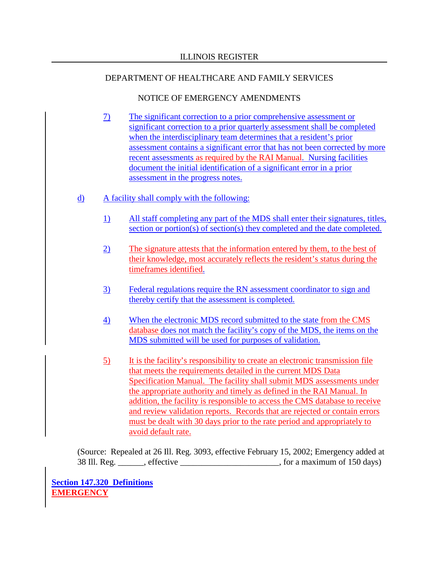## NOTICE OF EMERGENCY AMENDMENTS

- 7) The significant correction to a prior comprehensive assessment or significant correction to a prior quarterly assessment shall be completed when the interdisciplinary team determines that a resident's prior assessment contains a significant error that has not been corrected by more recent assessments as required by the RAI Manual. Nursing facilities document the initial identification of a significant error in a prior assessment in the progress notes.
- d) A facility shall comply with the following:
	- 1) All staff completing any part of the MDS shall enter their signatures, titles, section or portion(s) of section(s) they completed and the date completed.
	- 2) The signature attests that the information entered by them, to the best of their knowledge, most accurately reflects the resident's status during the timeframes identified.
	- 3) Federal regulations require the RN assessment coordinator to sign and thereby certify that the assessment is completed.
	- 4) When the electronic MDS record submitted to the state from the CMS database does not match the facility's copy of the MDS, the items on the MDS submitted will be used for purposes of validation.
	- 5) It is the facility's responsibility to create an electronic transmission file that meets the requirements detailed in the current MDS Data Specification Manual. The facility shall submit MDS assessments under the appropriate authority and timely as defined in the RAI Manual. In addition, the facility is responsible to access the CMS database to receive and review validation reports. Records that are rejected or contain errors must be dealt with 30 days prior to the rate period and appropriately to avoid default rate.

(Source: Repealed at 26 Ill. Reg. 3093, effective February 15, 2002; Emergency added at 38 Ill. Reg. effective example a set of the set of the set of the set of the set of the set of the set of the set of the set of the set of the set of the set of the set of the set of the set of the set of the set of the se

**Section 147.320 Definitions EMERGENCY**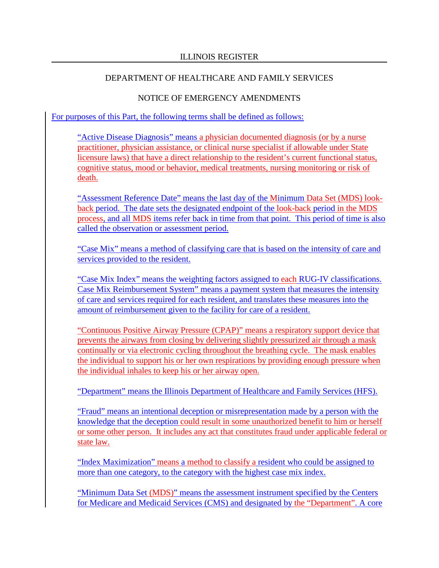#### NOTICE OF EMERGENCY AMENDMENTS

For purposes of this Part, the following terms shall be defined as follows:

"Active Disease Diagnosis" means a physician documented diagnosis (or by a nurse practitioner, physician assistance, or clinical nurse specialist if allowable under State licensure laws) that have a direct relationship to the resident's current functional status, cognitive status, mood or behavior, medical treatments, nursing monitoring or risk of death.

"Assessment Reference Date" means the last day of the Minimum Data Set (MDS) lookback period. The date sets the designated endpoint of the look-back period in the MDS process, and all MDS items refer back in time from that point. This period of time is also called the observation or assessment period.

"Case Mix" means a method of classifying care that is based on the intensity of care and services provided to the resident.

"Case Mix Index" means the weighting factors assigned to each RUG-IV classifications. Case Mix Reimbursement System" means a payment system that measures the intensity of care and services required for each resident, and translates these measures into the amount of reimbursement given to the facility for care of a resident.

"Continuous Positive Airway Pressure (CPAP)" means a respiratory support device that prevents the airways from closing by delivering slightly pressurized air through a mask continually or via electronic cycling throughout the breathing cycle. The mask enables the individual to support his or her own respirations by providing enough pressure when the individual inhales to keep his or her airway open.

"Department" means the Illinois Department of Healthcare and Family Services (HFS).

"Fraud" means an intentional deception or misrepresentation made by a person with the knowledge that the deception could result in some unauthorized benefit to him or herself or some other person. It includes any act that constitutes fraud under applicable federal or state law.

"Index Maximization" means a method to classify a resident who could be assigned to more than one category, to the category with the highest case mix index.

"Minimum Data Set (MDS)" means the assessment instrument specified by the Centers for Medicare and Medicaid Services (CMS) and designated by the "Department". A core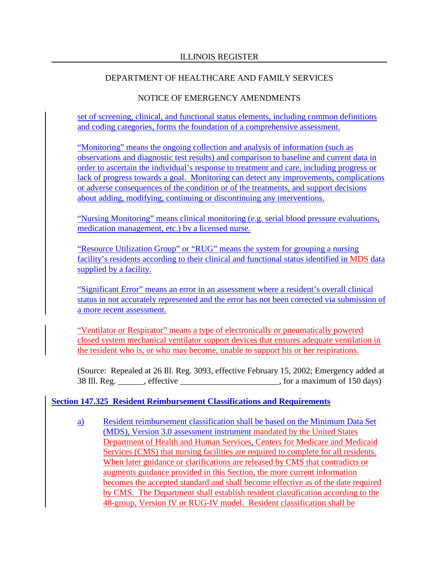# NOTICE OF EMERGENCY AMENDMENTS

set of screening, clinical, and functional status elements, including common definitions and coding categories, forms the foundation of a comprehensive assessment.

"Monitoring" means the ongoing collection and analysis of information (such as observations and diagnostic test results) and comparison to baseline and current data in order to ascertain the individual's response to treatment and care, including progress or lack of progress towards a goal. Monitoring can detect any improvements, complications or adverse consequences of the condition or of the treatments, and support decisions about adding, modifying, continuing or discontinuing any interventions.

"Nursing Monitoring" means clinical monitoring (e.g. serial blood pressure evaluations, medication management, etc.) by a licensed nurse.

"Resource Utilization Group" or "RUG" means the system for grouping a nursing facility's residents according to their clinical and functional status identified in MDS data supplied by a facility.

"Significant Error" means an error in an assessment where a resident's overall clinical status in not accurately represented and the error has not been corrected via submission of a more recent assessment.

"Ventilator or Respirator" means a type of electronically or pneumatically powered closed system mechanical ventilator support devices that ensures adequate ventilation in the resident who is, or who may become, unable to support his or her respirations.

(Source: Repealed at 26 Ill. Reg. 3093, effective February 15, 2002; Emergency added at 38 Ill. Reg. \_\_\_\_\_\_, effective \_\_\_\_\_\_\_\_\_\_\_\_\_\_\_\_\_\_\_\_\_\_\_, for a maximum of 150 days)

## **Section 147.325 Resident Reimbursement Classifications and Requirements**

a) Resident reimbursement classification shall be based on the Minimum Data Set (MDS), Version 3.0 assessment instrument mandated by the United States Department of Health and Human Services, Centers for Medicare and Medicaid Services (CMS) that nursing facilities are required to complete for all residents. When later guidance or clarifications are released by CMS that contradicts or augments guidance provided in this Section, the more current information becomes the accepted standard and shall become effective as of the date required by CMS. The Department shall establish resident classification according to the 48-group, Version IV or RUG-IV model. Resident classification shall be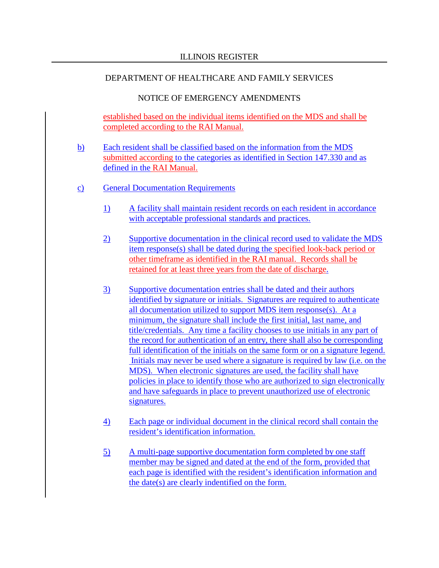#### NOTICE OF EMERGENCY AMENDMENTS

established based on the individual items identified on the MDS and shall be completed according to the RAI Manual.

- b) Each resident shall be classified based on the information from the MDS submitted according to the categories as identified in Section 147.330 and as defined in the RAI Manual.
- c) General Documentation Requirements
	- 1) A facility shall maintain resident records on each resident in accordance with acceptable professional standards and practices.
	- 2) Supportive documentation in the clinical record used to validate the MDS item response(s) shall be dated during the specified look-back period or other timeframe as identified in the RAI manual. Records shall be retained for at least three years from the date of discharge.
	- 3) Supportive documentation entries shall be dated and their authors identified by signature or initials. Signatures are required to authenticate all documentation utilized to support MDS item response(s). At a minimum, the signature shall include the first initial, last name, and title/credentials. Any time a facility chooses to use initials in any part of the record for authentication of an entry, there shall also be corresponding full identification of the initials on the same form or on a signature legend. Initials may never be used where a signature is required by law (i.e. on the MDS). When electronic signatures are used, the facility shall have policies in place to identify those who are authorized to sign electronically and have safeguards in place to prevent unauthorized use of electronic signatures.
	- 4) Each page or individual document in the clinical record shall contain the resident's identification information.
	- 5) A multi-page supportive documentation form completed by one staff member may be signed and dated at the end of the form, provided that each page is identified with the resident's identification information and the date(s) are clearly indentified on the form.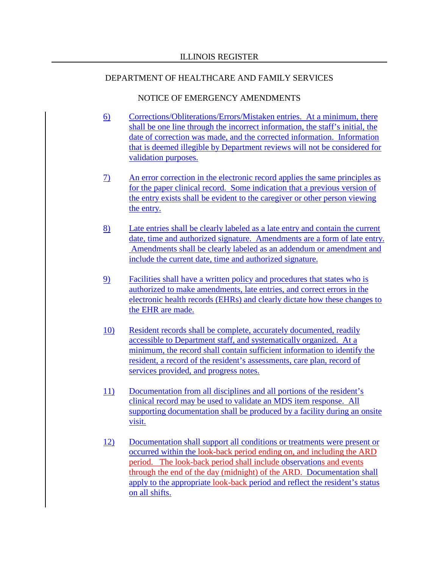- 6) Corrections/Obliterations/Errors/Mistaken entries. At a minimum, there shall be one line through the incorrect information, the staff's initial, the date of correction was made, and the corrected information. Information that is deemed illegible by Department reviews will not be considered for validation purposes.
- 7) An error correction in the electronic record applies the same principles as for the paper clinical record. Some indication that a previous version of the entry exists shall be evident to the caregiver or other person viewing the entry.
- 8) Late entries shall be clearly labeled as a late entry and contain the current date, time and authorized signature. Amendments are a form of late entry. Amendments shall be clearly labeled as an addendum or amendment and include the current date, time and authorized signature.
- 9) Facilities shall have a written policy and procedures that states who is authorized to make amendments, late entries, and correct errors in the electronic health records (EHRs) and clearly dictate how these changes to the EHR are made.
- 10) Resident records shall be complete, accurately documented, readily accessible to Department staff, and systematically organized. At a minimum, the record shall contain sufficient information to identify the resident, a record of the resident's assessments, care plan, record of services provided, and progress notes.
- 11) Documentation from all disciplines and all portions of the resident's clinical record may be used to validate an MDS item response. All supporting documentation shall be produced by a facility during an onsite visit.
- 12) Documentation shall support all conditions or treatments were present or occurred within the look-back period ending on, and including the ARD period. The look-back period shall include observations and events through the end of the day (midnight) of the ARD. Documentation shall apply to the appropriate look-back period and reflect the resident's status on all shifts.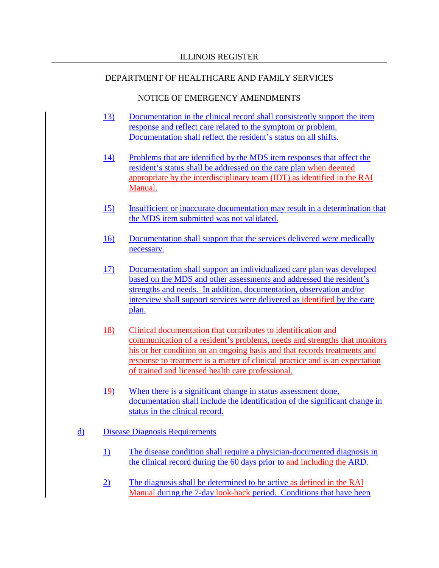#### NOTICE OF EMERGENCY AMENDMENTS

- 13) Documentation in the clinical record shall consistently support the item response and reflect care related to the symptom or problem. Documentation shall reflect the resident's status on all shifts.
- 14) Problems that are identified by the MDS item responses that affect the resident's status shall be addressed on the care plan when deemed appropriate by the interdisciplinary team (IDT) as identified in the RAI Manual.
- 15) Insufficient or inaccurate documentation may result in a determination that the MDS item submitted was not validated.
- 16) Documentation shall support that the services delivered were medically necessary.
- 17) Documentation shall support an individualized care plan was developed based on the MDS and other assessments and addressed the resident's strengths and needs. In addition, documentation, observation and/or interview shall support services were delivered as identified by the care plan.
- 18) Clinical documentation that contributes to identification and communication of a resident's problems, needs and strengths that monitors his or her condition on an ongoing basis and that records treatments and response to treatment is a matter of clinical practice and is an expectation of trained and licensed health care professional.
- 19) When there is a significant change in status assessment done, documentation shall include the identification of the significant change in status in the clinical record.

## d) Disease Diagnosis Requirements

- 1) The disease condition shall require a physician-documented diagnosis in the clinical record during the 60 days prior to and including the ARD.
- 2) The diagnosis shall be determined to be active as defined in the RAI Manual during the 7-day look-back period. Conditions that have been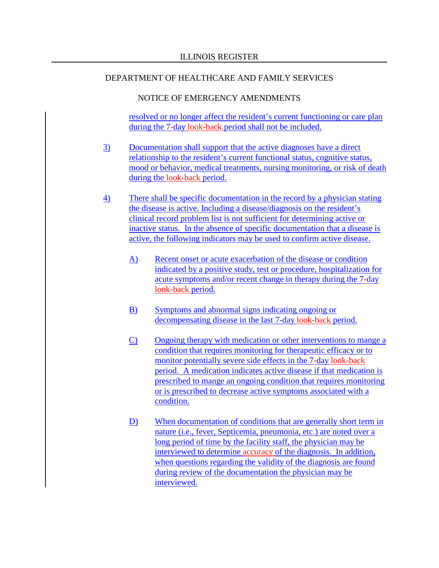## NOTICE OF EMERGENCY AMENDMENTS

resolved or no longer affect the resident's current functioning or care plan during the 7-day look-back period shall not be included.

- 3) Documentation shall support that the active diagnoses have a direct relationship to the resident's current functional status, cognitive status, mood or behavior, medical treatments, nursing monitoring, or risk of death during the look-back period.
- 4) There shall be specific documentation in the record by a physician stating the disease is active. Including a disease/diagnosis on the resident's clinical record problem list is not sufficient for determining active or inactive status. In the absence of specific documentation that a disease is active, the following indicators may be used to confirm active disease.
	- A) Recent onset or acute exacerbation of the disease or condition indicated by a positive study, test or procedure, hospitalization for acute symptoms and/or recent change in therapy during the 7-day look-back period.
	- B) Symptoms and abnormal signs indicating ongoing or decompensating disease in the last 7-day look-back period.
	- C) Ongoing therapy with medication or other interventions to mange a condition that requires monitoring for therapeutic efficacy or to monitor potentially severe side effects in the 7-day look-back period. A medication indicates active disease if that medication is prescribed to mange an ongoing condition that requires monitoring or is prescribed to decrease active symptoms associated with a condition.
	- D) When documentation of conditions that are generally short term in nature (i.e., fever, Septicemia, pneumonia, etc.) are noted over a long period of time by the facility staff, the physician may be interviewed to determine accuracy of the diagnosis. In addition, when questions regarding the validity of the diagnosis are found during review of the documentation the physician may be interviewed.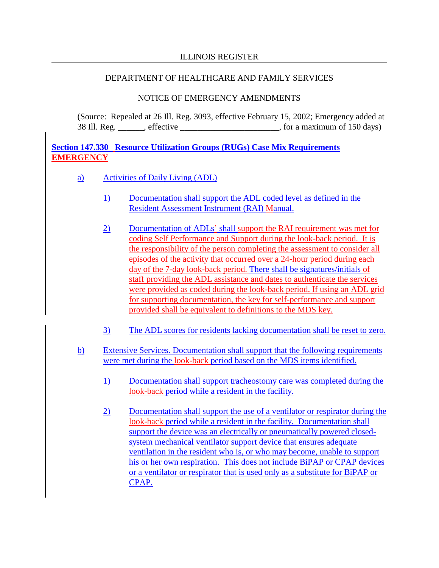#### ILLINOIS REGISTER

#### DEPARTMENT OF HEALTHCARE AND FAMILY SERVICES

#### NOTICE OF EMERGENCY AMENDMENTS

(Source: Repealed at 26 Ill. Reg. 3093, effective February 15, 2002; Emergency added at 38 Ill. Reg. effective example a set of the set of the set of the set of the set of the set of the set of the set of the set of the set of the set of the set of the set of the set of the set of the set of the set of the se

**Section 147.330 Resource Utilization Groups (RUGs) Case Mix Requirements EMERGENCY**

- a) Activities of Daily Living (ADL)
	- 1) Documentation shall support the ADL coded level as defined in the Resident Assessment Instrument (RAI) Manual.
	- 2) Documentation of ADLs' shall support the RAI requirement was met for coding Self Performance and Support during the look-back period. It is the responsibility of the person completing the assessment to consider all episodes of the activity that occurred over a 24-hour period during each day of the 7-day look-back period. There shall be signatures/initials of staff providing the ADL assistance and dates to authenticate the services were provided as coded during the look-back period. If using an ADL grid for supporting documentation, the key for self-performance and support provided shall be equivalent to definitions to the MDS key.
	- 3) The ADL scores for residents lacking documentation shall be reset to zero.
- b) Extensive Services. Documentation shall support that the following requirements were met during the look-back period based on the MDS items identified.
	- 1) Documentation shall support tracheostomy care was completed during the look-back period while a resident in the facility.
	- 2) Documentation shall support the use of a ventilator or respirator during the look-back period while a resident in the facility. Documentation shall support the device was an electrically or pneumatically powered closedsystem mechanical ventilator support device that ensures adequate ventilation in the resident who is, or who may become, unable to support his or her own respiration. This does not include BiPAP or CPAP devices or a ventilator or respirator that is used only as a substitute for BiPAP or CPAP.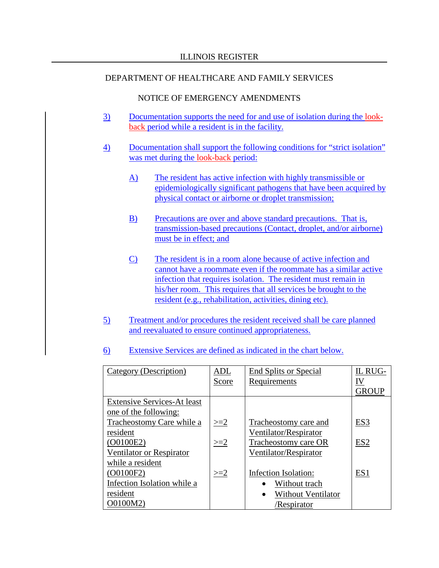- 3) Documentation supports the need for and use of isolation during the lookback period while a resident is in the facility.
- 4) Documentation shall support the following conditions for "strict isolation" was met during the look-back period:
	- A) The resident has active infection with highly transmissible or epidemiologically significant pathogens that have been acquired by physical contact or airborne or droplet transmission;
	- B) Precautions are over and above standard precautions. That is, transmission-based precautions (Contact, droplet, and/or airborne) must be in effect; and
	- C) The resident is in a room alone because of active infection and cannot have a roommate even if the roommate has a similar active infection that requires isolation. The resident must remain in his/her room. This requires that all services be brought to the resident (e.g., rehabilitation, activities, dining etc).
- 5) Treatment and/or procedures the resident received shall be care planned and reevaluated to ensure continued appropriateness.
- 6) Extensive Services are defined as indicated in the chart below.

| Category (Description)             | ADL   | <b>End Splits or Special</b>           | IL RUG-         |
|------------------------------------|-------|----------------------------------------|-----------------|
|                                    | Score | Requirements                           | IV              |
|                                    |       |                                        | GROUP           |
| <b>Extensive Services-At least</b> |       |                                        |                 |
| one of the following:              |       |                                        |                 |
| Tracheostomy Care while a          | $>=2$ | Tracheostomy care and                  | ES <sub>3</sub> |
| resident                           |       | Ventilator/Respirator                  |                 |
| (O0100E2)                          | $>=2$ | Tracheostomy care OR                   | ES <sub>2</sub> |
| Ventilator or Respirator           |       | Ventilator/Respirator                  |                 |
| while a resident                   |       |                                        |                 |
| (O0100F2)                          | $>=2$ | Infection Isolation:                   | ES1             |
| Infection Isolation while a        |       | Without trach                          |                 |
| resident                           |       | <b>Without Ventilator</b><br>$\bullet$ |                 |
| O0100M2)                           |       | /Respirator                            |                 |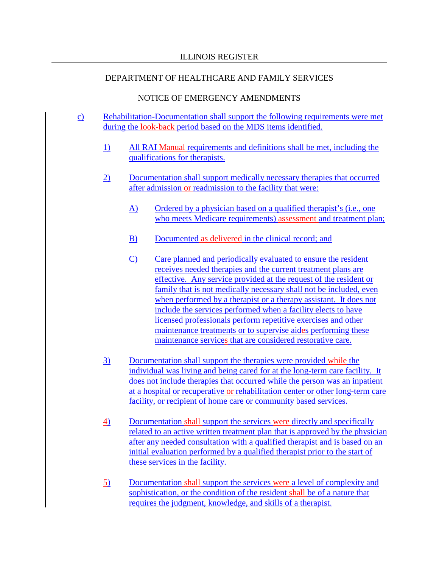- c) Rehabilitation-Documentation shall support the following requirements were met during the look-back period based on the MDS items identified.
	- 1) All RAI Manual requirements and definitions shall be met, including the qualifications for therapists.
	- 2) Documentation shall support medically necessary therapies that occurred after admission or readmission to the facility that were:
		- A) Ordered by a physician based on a qualified therapist's (i.e., one who meets Medicare requirements) assessment and treatment plan;
		- B) Documented as delivered in the clinical record; and
		- C) Care planned and periodically evaluated to ensure the resident receives needed therapies and the current treatment plans are effective. Any service provided at the request of the resident or family that is not medically necessary shall not be included, even when performed by a therapist or a therapy assistant. It does not include the services performed when a facility elects to have licensed professionals perform repetitive exercises and other maintenance treatments or to supervise aides performing these maintenance services that are considered restorative care.
	- 3) Documentation shall support the therapies were provided while the individual was living and being cared for at the long-term care facility. It does not include therapies that occurred while the person was an inpatient at a hospital or recuperative or rehabilitation center or other long-term care facility, or recipient of home care or community based services.
	- 4) Documentation shall support the services were directly and specifically related to an active written treatment plan that is approved by the physician after any needed consultation with a qualified therapist and is based on an initial evaluation performed by a qualified therapist prior to the start of these services in the facility.
	- 5) Documentation shall support the services were a level of complexity and sophistication, or the condition of the resident shall be of a nature that requires the judgment, knowledge, and skills of a therapist.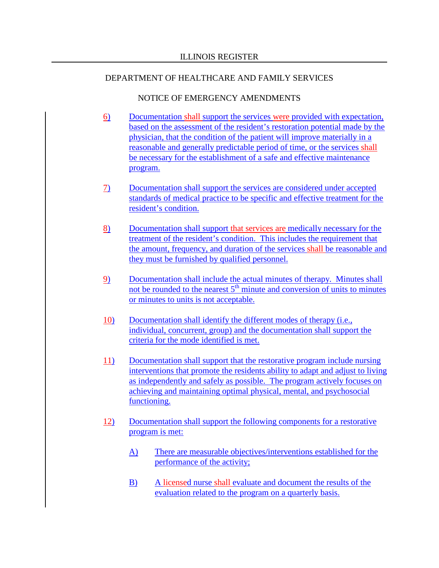- 6) Documentation shall support the services were provided with expectation, based on the assessment of the resident's restoration potential made by the physician, that the condition of the patient will improve materially in a reasonable and generally predictable period of time, or the services shall be necessary for the establishment of a safe and effective maintenance program.
- 7) Documentation shall support the services are considered under accepted standards of medical practice to be specific and effective treatment for the resident's condition.
- 8) Documentation shall support that services are medically necessary for the treatment of the resident's condition. This includes the requirement that the amount, frequency, and duration of the services shall be reasonable and they must be furnished by qualified personnel.
- 9) Documentation shall include the actual minutes of therapy. Minutes shall not be rounded to the nearest  $5<sup>th</sup>$  minute and conversion of units to minutes or minutes to units is not acceptable.
- 10) Documentation shall identify the different modes of therapy (i.e., individual, concurrent, group) and the documentation shall support the criteria for the mode identified is met.
- 11) Documentation shall support that the restorative program include nursing interventions that promote the residents ability to adapt and adjust to living as independently and safely as possible. The program actively focuses on achieving and maintaining optimal physical, mental, and psychosocial functioning.
- 12) Documentation shall support the following components for a restorative program is met:
	- A) There are measurable objectives/interventions established for the performance of the activity;
	- B) A licensed nurse shall evaluate and document the results of the evaluation related to the program on a quarterly basis.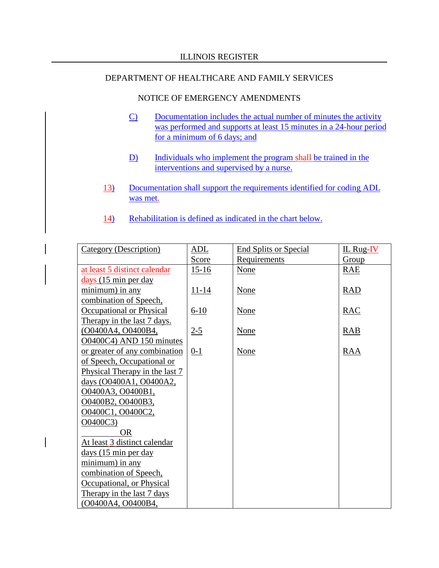- C) Documentation includes the actual number of minutes the activity was performed and supports at least 15 minutes in a 24-hour period for a minimum of 6 days; and
- D) Individuals who implement the program shall be trained in the interventions and supervised by a nurse.
- 13) Documentation shall support the requirements identified for coding ADL was met.
- 14) Rehabilitation is defined as indicated in the chart below.

| <b>Category (Description)</b>  | ADL       | <b>End Splits or Special</b> | $IL$ Rug- $IV$ |
|--------------------------------|-----------|------------------------------|----------------|
|                                | Score     | Requirements                 | Group          |
| at least 5 distinct calendar   | $15-16$   | <b>None</b>                  | RAE            |
| $\frac{days}{15}$ min per day  |           |                              |                |
| minimum) in any                | $11 - 14$ | None                         | <b>RAD</b>     |
| combination of Speech,         |           |                              |                |
| Occupational or Physical       | $6-10$    | <b>None</b>                  | RAC            |
| Therapy in the last 7 days.    |           |                              |                |
| (O0400A4, O0400B4,             | $2 - 5$   | <b>None</b>                  | RAB            |
| O0400C4) AND 150 minutes       |           |                              |                |
| or greater of any combination  | $0-1$     | <b>None</b>                  | RAA            |
| of Speech, Occupational or     |           |                              |                |
| Physical Therapy in the last 7 |           |                              |                |
| days (O0400A1, O0400A2,        |           |                              |                |
| O0400A3, O0400B1,              |           |                              |                |
| O0400B2, O0400B3,              |           |                              |                |
| O0400C1, O0400C2,              |           |                              |                |
| O0400C3)                       |           |                              |                |
| <b>OR</b>                      |           |                              |                |
| At least 3 distinct calendar   |           |                              |                |
| days (15 min per day           |           |                              |                |
| minimum) in any                |           |                              |                |
| combination of Speech,         |           |                              |                |
| Occupational, or Physical      |           |                              |                |
| Therapy in the last 7 days     |           |                              |                |
| (O0400A4, O0400B4,             |           |                              |                |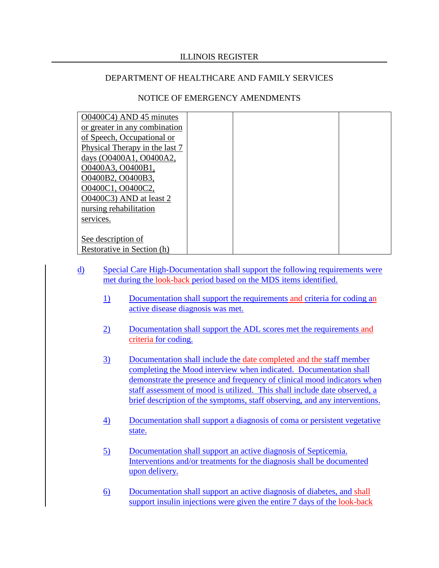| O0400C4) AND 45 minutes        |  |
|--------------------------------|--|
| or greater in any combination  |  |
| of Speech, Occupational or     |  |
| Physical Therapy in the last 7 |  |
| days (O0400A1, O0400A2,        |  |
| O0400A3, O0400B1,              |  |
| O0400B2, O0400B3,              |  |
| O0400C1, O0400C2,              |  |
| O0400C3) AND at least 2        |  |
| nursing rehabilitation         |  |
|                                |  |
| services.                      |  |
|                                |  |
| See description of             |  |
| Restorative in Section (h)     |  |

- d) Special Care High-Documentation shall support the following requirements were met during the look-back period based on the MDS items identified.
	- 1) Documentation shall support the requirements and criteria for coding an active disease diagnosis was met.
	- 2) Documentation shall support the ADL scores met the requirements and criteria for coding.
	- 3) Documentation shall include the date completed and the staff member completing the Mood interview when indicated. Documentation shall demonstrate the presence and frequency of clinical mood indicators when staff assessment of mood is utilized. This shall include date observed, a brief description of the symptoms, staff observing, and any interventions.
	- 4) Documentation shall support a diagnosis of coma or persistent vegetative state.
	- 5) Documentation shall support an active diagnosis of Septicemia. Interventions and/or treatments for the diagnosis shall be documented upon delivery.
	- 6) Documentation shall support an active diagnosis of diabetes, and shall support insulin injections were given the entire 7 days of the look-back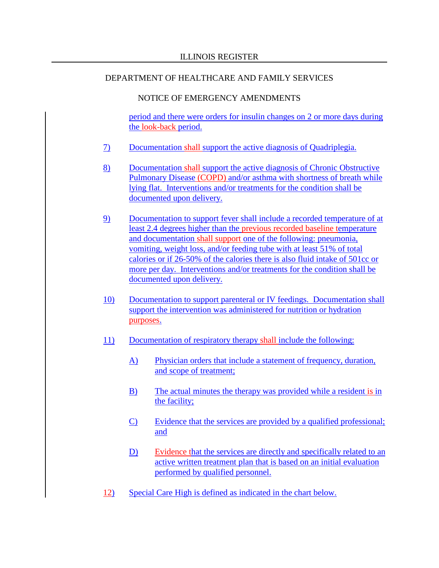#### NOTICE OF EMERGENCY AMENDMENTS

period and there were orders for insulin changes on 2 or more days during the look-back period.

- 7) Documentation shall support the active diagnosis of Quadriplegia.
- 8) Documentation shall support the active diagnosis of Chronic Obstructive Pulmonary Disease (COPD) and/or asthma with shortness of breath while lying flat. Interventions and/or treatments for the condition shall be documented upon delivery.
- 9) Documentation to support fever shall include a recorded temperature of at least 2.4 degrees higher than the previous recorded baseline temperature and documentation shall support one of the following: pneumonia, vomiting, weight loss, and/or feeding tube with at least 51% of total calories or if 26-50% of the calories there is also fluid intake of 501cc or more per day. Interventions and/or treatments for the condition shall be documented upon delivery.
- 10) Documentation to support parenteral or IV feedings. Documentation shall support the intervention was administered for nutrition or hydration purposes.
- 11) Documentation of respiratory therapy shall include the following:
	- A) Physician orders that include a statement of frequency, duration, and scope of treatment;
	- B) The actual minutes the therapy was provided while a resident is in the facility;
	- C) Evidence that the services are provided by a qualified professional; and
	- D) Evidence that the services are directly and specifically related to an active written treatment plan that is based on an initial evaluation performed by qualified personnel.
- 12) Special Care High is defined as indicated in the chart below.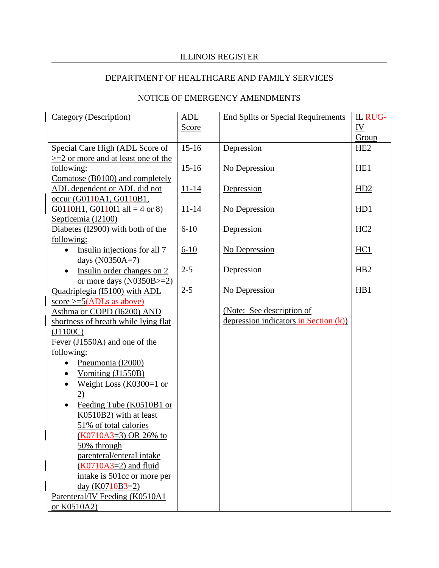# ILLINOIS REGISTER

# DEPARTMENT OF HEALTHCARE AND FAMILY SERVICES

| <b>Category (Description)</b>             | ADL          | <b>End Splits or Special Requirements</b> | <b>IL RUG-</b>   |
|-------------------------------------------|--------------|-------------------------------------------|------------------|
|                                           | <b>Score</b> |                                           | <u>IV</u>        |
|                                           |              |                                           | Group            |
| Special Care High (ADL Score of           | $15 - 16$    | Depression                                | HE <sub>2</sub>  |
| $>=$ 2 or more and at least one of the    |              |                                           |                  |
| following:                                | $15-16$      | No Depression                             | HE <sub>1</sub>  |
| Comatose (B0100) and completely           |              |                                           |                  |
| ADL dependent or ADL did not              | $11 - 14$    | Depression                                | HD2              |
| occur (G0110A1, G0110B1,                  |              |                                           |                  |
| G0110H1, G0110I1 all = 4 or 8)            | $11 - 14$    | No Depression                             | H <sub>D</sub> 1 |
| Septicemia (I2100)                        |              |                                           |                  |
| Diabetes (I2900) with both of the         | $6 - 10$     | Depression                                | HC2              |
| following:                                |              |                                           |                  |
| Insulin injections for all 7<br>$\bullet$ | $6-10$       | No Depression                             | HC <sub>1</sub>  |
| days (N0350A=7)                           |              |                                           |                  |
| Insulin order changes on 2                | $2 - 5$      | Depression                                | H <sub>B2</sub>  |
| or more days $(N0350B>=2)$                |              |                                           |                  |
| Quadriplegia (I5100) with ADL             | $2 - 5$      | No Depression                             | HB1              |
| score $>=5(ADLs$ as above)                |              |                                           |                  |
| Asthma or COPD (I6200) AND                |              | (Note: See description of                 |                  |
| shortness of breath while lying flat      |              | depression indicators in Section (k))     |                  |
| (J1100C)                                  |              |                                           |                  |
| Fever (J1550A) and one of the             |              |                                           |                  |
| following:                                |              |                                           |                  |
| Pneumonia (I2000)<br>$\bullet$            |              |                                           |                  |
| Vomiting (J1550B)                         |              |                                           |                  |
| Weight Loss (K0300=1 or<br>$\bullet$      |              |                                           |                  |
| 2)                                        |              |                                           |                  |
| Feeding Tube (K0510B1 or<br>$\bullet$     |              |                                           |                  |
| K0510B2) with at least                    |              |                                           |                  |
| 51% of total calories                     |              |                                           |                  |
| $(K0710A3=3)$ OR 26% to                   |              |                                           |                  |
| 50% through                               |              |                                           |                  |
| parenteral/enteral intake                 |              |                                           |                  |
| $(K0710A3=2)$ and fluid                   |              |                                           |                  |
| intake is 501cc or more per               |              |                                           |                  |
| day $(K0710B3=2)$                         |              |                                           |                  |
| Parenteral/IV Feeding (K0510A1            |              |                                           |                  |
| or K0510A2)                               |              |                                           |                  |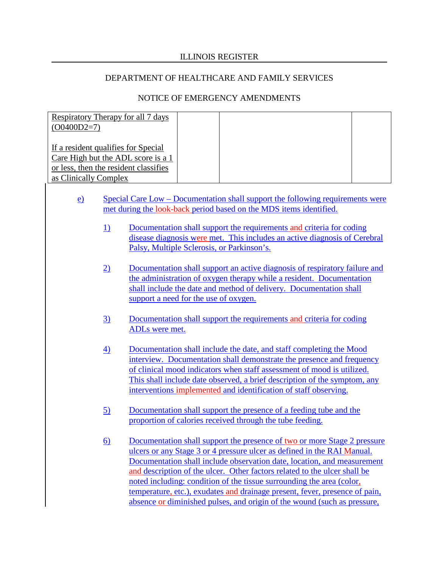#### ILLINOIS REGISTER

#### DEPARTMENT OF HEALTHCARE AND FAMILY SERVICES

| Respiratory Therapy for all 7 days<br>$(O0400D2=7)$ |  |  |
|-----------------------------------------------------|--|--|
| If a resident qualifies for Special                 |  |  |
| Care High but the ADL score is a 1                  |  |  |
| or less, then the resident classifies               |  |  |
| as Clinically Complex                               |  |  |

- e) Special Care Low Documentation shall support the following requirements were met during the look-back period based on the MDS items identified.
	- 1) Documentation shall support the requirements and criteria for coding disease diagnosis were met. This includes an active diagnosis of Cerebral Palsy, Multiple Sclerosis, or Parkinson's.
	- 2) Documentation shall support an active diagnosis of respiratory failure and the administration of oxygen therapy while a resident. Documentation shall include the date and method of delivery. Documentation shall support a need for the use of oxygen.
	- 3) Documentation shall support the requirements and criteria for coding ADLs were met.
	- 4) Documentation shall include the date, and staff completing the Mood interview. Documentation shall demonstrate the presence and frequency of clinical mood indicators when staff assessment of mood is utilized. This shall include date observed, a brief description of the symptom, any interventions implemented and identification of staff observing.
	- 5) Documentation shall support the presence of a feeding tube and the proportion of calories received through the tube feeding.
	- 6) Documentation shall support the presence of two or more Stage 2 pressure ulcers or any Stage 3 or 4 pressure ulcer as defined in the RAI Manual. Documentation shall include observation date, location, and measurement and description of the ulcer. Other factors related to the ulcer shall be noted including: condition of the tissue surrounding the area (color, temperature, etc.), exudates and drainage present, fever, presence of pain, absence or diminished pulses, and origin of the wound (such as pressure,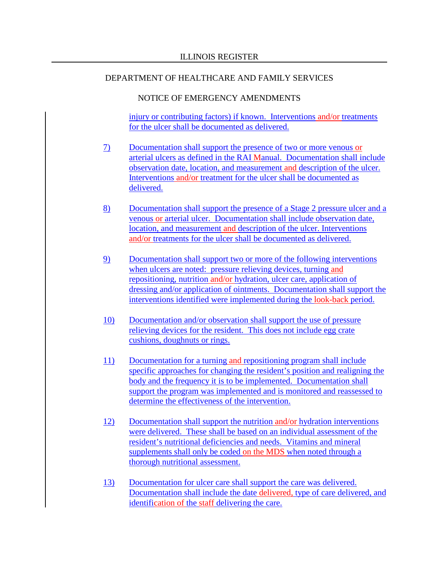## NOTICE OF EMERGENCY AMENDMENTS

injury or contributing factors) if known. Interventions and/or treatments for the ulcer shall be documented as delivered.

- 7) Documentation shall support the presence of two or more venous or arterial ulcers as defined in the RAI Manual. Documentation shall include observation date, location, and measurement and description of the ulcer. Interventions and/or treatment for the ulcer shall be documented as delivered.
- 8) Documentation shall support the presence of a Stage 2 pressure ulcer and a venous or arterial ulcer. Documentation shall include observation date, location, and measurement and description of the ulcer. Interventions and/or treatments for the ulcer shall be documented as delivered.
- 9) Documentation shall support two or more of the following interventions when ulcers are noted: pressure relieving devices, turning and repositioning, nutrition and/or hydration, ulcer care, application of dressing and/or application of ointments. Documentation shall support the interventions identified were implemented during the look-back period.
- 10) Documentation and/or observation shall support the use of pressure relieving devices for the resident. This does not include egg crate cushions, doughnuts or rings.
- 11) Documentation for a turning and repositioning program shall include specific approaches for changing the resident's position and realigning the body and the frequency it is to be implemented. Documentation shall support the program was implemented and is monitored and reassessed to determine the effectiveness of the intervention.
- 12) Documentation shall support the nutrition and/or hydration interventions were delivered. These shall be based on an individual assessment of the resident's nutritional deficiencies and needs. Vitamins and mineral supplements shall only be coded on the MDS when noted through a thorough nutritional assessment.
- 13) Documentation for ulcer care shall support the care was delivered. Documentation shall include the date delivered, type of care delivered, and identification of the staff delivering the care.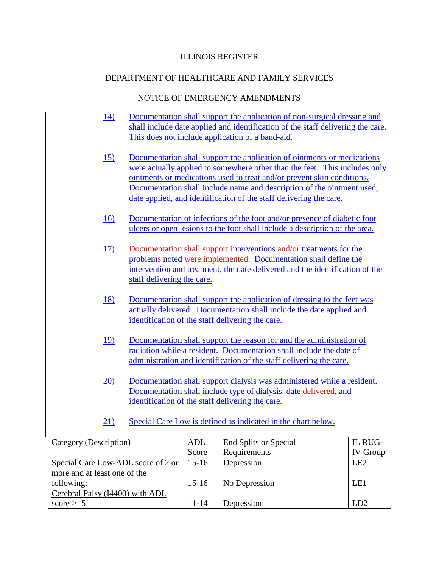- 14) Documentation shall support the application of non-surgical dressing and shall include date applied and identification of the staff delivering the care. This does not include application of a band-aid.
- 15) Documentation shall support the application of ointments or medications were actually applied to somewhere other than the feet. This includes only ointments or medications used to treat and/or prevent skin conditions. Documentation shall include name and description of the ointment used, date applied, and identification of the staff delivering the care.
- 16) Documentation of infections of the foot and/or presence of diabetic foot ulcers or open lesions to the foot shall include a description of the area.
- 17) Documentation shall support interventions and/or treatments for the problems noted were implemented. Documentation shall define the intervention and treatment, the date delivered and the identification of the staff delivering the care.
- 18) Documentation shall support the application of dressing to the feet was actually delivered. Documentation shall include the date applied and identification of the staff delivering the care.
- 19) Documentation shall support the reason for and the administration of radiation while a resident. Documentation shall include the date of administration and identification of the staff delivering the care.
- 20) Documentation shall support dialysis was administered while a resident. Documentation shall include type of dialysis, date delivered, and identification of the staff delivering the care.
- 21) Special Care Low is defined as indicated in the chart below.

| Category (Description)             | ADL     | End Splits or Special | IL RUG-        |
|------------------------------------|---------|-----------------------|----------------|
|                                    | Score   | Requirements          | <b>V</b> Group |
| Special Care Low-ADL score of 2 or | $15-16$ | Depression            | <b>LE2</b>     |
| more and at least one of the       |         |                       |                |
| following:                         | $15-16$ | No Depression         | LE1            |
| Cerebral Palsy (I4400) with ADL    |         |                       |                |
| score $\geq 5$                     | 11-14   | Depression            | D2.            |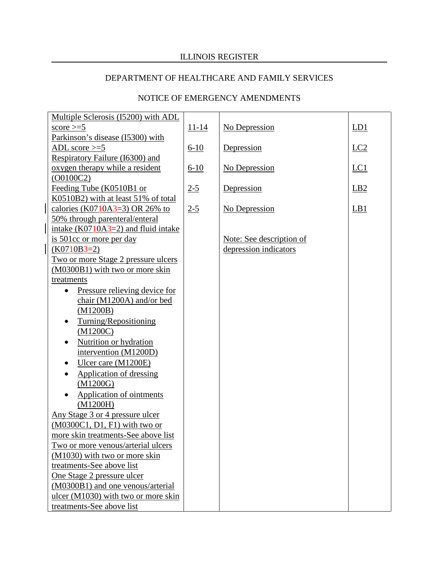# ILLINOIS REGISTER

# DEPARTMENT OF HEALTHCARE AND FAMILY SERVICES

| Multiple Sclerosis (15200) with ADL   |           |                          |                 |
|---------------------------------------|-----------|--------------------------|-----------------|
| score $\geq 5$                        | $11 - 14$ | No Depression            | LD1             |
| Parkinson's disease (I5300) with      |           |                          |                 |
| ADL score $>=5$                       | $6 - 10$  | Depression               | $LC2$           |
| Respiratory Failure (I6300) and       |           |                          |                 |
| oxygen therapy while a resident       | $6-10$    | No Depression            | LC1             |
| (00100C2)                             |           |                          |                 |
| Feeding Tube (K0510B1 or              | $2 - 5$   | Depression               | LB <sub>2</sub> |
| K0510B2) with at least 51% of total   |           |                          |                 |
| calories (K0710A3=3) OR 26% to        | $2 - 5$   | No Depression            | LB1             |
| 50% through parenteral/enteral        |           |                          |                 |
| intake $(K0710A3=2)$ and fluid intake |           |                          |                 |
| is 501cc or more per day              |           | Note: See description of |                 |
| $(K0710B3=2)$                         |           | depression indicators    |                 |
| Two or more Stage 2 pressure ulcers   |           |                          |                 |
| (M0300B1) with two or more skin       |           |                          |                 |
| treatments                            |           |                          |                 |
| Pressure relieving device for         |           |                          |                 |
| chair (M1200A) and/or bed             |           |                          |                 |
| (M1200B)                              |           |                          |                 |
| Turning/Repositioning                 |           |                          |                 |
| (M1200C)                              |           |                          |                 |
| Nutrition or hydration                |           |                          |                 |
| intervention (M1200D)                 |           |                          |                 |
| Ulcer care (M1200E)                   |           |                          |                 |
| <b>Application of dressing</b>        |           |                          |                 |
| (M1200G)                              |           |                          |                 |
| Application of ointments              |           |                          |                 |
| (M1200H)                              |           |                          |                 |
| Any Stage 3 or 4 pressure ulcer       |           |                          |                 |
| (M0300C1, D1, F1) with two or         |           |                          |                 |
| more skin treatments-See above list   |           |                          |                 |
| Two or more venous/arterial ulcers    |           |                          |                 |
| (M1030) with two or more skin         |           |                          |                 |
| treatments-See above list             |           |                          |                 |
| One Stage 2 pressure ulcer            |           |                          |                 |
| (M0300B1) and one venous/arterial     |           |                          |                 |
| ulcer (M1030) with two or more skin   |           |                          |                 |
| treatments-See above list             |           |                          |                 |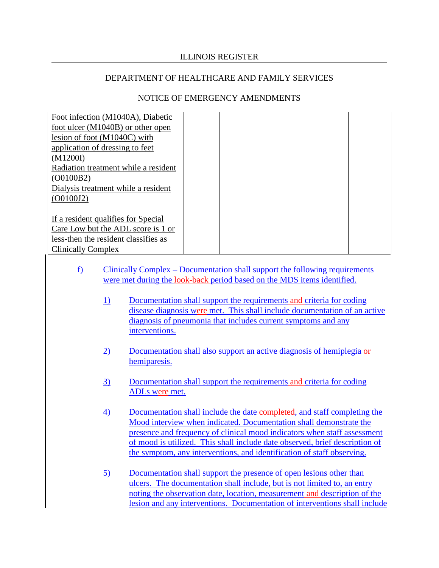#### ILLINOIS REGISTER

#### DEPARTMENT OF HEALTHCARE AND FAMILY SERVICES

| Foot infection (M1040A), Diabetic    |  |  |
|--------------------------------------|--|--|
| foot ulcer (M1040B) or other open    |  |  |
| lesion of foot $(M1040C)$ with       |  |  |
| application of dressing to feet      |  |  |
| (M1200I)                             |  |  |
| Radiation treatment while a resident |  |  |
| (O0100B2)                            |  |  |
| Dialysis treatment while a resident  |  |  |
| (O0100J2)                            |  |  |
|                                      |  |  |
| If a resident qualifies for Special  |  |  |
| Care Low but the ADL score is 1 or   |  |  |
| less-then the resident classifies as |  |  |
| <b>Clinically Complex</b>            |  |  |

- f) Clinically Complex Documentation shall support the following requirements were met during the look-back period based on the MDS items identified.
	- 1) Documentation shall support the requirements and criteria for coding disease diagnosis were met. This shall include documentation of an active diagnosis of pneumonia that includes current symptoms and any interventions.
	- 2) Documentation shall also support an active diagnosis of hemiplegia or hemiparesis.
	- 3) Documentation shall support the requirements and criteria for coding ADLs were met.
	- 4) Documentation shall include the date completed, and staff completing the Mood interview when indicated. Documentation shall demonstrate the presence and frequency of clinical mood indicators when staff assessment of mood is utilized. This shall include date observed, brief description of the symptom, any interventions, and identification of staff observing.
	- 5) Documentation shall support the presence of open lesions other than ulcers. The documentation shall include, but is not limited to, an entry noting the observation date, location, measurement and description of the lesion and any interventions. Documentation of interventions shall include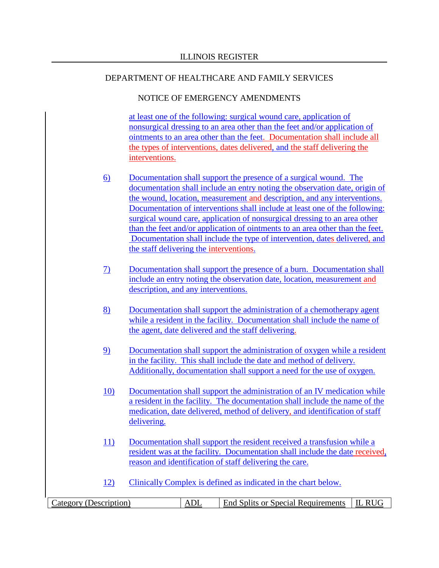## NOTICE OF EMERGENCY AMENDMENTS

at least one of the following: surgical wound care, application of nonsurgical dressing to an area other than the feet and/or application of ointments to an area other than the feet. Documentation shall include all the types of interventions, dates delivered, and the staff delivering the interventions.

- 6) Documentation shall support the presence of a surgical wound. The documentation shall include an entry noting the observation date, origin of the wound, location, measurement and description, and any interventions. Documentation of interventions shall include at least one of the following: surgical wound care, application of nonsurgical dressing to an area other than the feet and/or application of ointments to an area other than the feet. Documentation shall include the type of intervention, dates delivered, and the staff delivering the interventions.
- 7) Documentation shall support the presence of a burn. Documentation shall include an entry noting the observation date, location, measurement and description, and any interventions.
- 8) Documentation shall support the administration of a chemotherapy agent while a resident in the facility. Documentation shall include the name of the agent, date delivered and the staff delivering.
- 9) Documentation shall support the administration of oxygen while a resident in the facility. This shall include the date and method of delivery. Additionally, documentation shall support a need for the use of oxygen.
- 10) Documentation shall support the administration of an IV medication while a resident in the facility. The documentation shall include the name of the medication, date delivered, method of delivery, and identification of staff delivering.
- 11) Documentation shall support the resident received a transfusion while a resident was at the facility. Documentation shall include the date received, reason and identification of staff delivering the care.
- 12) Clinically Complex is defined as indicated in the chart below.

| $\angle$ ategory (Description) | ᆈ | End Splits or Special Requirements | DТ |
|--------------------------------|---|------------------------------------|----|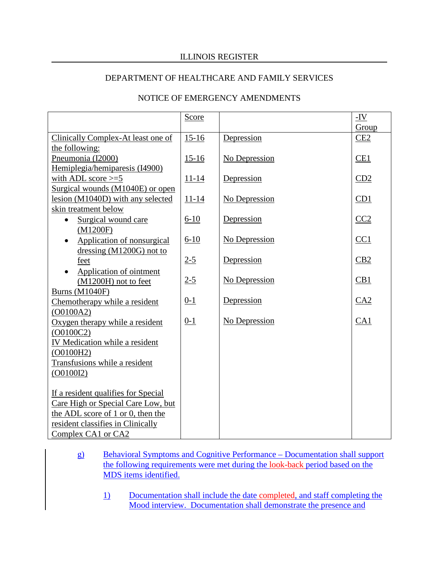## ILLINOIS REGISTER

#### DEPARTMENT OF HEALTHCARE AND FAMILY SERVICES

## NOTICE OF EMERGENCY AMENDMENTS

|                                           | Score     |               | $-IV$ |
|-------------------------------------------|-----------|---------------|-------|
|                                           |           |               | Group |
| <b>Clinically Complex-At least one of</b> | $15-16$   | Depression    | CE2   |
| the following:                            |           |               |       |
| Pneumonia (I2000)                         | $15-16$   | No Depression | CE1   |
| Hemiplegia/hemiparesis (I4900)            |           |               |       |
| with ADL score $>=5$                      | $11 - 14$ | Depression    | CD2   |
| Surgical wounds (M1040E) or open          |           |               |       |
| lesion (M1040D) with any selected         | $11 - 14$ | No Depression | CD1   |
| skin treatment below                      |           |               |       |
| Surgical wound care<br>$\bullet$          | $6-10$    | Depression    | CC2   |
| (M1200F)                                  |           |               |       |
| Application of nonsurgical                | $6 - 10$  | No Depression | CC1   |
| dressing $(M1200G)$ not to                |           |               |       |
| feet                                      | $2 - 5$   | Depression    | CB2   |
| Application of ointment                   |           |               |       |
| (M1200H) not to feet                      | $2 - 5$   | No Depression | CB1   |
| <b>Burns (M1040F)</b>                     |           |               |       |
| Chemotherapy while a resident             | $0 - 1$   | Depression    | CA2   |
| (00100A2)                                 |           |               |       |
| Oxygen therapy while a resident           | $0 - 1$   | No Depression | CA1   |
| (00100C2)                                 |           |               |       |
| IV Medication while a resident            |           |               |       |
| (O0100H2)                                 |           |               |       |
| Transfusions while a resident             |           |               |       |
| (O0100I2)                                 |           |               |       |
|                                           |           |               |       |
| If a resident qualifies for Special       |           |               |       |
| Care High or Special Care Low, but        |           |               |       |
| the ADL score of 1 or 0, then the         |           |               |       |
| resident classifies in Clinically         |           |               |       |
| Complex CA1 or CA2                        |           |               |       |

g) Behavioral Symptoms and Cognitive Performance – Documentation shall support the following requirements were met during the look-back period based on the MDS items identified.

1) Documentation shall include the date completed, and staff completing the Mood interview. Documentation shall demonstrate the presence and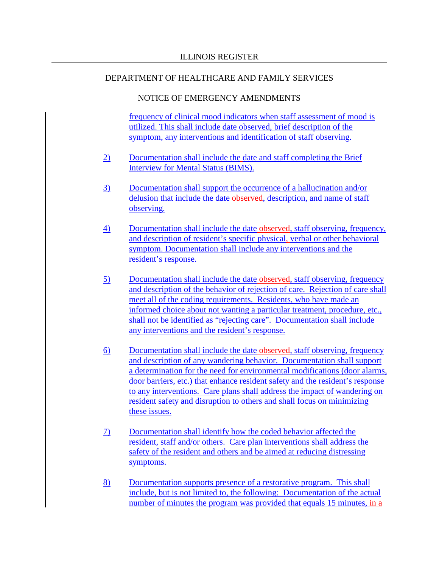#### NOTICE OF EMERGENCY AMENDMENTS

frequency of clinical mood indicators when staff assessment of mood is utilized. This shall include date observed, brief description of the symptom, any interventions and identification of staff observing.

- 2) Documentation shall include the date and staff completing the Brief Interview for Mental Status (BIMS).
- 3) Documentation shall support the occurrence of a hallucination and/or delusion that include the date observed, description, and name of staff observing.
- 4) Documentation shall include the date observed, staff observing, frequency, and description of resident's specific physical, verbal or other behavioral symptom. Documentation shall include any interventions and the resident's response.
- 5) Documentation shall include the date observed, staff observing, frequency and description of the behavior of rejection of care. Rejection of care shall meet all of the coding requirements. Residents, who have made an informed choice about not wanting a particular treatment, procedure, etc., shall not be identified as "rejecting care". Documentation shall include any interventions and the resident's response.
- 6) Documentation shall include the date observed, staff observing, frequency and description of any wandering behavior. Documentation shall support a determination for the need for environmental modifications (door alarms, door barriers, etc.) that enhance resident safety and the resident's response to any interventions. Care plans shall address the impact of wandering on resident safety and disruption to others and shall focus on minimizing these issues.
- 7) Documentation shall identify how the coded behavior affected the resident, staff and/or others. Care plan interventions shall address the safety of the resident and others and be aimed at reducing distressing symptoms.
- 8) Documentation supports presence of a restorative program. This shall include, but is not limited to, the following: Documentation of the actual number of minutes the program was provided that equals 15 minutes, in a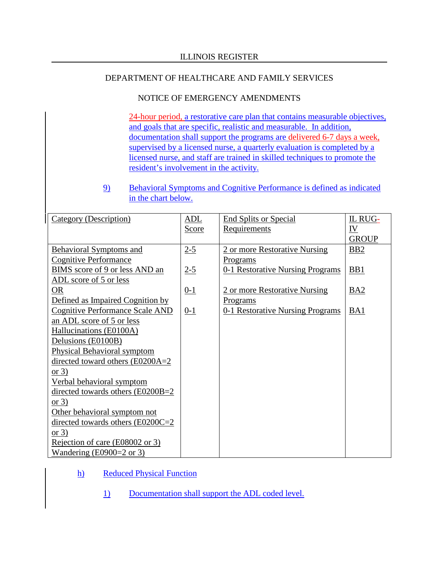## NOTICE OF EMERGENCY AMENDMENTS

24-hour period, a restorative care plan that contains measurable objectives, and goals that are specific, realistic and measurable. In addition, documentation shall support the programs are delivered 6-7 days a week, supervised by a licensed nurse, a quarterly evaluation is completed by a licensed nurse, and staff are trained in skilled techniques to promote the resident's involvement in the activity.

# 9) Behavioral Symptoms and Cognitive Performance is defined as indicated in the chart below.

| Category (Description)                 | ADL     | <b>End Splits or Special</b>     | IL RUG-      |
|----------------------------------------|---------|----------------------------------|--------------|
|                                        | Score   | Requirements                     | <u>IV</u>    |
|                                        |         |                                  | <b>GROUP</b> |
| <b>Behavioral Symptoms and</b>         | $2-5$   | 2 or more Restorative Nursing    | <b>BB2</b>   |
| <b>Cognitive Performance</b>           |         | <b>Programs</b>                  |              |
| BIMS score of 9 or less AND an         | $2 - 5$ | 0-1 Restorative Nursing Programs | BB1          |
| ADL score of 5 or less                 |         |                                  |              |
| <b>OR</b>                              | $0 - 1$ | 2 or more Restorative Nursing    | BA2          |
| Defined as Impaired Cognition by       |         | <b>Programs</b>                  |              |
| <b>Cognitive Performance Scale AND</b> | $0-1$   | 0-1 Restorative Nursing Programs | BA1          |
| an ADL score of 5 or less              |         |                                  |              |
| Hallucinations (E0100A)                |         |                                  |              |
| Delusions (E0100B)                     |         |                                  |              |
| Physical Behavioral symptom            |         |                                  |              |
| directed toward others (E0200A=2)      |         |                                  |              |
| or $3)$                                |         |                                  |              |
| Verbal behavioral symptom              |         |                                  |              |
| directed towards others (E0200B=2)     |         |                                  |              |
| or $3)$                                |         |                                  |              |
| Other behavioral symptom not           |         |                                  |              |
| directed towards others $(E0200C=2$    |         |                                  |              |
| or $3)$                                |         |                                  |              |
| Rejection of care (E08002 or 3)        |         |                                  |              |
| Wandering (E0900=2 or 3)               |         |                                  |              |

## h) Reduced Physical Function

1) Documentation shall support the ADL coded level.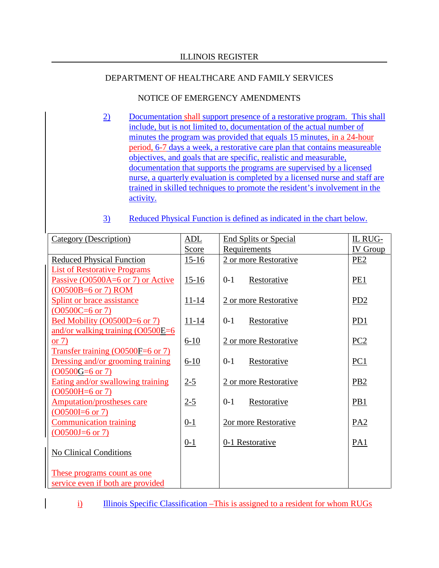## NOTICE OF EMERGENCY AMENDMENTS

- 2) Documentation shall support presence of a restorative program. This shall include, but is not limited to, documentation of the actual number of minutes the program was provided that equals 15 minutes, in a 24-hour period, 6-7 days a week, a restorative care plan that contains measureable objectives, and goals that are specific, realistic and measurable, documentation that supports the programs are supervised by a licensed nurse, a quarterly evaluation is completed by a licensed nurse and staff are trained in skilled techniques to promote the resident's involvement in the activity.
- 3) Reduced Physical Function is defined as indicated in the chart below.

| Category (Description)                                           | ADL          | <b>End Splits or Special</b> | IL RUG-         |
|------------------------------------------------------------------|--------------|------------------------------|-----------------|
|                                                                  | <b>Score</b> | Requirements                 | <b>IV</b> Group |
| <b>Reduced Physical Function</b>                                 | $15 - 16$    | 2 or more Restorative        | PE <sub>2</sub> |
| <b>List of Restorative Programs</b>                              |              |                              |                 |
| Passive (O0500A=6 or 7) or Active                                | $15-16$      | Restorative<br>$0-1$         | PE1             |
| (O0500B=6 or 7) ROM                                              |              |                              |                 |
| Splint or brace assistance                                       | $11 - 14$    | 2 or more Restorative        | PD2             |
| $(00500C=6 \text{ or } 7)$                                       |              |                              |                 |
| Bed Mobility (O0500D=6 or 7)                                     | $11 - 14$    | Restorative<br>$0-1$         | PD1             |
| and/or walking training (O0500E=6                                |              |                              |                 |
| or $7)$                                                          | $6-10$       | 2 or more Restorative        | PC2             |
| Transfer training (O0500F=6 or 7)                                |              |                              |                 |
| Dressing and/or grooming training                                | $6-10$       | $0-1$<br>Restorative         | PC1             |
| $(00500G=6 \text{ or } 7)$                                       |              |                              |                 |
| Eating and/or swallowing training                                | $2 - 5$      | 2 or more Restorative        | PB2             |
| $(00500H=6$ or 7)                                                |              |                              |                 |
| <b>Amputation/prostheses care</b>                                | $2 - 5$      | Restorative<br>$0-1$         | PB1             |
| $(00500I=6 \text{ or } 7)$                                       |              |                              |                 |
| <b>Communication training</b>                                    | $0 - 1$      | 2or more Restorative         | PA2             |
| $(00500J=6 \text{ or } 7)$                                       |              |                              |                 |
|                                                                  | $0 - 1$      | 0-1 Restorative              | PA1             |
| <b>No Clinical Conditions</b>                                    |              |                              |                 |
|                                                                  |              |                              |                 |
| These programs count as one<br>service even if both are provided |              |                              |                 |
|                                                                  |              |                              |                 |

i) Illinois Specific Classification –This is assigned to a resident for whom RUGs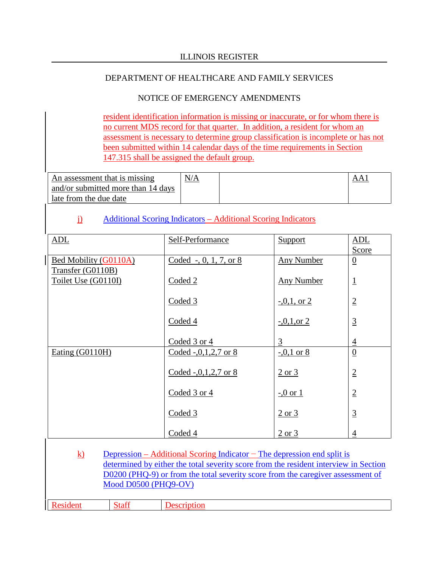# NOTICE OF EMERGENCY AMENDMENTS

resident identification information is missing or inaccurate, or for whom there is no current MDS record for that quarter. In addition, a resident for whom an assessment is necessary to determine group classification is incomplete or has not been submitted within 14 calendar days of the time requirements in Section 147.315 shall be assigned the default group.

| An assessment that is missing      | N/A |  |
|------------------------------------|-----|--|
| and/or submitted more than 14 days |     |  |
| late from the due date             |     |  |

# j) Additional Scoring Indicators – Additional Scoring Indicators

| <b>ADL</b>            | Self-Performance           | Support           | ADL            |
|-----------------------|----------------------------|-------------------|----------------|
|                       |                            |                   | Score          |
| Bed Mobility (G0110A) | Coded -, 0, 1, 7, or $8$   | <b>Any Number</b> | $\overline{0}$ |
| Transfer (G0110B)     |                            |                   |                |
| Toilet Use (G0110I)   | Coded 2                    | <b>Any Number</b> | $\overline{1}$ |
|                       | Coded 3                    | $-0.1$ , or 2     |                |
|                       |                            |                   | $\overline{2}$ |
|                       | Coded 4                    | $-0.1$ , or 2     | $\overline{3}$ |
|                       | Coded 3 or 4               | $\overline{3}$    | $\overline{4}$ |
| Eating $(G0110H)$     | Coded -, $0, 1, 2, 7$ or 8 | $-0.1$ or 8       | $\overline{0}$ |
|                       | Coded -, $0,1,2,7$ or 8    | 2 or 3            | $\overline{2}$ |
|                       | Coded 3 or 4               | $-0$ or 1         | $\overline{2}$ |
|                       | Coded 3                    | $2$ or $3$        | $\overline{3}$ |
|                       | Coded 4                    | 2 or 3            | 4              |

| $\bf{k}$ | $Mod$ D0500 (PHQ9-OV) | Depression – Additional Scoring Indicator – The depression end split is<br>determined by either the total severity score from the resident interview in Section<br>D0200 (PHQ-9) or from the total severity score from the caregiver assessment of |
|----------|-----------------------|----------------------------------------------------------------------------------------------------------------------------------------------------------------------------------------------------------------------------------------------------|
|          |                       |                                                                                                                                                                                                                                                    |
| Resident | Staff                 | Description                                                                                                                                                                                                                                        |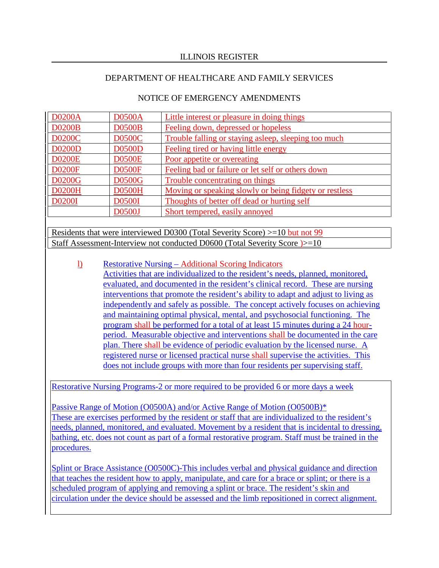# NOTICE OF EMERGENCY AMENDMENTS

| <b>D0200A</b> | <b>D0500A</b> | Little interest or pleasure in doing things            |
|---------------|---------------|--------------------------------------------------------|
| <b>D0200B</b> | <b>D0500B</b> | Feeling down, depressed or hopeless                    |
| <b>D0200C</b> | <b>D0500C</b> | Trouble falling or staying asleep, sleeping too much   |
| <b>D0200D</b> | <b>D0500D</b> | Feeling tired or having little energy                  |
| <b>D0200E</b> | <b>D0500E</b> | Poor appetite or overeating                            |
| <b>D0200F</b> | <b>D0500F</b> | Feeling bad or failure or let self or others down      |
| <b>D0200G</b> | <b>D0500G</b> | Trouble concentrating on things                        |
| <b>D0200H</b> | <b>D0500H</b> | Moving or speaking slowly or being fidgety or restless |
| <b>D0200I</b> | <b>D0500I</b> | Thoughts of better off dead or hurting self            |
|               | D0500J        | Short tempered, easily annoyed                         |

Residents that were interviewed D0300 (Total Severity Score) >=10 but not 99 Staff Assessment-Interview not conducted D0600 (Total Severity Score )>=10

l) Restorative Nursing – Additional Scoring Indicators Activities that are individualized to the resident's needs, planned, monitored, evaluated, and documented in the resident's clinical record. These are nursing interventions that promote the resident's ability to adapt and adjust to living as independently and safely as possible. The concept actively focuses on achieving and maintaining optimal physical, mental, and psychosocial functioning. The program shall be performed for a total of at least 15 minutes during a 24 hourperiod. Measurable objective and interventions shall be documented in the care plan. There shall be evidence of periodic evaluation by the licensed nurse. A registered nurse or licensed practical nurse shall supervise the activities. This does not include groups with more than four residents per supervising staff.

Restorative Nursing Programs-2 or more required to be provided 6 or more days a week

Passive Range of Motion (O0500A) and/or Active Range of Motion (O0500B)\* These are exercises performed by the resident or staff that are individualized to the resident's needs, planned, monitored, and evaluated. Movement by a resident that is incidental to dressing, bathing, etc. does not count as part of a formal restorative program. Staff must be trained in the procedures.

Splint or Brace Assistance (O0500C)-This includes verbal and physical guidance and direction that teaches the resident how to apply, manipulate, and care for a brace or splint; or there is a scheduled program of applying and removing a splint or brace. The resident's skin and circulation under the device should be assessed and the limb repositioned in correct alignment.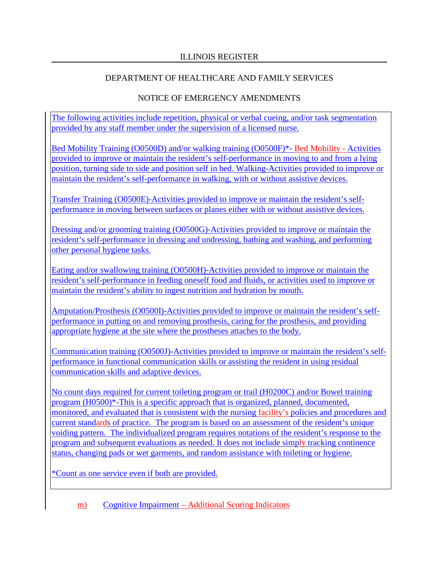# NOTICE OF EMERGENCY AMENDMENTS

The following activities include repetition, physical or verbal cueing, and/or task segmentation provided by any staff member under the supervision of a licensed nurse.

Bed Mobility Training (O0500D) and/or walking training (O0500F)\*- Bed Mobility - Activities provided to improve or maintain the resident's self-performance in moving to and from a lying position, turning side to side and position self in bed. Walking-Activities provided to improve or maintain the resident's self-performance in walking, with or without assistive devices.

Transfer Training (O0500E)-Activities provided to improve or maintain the resident's selfperformance in moving between surfaces or planes either with or without assistive devices.

Dressing and/or grooming training (O0500G)-Activities provided to improve or maintain the resident's self-performance in dressing and undressing, bathing and washing, and performing other personal hygiene tasks.

Eating and/or swallowing training (O0500H)-Activities provided to improve or maintain the resident's self-performance in feeding oneself food and fluids, or activities used to improve or maintain the resident's ability to ingest nutrition and hydration by mouth.

Amputation/Prosthesis (O0500I)-Activities provided to improve or maintain the resident's selfperformance in putting on and removing prosthesis, caring for the prosthesis, and providing appropriate hygiene at the site where the prostheses attaches to the body.

Communication training (O0500J)-Activities provided to improve or maintain the resident's selfperformance in functional communication skills or assisting the resident in using residual communication skills and adaptive devices.

No count days required for current toileting program or trail (H0200C) and/or Bowel training program (H0500)\*-This is a specific approach that is organized, planned, documented, monitored, and evaluated that is consistent with the nursing facility's policies and procedures and current standards of practice. The program is based on an assessment of the resident's unique voiding pattern. The individualized program requires notations of the resident's response to the program and subsequent evaluations as needed. It does not include simply tracking continence status, changing pads or wet garments, and random assistance with toileting or hygiene.

\*Count as one service even if both are provided.

m) Cognitive Impairment – Additional Scoring Indicators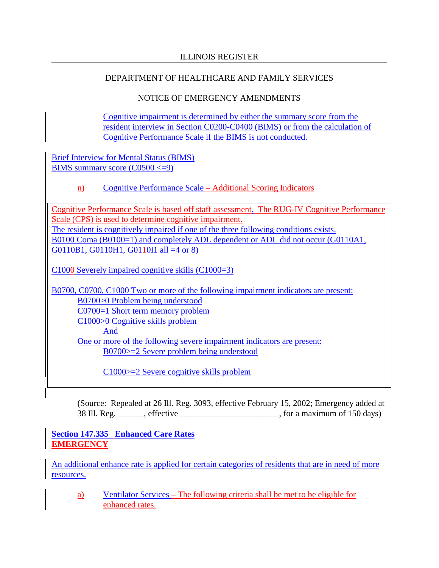# NOTICE OF EMERGENCY AMENDMENTS

Cognitive impairment is determined by either the summary score from the resident interview in Section C0200-C0400 (BIMS) or from the calculation of Cognitive Performance Scale if the BIMS is not conducted.

Brief Interview for Mental Status (BIMS) BIMS summary score  $(C0500 \leq 9)$ 

# n) Cognitive Performance Scale – Additional Scoring Indicators

Cognitive Performance Scale is based off staff assessment. The RUG-IV Cognitive Performance Scale (CPS) is used to determine cognitive impairment. The resident is cognitively impaired if one of the three following conditions exists. B0100 Coma (B0100=1) and completely ADL dependent or ADL did not occur (G0110A1, G0110B1, G0110H1, G0110I1 all =4 or 8)

C1000 Severely impaired cognitive skills (C1000=3)

B0700, C0700, C1000 Two or more of the following impairment indicators are present: B0700>0 Problem being understood C0700=1 Short term memory problem C1000>0 Cognitive skills problem And One or more of the following severe impairment indicators are present: B0700>=2 Severe problem being understood

C1000>=2 Severe cognitive skills problem

(Source: Repealed at 26 Ill. Reg. 3093, effective February 15, 2002; Emergency added at 38 Ill. Reg. \_\_\_\_\_\_, effective \_\_\_\_\_\_\_\_\_\_\_\_\_\_\_\_\_\_\_\_\_\_\_, for a maximum of 150 days)

**Section 147.335 Enhanced Care Rates EMERGENCY**

An additional enhance rate is applied for certain categories of residents that are in need of more resources.

a) Ventilator Services – The following criteria shall be met to be eligible for enhanced rates.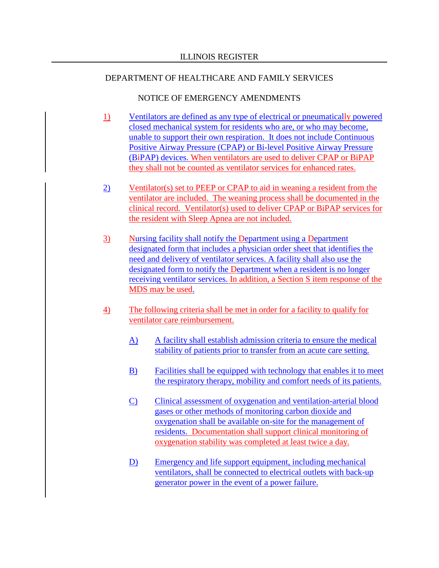- 1) Ventilators are defined as any type of electrical or pneumatically powered closed mechanical system for residents who are, or who may become, unable to support their own respiration. It does not include Continuous Positive Airway Pressure (CPAP) or Bi-level Positive Airway Pressure (BiPAP) devices. When ventilators are used to deliver CPAP or BiPAP they shall not be counted as ventilator services for enhanced rates.
- 2) Ventilator(s) set to PEEP or CPAP to aid in weaning a resident from the ventilator are included. The weaning process shall be documented in the clinical record. Ventilator(s) used to deliver CPAP or BiPAP services for the resident with Sleep Apnea are not included.
- 3) Nursing facility shall notify the Department using a Department designated form that includes a physician order sheet that identifies the need and delivery of ventilator services. A facility shall also use the designated form to notify the Department when a resident is no longer receiving ventilator services. In addition, a Section S item response of the MDS may be used.
- 4) The following criteria shall be met in order for a facility to qualify for ventilator care reimbursement.
	- A) A facility shall establish admission criteria to ensure the medical stability of patients prior to transfer from an acute care setting.
	- B) Facilities shall be equipped with technology that enables it to meet the respiratory therapy, mobility and comfort needs of its patients.
	- C) Clinical assessment of oxygenation and ventilation-arterial blood gases or other methods of monitoring carbon dioxide and oxygenation shall be available on-site for the management of residents. Documentation shall support clinical monitoring of oxygenation stability was completed at least twice a day.
	- D) Emergency and life support equipment, including mechanical ventilators, shall be connected to electrical outlets with back-up generator power in the event of a power failure.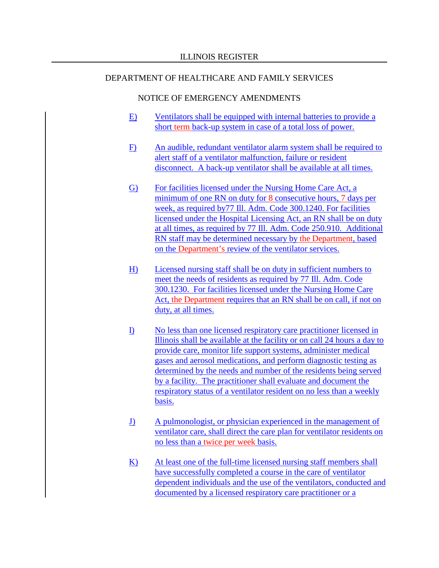- E) Ventilators shall be equipped with internal batteries to provide a short term back-up system in case of a total loss of power.
- F) An audible, redundant ventilator alarm system shall be required to alert staff of a ventilator malfunction, failure or resident disconnect. A back-up ventilator shall be available at all times.
- G) For facilities licensed under the Nursing Home Care Act, a minimum of one RN on duty for 8 consecutive hours, 7 days per week, as required by77 Ill. Adm. Code 300.1240. For facilities licensed under the Hospital Licensing Act, an RN shall be on duty at all times, as required by 77 Ill. Adm. Code 250.910. Additional RN staff may be determined necessary by the Department, based on the Department's review of the ventilator services.
- H) Licensed nursing staff shall be on duty in sufficient numbers to meet the needs of residents as required by 77 Ill. Adm. Code 300.1230. For facilities licensed under the Nursing Home Care Act, the Department requires that an RN shall be on call, if not on duty, at all times.
- I) No less than one licensed respiratory care practitioner licensed in Illinois shall be available at the facility or on call 24 hours a day to provide care, monitor life support systems, administer medical gases and aerosol medications, and perform diagnostic testing as determined by the needs and number of the residents being served by a facility. The practitioner shall evaluate and document the respiratory status of a ventilator resident on no less than a weekly basis.
- J) A pulmonologist, or physician experienced in the management of ventilator care, shall direct the care plan for ventilator residents on no less than a twice per week basis.
- K) At least one of the full-time licensed nursing staff members shall have successfully completed a course in the care of ventilator dependent individuals and the use of the ventilators, conducted and documented by a licensed respiratory care practitioner or a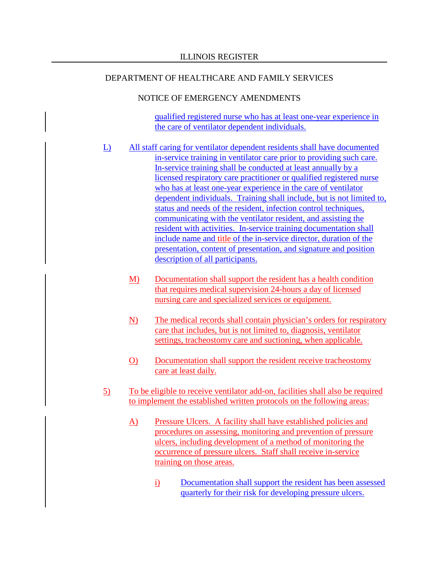# NOTICE OF EMERGENCY AMENDMENTS

qualified registered nurse who has at least one-year experience in the care of ventilator dependent individuals.

- L) All staff caring for ventilator dependent residents shall have documented in-service training in ventilator care prior to providing such care. In-service training shall be conducted at least annually by a licensed respiratory care practitioner or qualified registered nurse who has at least one-year experience in the care of ventilator dependent individuals. Training shall include, but is not limited to, status and needs of the resident, infection control techniques, communicating with the ventilator resident, and assisting the resident with activities. In-service training documentation shall include name and title of the in-service director, duration of the presentation, content of presentation, and signature and position description of all participants.
	- M) Documentation shall support the resident has a health condition that requires medical supervision 24-hours a day of licensed nursing care and specialized services or equipment.
	- N) The medical records shall contain physician's orders for respiratory care that includes, but is not limited to, diagnosis, ventilator settings, tracheostomy care and suctioning, when applicable.
	- O) Documentation shall support the resident receive tracheostomy care at least daily.
- 5) To be eligible to receive ventilator add-on, facilities shall also be required to implement the established written protocols on the following areas:
	- A) Pressure Ulcers. A facility shall have established policies and procedures on assessing, monitoring and prevention of pressure ulcers, including development of a method of monitoring the occurrence of pressure ulcers. Staff shall receive in-service training on those areas.
		- i) Documentation shall support the resident has been assessed quarterly for their risk for developing pressure ulcers.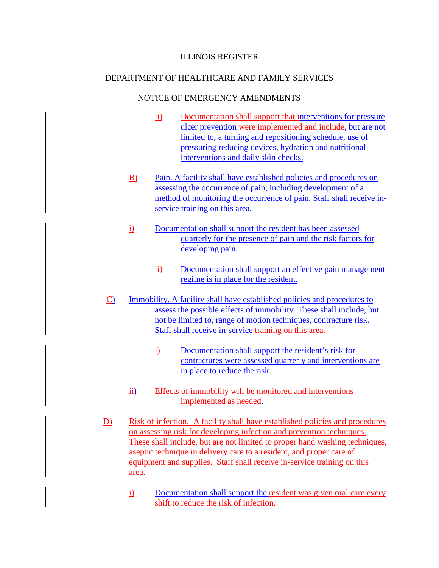- ii) Documentation shall support that interventions for pressure ulcer prevention were implemented and include, but are not limited to, a turning and repositioning schedule, use of pressuring reducing devices, hydration and nutritional interventions and daily skin checks.
- B) Pain. A facility shall have established policies and procedures on assessing the occurrence of pain, including development of a method of monitoring the occurrence of pain. Staff shall receive inservice training on this area.
- i) Documentation shall support the resident has been assessed quarterly for the presence of pain and the risk factors for developing pain.
	- ii) Documentation shall support an effective pain management regime is in place for the resident.
- C) Immobility. A facility shall have established policies and procedures to assess the possible effects of immobility. These shall include, but not be limited to, range of motion techniques, contracture risk. Staff shall receive in-service training on this area.
	- i) Documentation shall support the resident's risk for contractures were assessed quarterly and interventions are in place to reduce the risk.
	- ii) Effects of immobility will be monitored and interventions implemented as needed.
- D) Risk of infection. A facility shall have established policies and procedures on assessing risk for developing infection and prevention techniques. These shall include, but are not limited to proper hand washing techniques, aseptic technique in delivery care to a resident, and proper care of equipment and supplies. Staff shall receive in-service training on this area.
	- i) Documentation shall support the resident was given oral care every shift to reduce the risk of infection.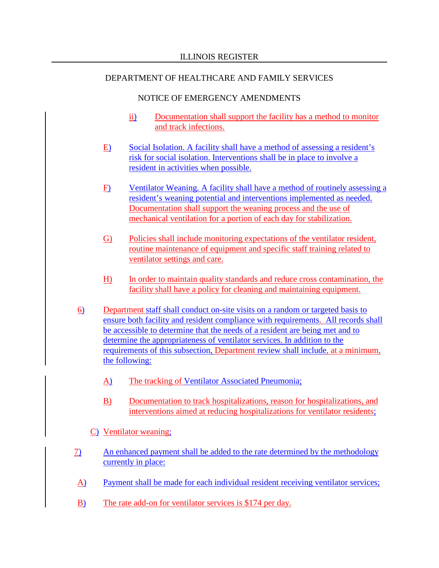- ii) Documentation shall support the facility has a method to monitor and track infections.
- E) Social Isolation. A facility shall have a method of assessing a resident's risk for social isolation. Interventions shall be in place to involve a resident in activities when possible.
- F) Ventilator Weaning. A facility shall have a method of routinely assessing a resident's weaning potential and interventions implemented as needed. Documentation shall support the weaning process and the use of mechanical ventilation for a portion of each day for stabilization.
- G) Policies shall include monitoring expectations of the ventilator resident, routine maintenance of equipment and specific staff training related to ventilator settings and care.
- H) In order to maintain quality standards and reduce cross contamination, the facility shall have a policy for cleaning and maintaining equipment.
- 6) Department staff shall conduct on-site visits on a random or targeted basis to ensure both facility and resident compliance with requirements. All records shall be accessible to determine that the needs of a resident are being met and to determine the appropriateness of ventilator services. In addition to the requirements of this subsection, Department review shall include, at a minimum, the following:
	- A) The tracking of Ventilator Associated Pneumonia;
	- B) Documentation to track hospitalizations, reason for hospitalizations, and interventions aimed at reducing hospitalizations for ventilator residents;
	- C) Ventilator weaning;
- 7) An enhanced payment shall be added to the rate determined by the methodology currently in place:
- A) Payment shall be made for each individual resident receiving ventilator services;
- B) The rate add-on for ventilator services is \$174 per day.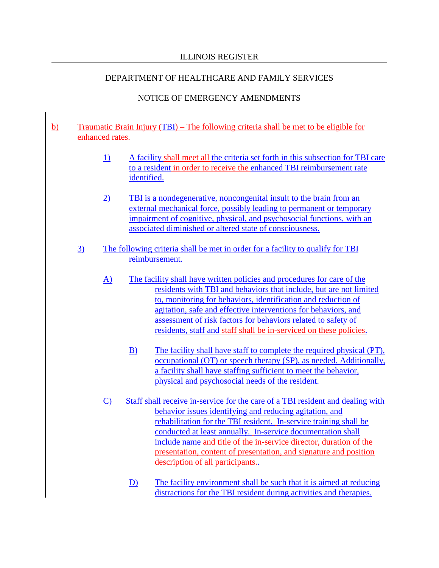# NOTICE OF EMERGENCY AMENDMENTS

## b) Traumatic Brain Injury (TBI) – The following criteria shall be met to be eligible for enhanced rates.

- 1) A facility shall meet all the criteria set forth in this subsection for TBI care to a resident in order to receive the enhanced TBI reimbursement rate identified.
- 2) TBI is a nondegenerative, noncongenital insult to the brain from an external mechanical force, possibly leading to permanent or temporary impairment of cognitive, physical, and psychosocial functions, with an associated diminished or altered state of consciousness.
- 3) The following criteria shall be met in order for a facility to qualify for TBI reimbursement.
	- A) The facility shall have written policies and procedures for care of the residents with TBI and behaviors that include, but are not limited to, monitoring for behaviors, identification and reduction of agitation, safe and effective interventions for behaviors, and assessment of risk factors for behaviors related to safety of residents, staff and staff shall be in-serviced on these policies.
		- B) The facility shall have staff to complete the required physical (PT), occupational (OT) or speech therapy (SP), as needed. Additionally, a facility shall have staffing sufficient to meet the behavior, physical and psychosocial needs of the resident.
	- C) Staff shall receive in-service for the care of a TBI resident and dealing with behavior issues identifying and reducing agitation, and rehabilitation for the TBI resident. In-service training shall be conducted at least annually. In-service documentation shall include name and title of the in-service director, duration of the presentation, content of presentation, and signature and position description of all participants..
		- D) The facility environment shall be such that it is aimed at reducing distractions for the TBI resident during activities and therapies.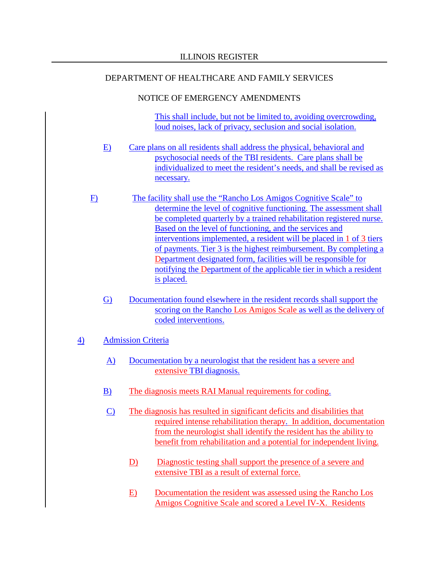# NOTICE OF EMERGENCY AMENDMENTS

This shall include, but not be limited to, avoiding overcrowding, loud noises, lack of privacy, seclusion and social isolation.

- E) Care plans on all residents shall address the physical, behavioral and psychosocial needs of the TBI residents. Care plans shall be individualized to meet the resident's needs, and shall be revised as necessary.
- F) The facility shall use the "Rancho Los Amigos Cognitive Scale" to determine the level of cognitive functioning. The assessment shall be completed quarterly by a trained rehabilitation registered nurse. Based on the level of functioning, and the services and interventions implemented, a resident will be placed in 1 of 3 tiers of payments. Tier 3 is the highest reimbursement. By completing a Department designated form, facilities will be responsible for notifying the Department of the applicable tier in which a resident is placed.
	- G) Documentation found elsewhere in the resident records shall support the scoring on the Rancho Los Amigos Scale as well as the delivery of coded interventions.

# 4) Admission Criteria

- A) Documentation by a neurologist that the resident has a severe and extensive TBI diagnosis.
- B) The diagnosis meets RAI Manual requirements for coding.
- C) The diagnosis has resulted in significant deficits and disabilities that required intense rehabilitation therapy. In addition, documentation from the neurologist shall identify the resident has the ability to benefit from rehabilitation and a potential for independent living.
	- D) Diagnostic testing shall support the presence of a severe and extensive TBI as a result of external force.
	- E) Documentation the resident was assessed using the Rancho Los Amigos Cognitive Scale and scored a Level IV-X. Residents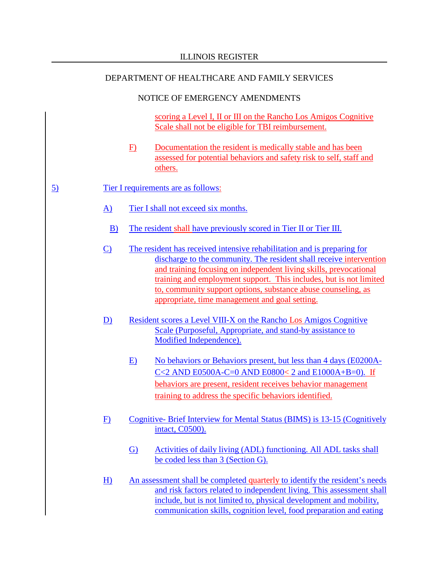# NOTICE OF EMERGENCY AMENDMENTS

scoring a Level I, II or III on the Rancho Los Amigos Cognitive Scale shall not be eligible for TBI reimbursement.

F) Documentation the resident is medically stable and has been assessed for potential behaviors and safety risk to self, staff and others.

# 5) Tier I requirements are as follows:

- A) Tier I shall not exceed six months.
- B) The resident shall have previously scored in Tier II or Tier III.
- C) The resident has received intensive rehabilitation and is preparing for discharge to the community. The resident shall receive intervention and training focusing on independent living skills, prevocational training and employment support. This includes, but is not limited to, community support options, substance abuse counseling, as appropriate, time management and goal setting.
- D) Resident scores a Level VIII-X on the Rancho Los Amigos Cognitive Scale (Purposeful, Appropriate, and stand-by assistance to Modified Independence).
	- E) No behaviors or Behaviors present, but less than 4 days (E0200A-C<2 AND E0500A-C=0 AND E0800< 2 and E1000A+B=0). If behaviors are present, resident receives behavior management training to address the specific behaviors identified.
- F) Cognitive- Brief Interview for Mental Status (BIMS) is 13-15 (Cognitively intact, C0500).
	- G) Activities of daily living (ADL) functioning. All ADL tasks shall be coded less than 3 (Section G).
- H) An assessment shall be completed quarterly to identify the resident's needs and risk factors related to independent living. This assessment shall include, but is not limited to, physical development and mobility, communication skills, cognition level, food preparation and eating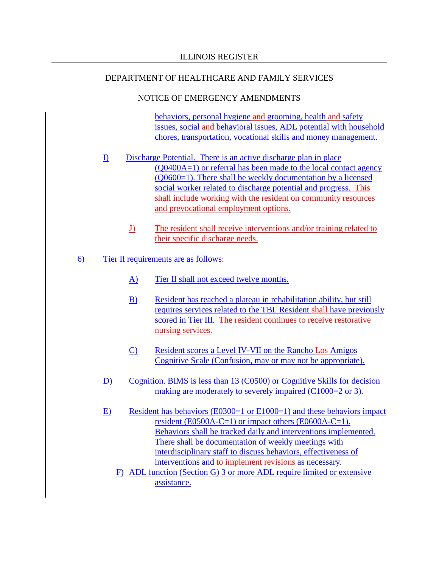### NOTICE OF EMERGENCY AMENDMENTS

behaviors, personal hygiene and grooming, health and safety issues, social and behavioral issues, ADL potential with household chores, transportation, vocational skills and money management.

- I) Discharge Potential. There is an active discharge plan in place (Q0400A=1) or referral has been made to the local contact agency (Q0600=1). There shall be weekly documentation by a licensed social worker related to discharge potential and progress. This shall include working with the resident on community resources and prevocational employment options.
	- J) The resident shall receive interventions and/or training related to their specific discharge needs.

# 6) Tier II requirements are as follows:

- A) Tier II shall not exceed twelve months.
- B) Resident has reached a plateau in rehabilitation ability, but still requires services related to the TBI. Resident shall have previously scored in Tier III. The resident continues to receive restorative nursing services.
- C) Resident scores a Level IV-VII on the Rancho Los Amigos Cognitive Scale (Confusion, may or may not be appropriate).
- D) Cognition. BIMS is less than 13 (C0500) or Cognitive Skills for decision making are moderately to severely impaired (C1000=2 or 3).
- E) Resident has behaviors (E0300=1 or E1000=1) and these behaviors impact resident (E0500A-C=1) or impact others (E0600A-C=1). Behaviors shall be tracked daily and interventions implemented. There shall be documentation of weekly meetings with interdisciplinary staff to discuss behaviors, effectiveness of interventions and to implement revisions as necessary.
	- F) ADL function (Section G) 3 or more ADL require limited or extensive assistance.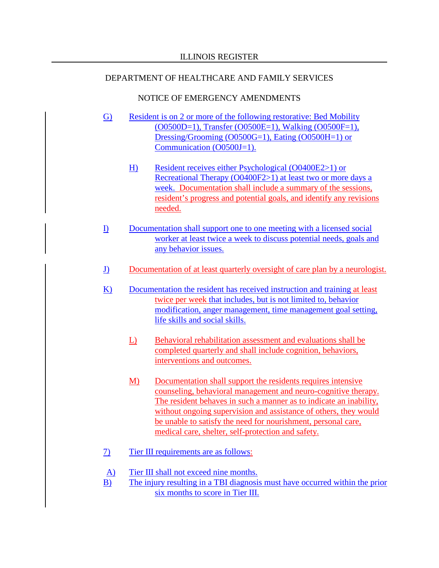- G) Resident is on 2 or more of the following restorative: Bed Mobility  $(0.0500D=1)$ , Transfer  $(0.0500E=1)$ , Walking  $(0.0500F=1)$ , Dressing/Grooming (O0500G=1), Eating (O0500H=1) or Communication (O0500J=1).
	- H) Resident receives either Psychological (O0400E2>1) or Recreational Therapy (O0400F2>1) at least two or more days a week. Documentation shall include a summary of the sessions, resident's progress and potential goals, and identify any revisions needed.
- I) Documentation shall support one to one meeting with a licensed social worker at least twice a week to discuss potential needs, goals and any behavior issues.
- J) Documentation of at least quarterly oversight of care plan by a neurologist.
- K) Documentation the resident has received instruction and training at least twice per week that includes, but is not limited to, behavior modification, anger management, time management goal setting, life skills and social skills.
	- L) Behavioral rehabilitation assessment and evaluations shall be completed quarterly and shall include cognition, behaviors, interventions and outcomes.
	- M) Documentation shall support the residents requires intensive counseling, behavioral management and neuro-cognitive therapy. The resident behaves in such a manner as to indicate an inability, without ongoing supervision and assistance of others, they would be unable to satisfy the need for nourishment, personal care, medical care, shelter, self-protection and safety.
- 7) Tier III requirements are as follows:
- A) Tier III shall not exceed nine months.
- B) The injury resulting in a TBI diagnosis must have occurred within the prior six months to score in Tier III.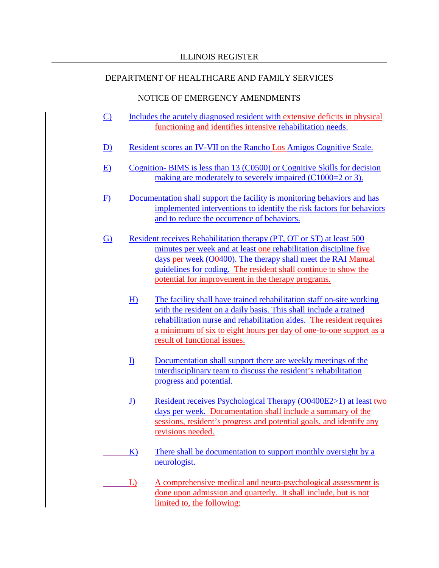- C) Includes the acutely diagnosed resident with extensive deficits in physical functioning and identifies intensive rehabilitation needs.
- D) Resident scores an IV-VII on the Rancho Los Amigos Cognitive Scale.
- E) Cognition- BIMS is less than 13 (C0500) or Cognitive Skills for decision making are moderately to severely impaired (C1000=2 or 3).
- F) Documentation shall support the facility is monitoring behaviors and has implemented interventions to identify the risk factors for behaviors and to reduce the occurrence of behaviors.
- G) Resident receives Rehabilitation therapy (PT, OT or ST) at least 500 minutes per week and at least one rehabilitation discipline five days per week (O0400). The therapy shall meet the RAI Manual guidelines for coding. The resident shall continue to show the potential for improvement in the therapy programs.
	- H) The facility shall have trained rehabilitation staff on-site working with the resident on a daily basis. This shall include a trained rehabilitation nurse and rehabilitation aides. The resident requires a minimum of six to eight hours per day of one-to-one support as a result of functional issues.
	- I) Documentation shall support there are weekly meetings of the interdisciplinary team to discuss the resident's rehabilitation progress and potential.
	- J) Resident receives Psychological Therapy (O0400E2>1) at least two days per week. Documentation shall include a summary of the sessions, resident's progress and potential goals, and identify any revisions needed.
	- K) There shall be documentation to support monthly oversight by a neurologist.
	- L) A comprehensive medical and neuro-psychological assessment is done upon admission and quarterly. It shall include, but is not limited to, the following: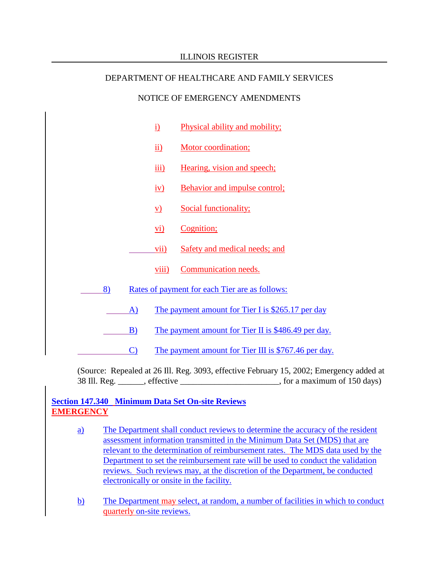# NOTICE OF EMERGENCY AMENDMENTS

|    | $\underline{i}$                | Physical ability and mobility;                       |
|----|--------------------------------|------------------------------------------------------|
|    | $\underline{ii}$               | Motor coordination;                                  |
|    | $\overline{\text{iii}}$        | <u>Hearing, vision and speech;</u>                   |
|    | $\underline{\text{i}\text{v}}$ | <b>Behavior and impulse control;</b>                 |
|    | <u>v)</u>                      | Social functionality;                                |
|    | $\overline{vi}$                | Cognition;                                           |
|    | vii)                           | Safety and medical needs; and                        |
|    | viii)                          | Communication needs.                                 |
| 8) |                                | Rates of payment for each Tier are as follows:       |
| A) |                                | The payment amount for Tier I is \$265.17 per day    |
| B) |                                | The payment amount for Tier II is \$486.49 per day.  |
| C) |                                | The payment amount for Tier III is \$767.46 per day. |

(Source: Repealed at 26 Ill. Reg. 3093, effective February 15, 2002; Emergency added at 38 Ill. Reg. effective extended a set of 150 days) state  $\frac{150 \text{ days}}{200}$ 

# **Section 147.340 Minimum Data Set On-site Reviews EMERGENCY**

- a) The Department shall conduct reviews to determine the accuracy of the resident assessment information transmitted in the Minimum Data Set (MDS) that are relevant to the determination of reimbursement rates. The MDS data used by the Department to set the reimbursement rate will be used to conduct the validation reviews. Such reviews may, at the discretion of the Department, be conducted electronically or onsite in the facility.
- b) The Department may select, at random, a number of facilities in which to conduct quarterly on-site reviews.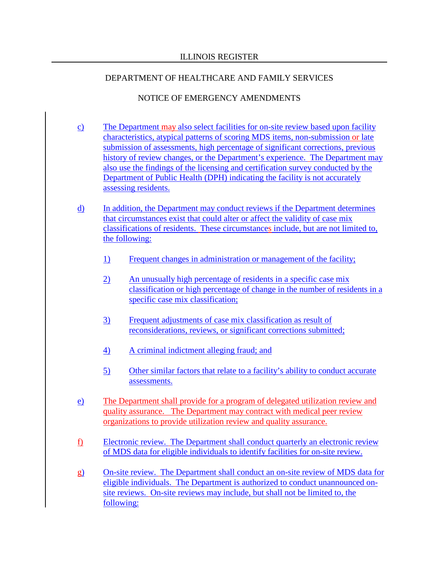- c) The Department may also select facilities for on-site review based upon facility characteristics, atypical patterns of scoring MDS items, non-submission or late submission of assessments, high percentage of significant corrections, previous history of review changes, or the Department's experience. The Department may also use the findings of the licensing and certification survey conducted by the Department of Public Health (DPH) indicating the facility is not accurately assessing residents.
- d) In addition, the Department may conduct reviews if the Department determines that circumstances exist that could alter or affect the validity of case mix classifications of residents. These circumstances include, but are not limited to, the following:
	- 1) Frequent changes in administration or management of the facility;
	- 2) An unusually high percentage of residents in a specific case mix classification or high percentage of change in the number of residents in a specific case mix classification;
	- 3) Frequent adjustments of case mix classification as result of reconsiderations, reviews, or significant corrections submitted;
	- 4) A criminal indictment alleging fraud; and
	- 5) Other similar factors that relate to a facility's ability to conduct accurate assessments.
- e) The Department shall provide for a program of delegated utilization review and quality assurance. The Department may contract with medical peer review organizations to provide utilization review and quality assurance.
- f) Electronic review. The Department shall conduct quarterly an electronic review of MDS data for eligible individuals to identify facilities for on-site review.
- g) On-site review. The Department shall conduct an on-site review of MDS data for eligible individuals. The Department is authorized to conduct unannounced onsite reviews. On-site reviews may include, but shall not be limited to, the following: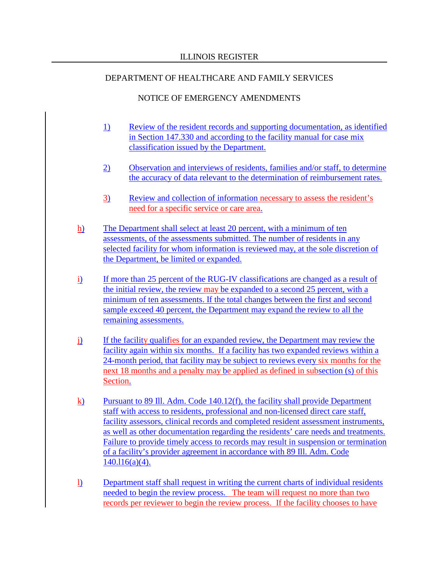- 1) Review of the resident records and supporting documentation, as identified in Section 147.330 and according to the facility manual for case mix classification issued by the Department.
- 2) Observation and interviews of residents, families and/or staff, to determine the accuracy of data relevant to the determination of reimbursement rates.
- 3) Review and collection of information necessary to assess the resident's need for a specific service or care area.
- h) The Department shall select at least 20 percent, with a minimum of ten assessments, of the assessments submitted. The number of residents in any selected facility for whom information is reviewed may, at the sole discretion of the Department, be limited or expanded.
- i) If more than 25 percent of the RUG-IV classifications are changed as a result of the initial review, the review may be expanded to a second 25 percent, with a minimum of ten assessments. If the total changes between the first and second sample exceed 40 percent, the Department may expand the review to all the remaining assessments.
- j) If the facility qualifies for an expanded review, the Department may review the facility again within six months. If a facility has two expanded reviews within a 24-month period, that facility may be subject to reviews every six months for the next 18 months and a penalty may be applied as defined in subsection (s) of this Section.
- <u>k)</u> Pursuant to 89 Ill. Adm. Code 140.12(f), the facility shall provide Department staff with access to residents, professional and non-licensed direct care staff, facility assessors, clinical records and completed resident assessment instruments, as well as other documentation regarding the residents' care needs and treatments. Failure to provide timely access to records may result in suspension or termination of a facility's provider agreement in accordance with 89 Ill. Adm. Code 140.l16(a)(4).
- l) Department staff shall request in writing the current charts of individual residents needed to begin the review process. The team will request no more than two records per reviewer to begin the review process. If the facility chooses to have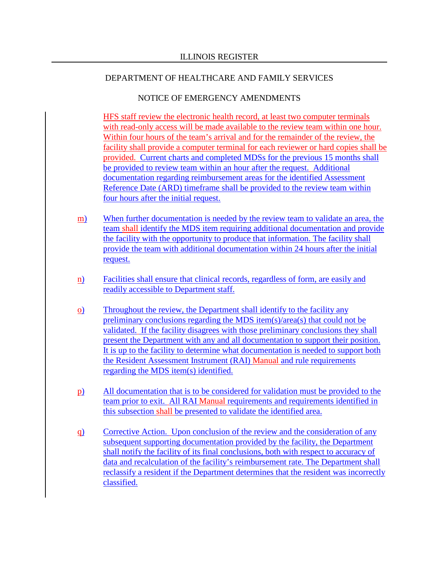## NOTICE OF EMERGENCY AMENDMENTS

HFS staff review the electronic health record, at least two computer terminals with read-only access will be made available to the review team within one hour. Within four hours of the team's arrival and for the remainder of the review, the facility shall provide a computer terminal for each reviewer or hard copies shall be provided. Current charts and completed MDSs for the previous 15 months shall be provided to review team within an hour after the request. Additional documentation regarding reimbursement areas for the identified Assessment Reference Date (ARD) timeframe shall be provided to the review team within four hours after the initial request.

- m) When further documentation is needed by the review team to validate an area, the team shall identify the MDS item requiring additional documentation and provide the facility with the opportunity to produce that information. The facility shall provide the team with additional documentation within 24 hours after the initial request.
- n) Facilities shall ensure that clinical records, regardless of form, are easily and readily accessible to Department staff.
- o) Throughout the review, the Department shall identify to the facility any preliminary conclusions regarding the MDS item(s)/area(s) that could not be validated. If the facility disagrees with those preliminary conclusions they shall present the Department with any and all documentation to support their position. It is up to the facility to determine what documentation is needed to support both the Resident Assessment Instrument (RAI) Manual and rule requirements regarding the MDS item(s) identified.
- p) All documentation that is to be considered for validation must be provided to the team prior to exit. All RAI Manual requirements and requirements identified in this subsection shall be presented to validate the identified area.
- q) Corrective Action. Upon conclusion of the review and the consideration of any subsequent supporting documentation provided by the facility, the Department shall notify the facility of its final conclusions, both with respect to accuracy of data and recalculation of the facility's reimbursement rate. The Department shall reclassify a resident if the Department determines that the resident was incorrectly classified.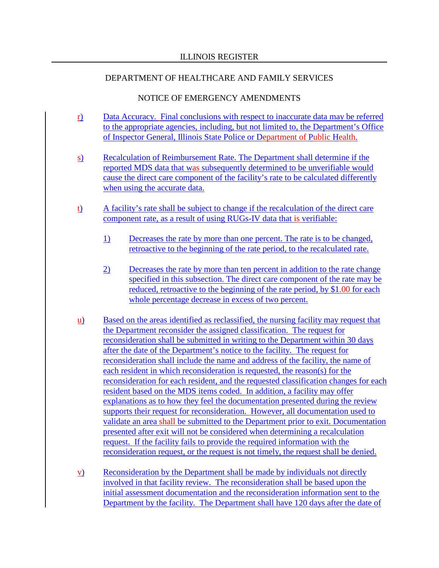- r) Data Accuracy. Final conclusions with respect to inaccurate data may be referred to the appropriate agencies, including, but not limited to, the Department's Office of Inspector General, Illinois State Police or Department of Public Health.
- s) Recalculation of Reimbursement Rate. The Department shall determine if the reported MDS data that was subsequently determined to be unverifiable would cause the direct care component of the facility's rate to be calculated differently when using the accurate data.
- t) A facility's rate shall be subject to change if the recalculation of the direct care component rate, as a result of using RUGs-IV data that is verifiable:
	- 1) Decreases the rate by more than one percent. The rate is to be changed, retroactive to the beginning of the rate period, to the recalculated rate.
	- 2) Decreases the rate by more than ten percent in addition to the rate change specified in this subsection. The direct care component of the rate may be reduced, retroactive to the beginning of the rate period, by \$1.00 for each whole percentage decrease in excess of two percent.
- u) Based on the areas identified as reclassified, the nursing facility may request that the Department reconsider the assigned classification. The request for reconsideration shall be submitted in writing to the Department within 30 days after the date of the Department's notice to the facility. The request for reconsideration shall include the name and address of the facility, the name of each resident in which reconsideration is requested, the reason(s) for the reconsideration for each resident, and the requested classification changes for each resident based on the MDS items coded. In addition, a facility may offer explanations as to how they feel the documentation presented during the review supports their request for reconsideration. However, all documentation used to validate an area shall be submitted to the Department prior to exit. Documentation presented after exit will not be considered when determining a recalculation request. If the facility fails to provide the required information with the reconsideration request, or the request is not timely, the request shall be denied.
- v) Reconsideration by the Department shall be made by individuals not directly involved in that facility review. The reconsideration shall be based upon the initial assessment documentation and the reconsideration information sent to the Department by the facility. The Department shall have 120 days after the date of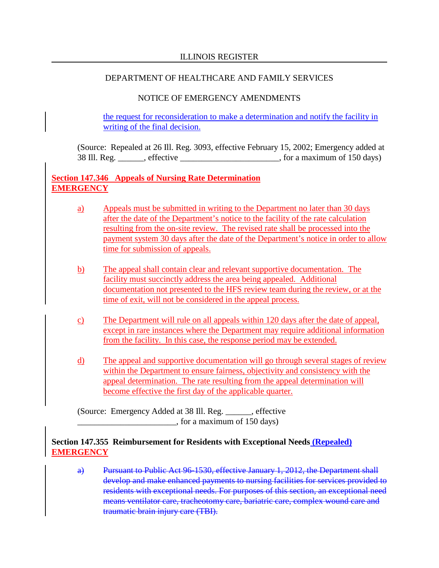# NOTICE OF EMERGENCY AMENDMENTS

the request for reconsideration to make a determination and notify the facility in writing of the final decision.

(Source: Repealed at 26 Ill. Reg. 3093, effective February 15, 2002; Emergency added at 38 Ill. Reg. \_\_\_\_\_\_, effective \_\_\_\_\_\_\_\_\_\_\_\_\_\_\_\_\_\_\_\_\_\_\_, for a maximum of 150 days)

# **Section 147.346 Appeals of Nursing Rate Determination EMERGENCY**

- a) Appeals must be submitted in writing to the Department no later than 30 days after the date of the Department's notice to the facility of the rate calculation resulting from the on-site review. The revised rate shall be processed into the payment system 30 days after the date of the Department's notice in order to allow time for submission of appeals.
- b) The appeal shall contain clear and relevant supportive documentation. The facility must succinctly address the area being appealed. Additional documentation not presented to the HFS review team during the review, or at the time of exit, will not be considered in the appeal process.
- c) The Department will rule on all appeals within 120 days after the date of appeal, except in rare instances where the Department may require additional information from the facility. In this case, the response period may be extended.
- d) The appeal and supportive documentation will go through several stages of review within the Department to ensure fairness, objectivity and consistency with the appeal determination. The rate resulting from the appeal determination will become effective the first day of the applicable quarter.

(Source: Emergency Added at 38 Ill. Reg. \_\_\_\_\_\_, effective  $\frac{150 \text{ days}}{150 \text{ days}}$ 

# **Section 147.355 Reimbursement for Residents with Exceptional Needs (Repealed) EMERGENCY**

a) Pursuant to Public Act 96-1530, effective January 1, 2012, the Department shall develop and make enhanced payments to nursing facilities for services provided to residents with exceptional needs. For purposes of this section, an exceptional need means ventilator care, tracheotomy care, bariatric care, complex wound care and traumatic brain injury care (TBI).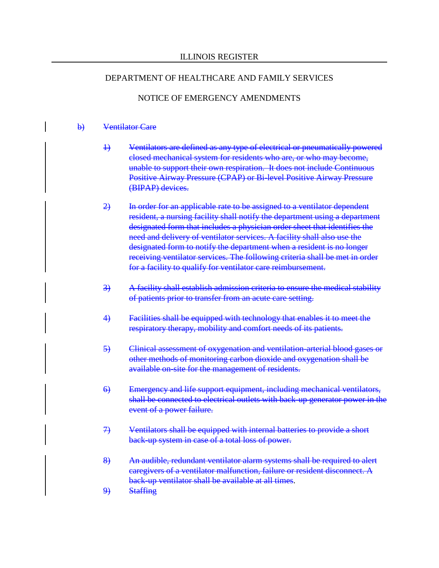## NOTICE OF EMERGENCY AMENDMENTS

#### b) Ventilator Care

- 1) Ventilators are defined as any type of electrical or pneumatically powered closed mechanical system for residents who are, or who may become, unable to support their own respiration. It does not include Continuous Positive Airway Pressure (CPAP) or Bi-level Positive Airway Pressure (BIPAP) devices.
- 2) In order for an applicable rate to be assigned to a ventilator dependent resident, a nursing facility shall notify the department using a department designated form that includes a physician order sheet that identifies the need and delivery of ventilator services. A facility shall also use the designated form to notify the department when a resident is no longer receiving ventilator services. The following criteria shall be met in order for a facility to qualify for ventilator care reimbursement.
- 3) A facility shall establish admission criteria to ensure the medical stability of patients prior to transfer from an acute care setting.
- 4) Facilities shall be equipped with technology that enables it to meet the respiratory therapy, mobility and comfort needs of its patients.
- 5) Clinical assessment of oxygenation and ventilation-arterial blood gases or other methods of monitoring carbon dioxide and oxygenation shall be available on-site for the management of residents.
- 6) Emergency and life support equipment, including mechanical ventilators, shall be connected to electrical outlets with back-up generator power in the event of a power failure.
- 7) Ventilators shall be equipped with internal batteries to provide a short back-up system in case of a total loss of power.
- 8) An audible, redundant ventilator alarm systems shall be required to alert caregivers of a ventilator malfunction, failure or resident disconnect. A back-up ventilator shall be available at all times.
- 9) Staffing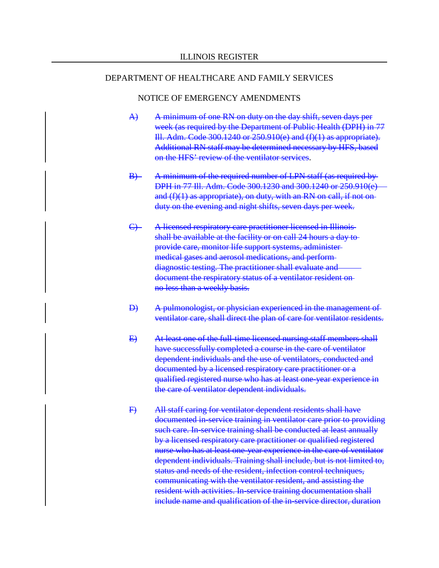- A) A minimum of one RN on duty on the day shift, seven days per week (as required by the Department of Public Health (DPH) in 77 Ill. Adm. Code 300.1240 or 250.910(e) and (f)(1) as appropriate). Additional RN staff may be determined necessary by HFS, based on the HFS' review of the ventilator services.
- B) A minimum of the required number of LPN staff (as required by DPH in 77 Ill. Adm. Code 300.1230 and 300.1240 or 250.910(e) and  $(f)(1)$  as appropriate), on duty, with an RN on call, if not onduty on the evening and night shifts, seven days per week.
- C) A licensed respiratory care practitioner licensed in Illinoisshall be available at the facility or on call 24 hours a day to provide care, monitor life support systems, administer medical gases and aerosol medications, and perform diagnostic testing. The practitioner shall evaluate and document the respiratory status of a ventilator resident on no less than a weekly basis.
- D) A pulmonologist, or physician experienced in the management of ventilator care, shall direct the plan of care for ventilator residents.
- E) At least one of the full-time licensed nursing staff members shall have successfully completed a course in the care of ventilator dependent individuals and the use of ventilators, conducted and documented by a licensed respiratory care practitioner or a qualified registered nurse who has at least one-year experience in the care of ventilator dependent individuals.
- F) All staff caring for ventilator dependent residents shall have documented in-service training in ventilator care prior to providing such care. In-service training shall be conducted at least annually by a licensed respiratory care practitioner or qualified registered nurse who has at least one-year experience in the care of ventilator dependent individuals. Training shall include, but is not limited to, status and needs of the resident, infection control techniques, communicating with the ventilator resident, and assisting the resident with activities. In-service training documentation shall include name and qualification of the in-service director, duration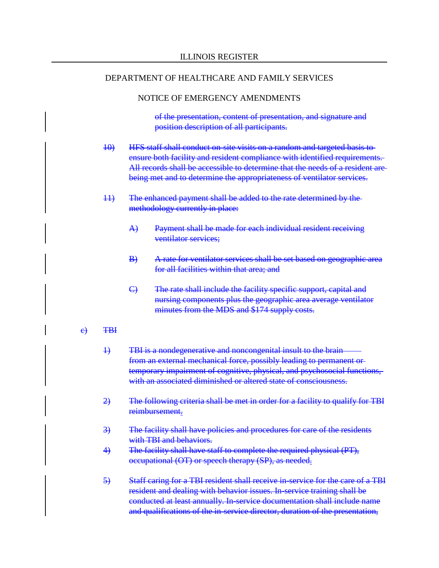#### NOTICE OF EMERGENCY AMENDMENTS

of the presentation, content of presentation, and signature and position description of all participants.

- 10) HFS staff shall conduct on-site visits on a random and targeted basis to ensure both facility and resident compliance with identified requirements. All records shall be accessible to determine that the needs of a resident arebeing met and to determine the appropriateness of ventilator services.
- 11) The enhanced payment shall be added to the rate determined by the methodology currently in place:
	- A) Payment shall be made for each individual resident receiving ventilator services;
	- B) A rate for ventilator services shall be set based on geographic area for all facilities within that area; and
	- C) The rate shall include the facility specific support, capital and nursing components plus the geographic area average ventilator minutes from the MDS and \$174 supply costs.
- $e$ ) TBH
	- 1) TBI is a nondegenerative and noncongenital insult to the brain from an external mechanical force, possibly leading to permanent or temporary impairment of cognitive, physical, and psychosocial functions, with an associated diminished or altered state of consciousness.
	- 2) The following criteria shall be met in order for a facility to qualify for TBI reimbursement.
	- 3) The facility shall have policies and procedures for care of the residents with TBI and behaviors.
	- 4) The facility shall have staff to complete the required physical (PT), occupational (OT) or speech therapy (SP), as needed.
	- 5) Staff caring for a TBI resident shall receive in-service for the care of a TBI resident and dealing with behavior issues. In-service training shall be conducted at least annually. In-service documentation shall include name and qualifications of the in-service director, duration of the presentation,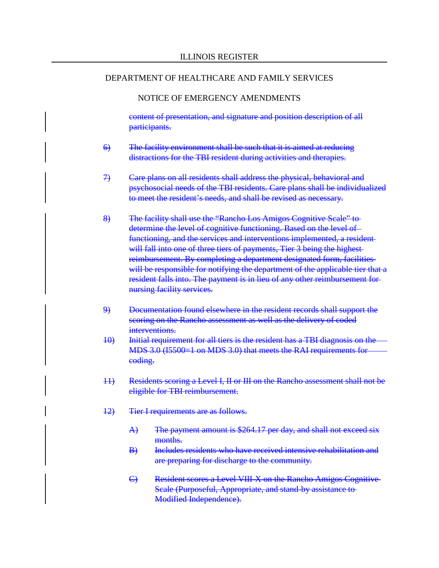#### NOTICE OF EMERGENCY AMENDMENTS

content of presentation, and signature and position description of all participants.

- 6) The facility environment shall be such that it is aimed at reducing distractions for the TBI resident during activities and therapies.
- 7) Care plans on all residents shall address the physical, behavioral and psychosocial needs of the TBI residents. Care plans shall be individualized to meet the resident's needs, and shall be revised as necessary.
- 8) The facility shall use the "Rancho Los Amigos Cognitive Scale" to determine the level of cognitive functioning. Based on the level of functioning, and the services and interventions implemented, a resident will fall into one of three tiers of payments, Tier 3 being the highestreimbursement. By completing a department designated form, facilities will be responsible for notifying the department of the applicable tier that a resident falls into. The payment is in lieu of any other reimbursement for nursing facility services.
- 9) Documentation found elsewhere in the resident records shall support the scoring on the Rancho assessment as well as the delivery of coded interventions.
- 10) Initial requirement for all tiers is the resident has a TBI diagnosis on the MDS 3.0 (I5500=1 on MDS 3.0) that meets the RAI requirements for coding.
- 11) Residents scoring a Level I, II or III on the Rancho assessment shall not be eligible for TBI reimbursement.
- 12) Tier I requirements are as follows.
	- A) The payment amount is \$264.17 per day, and shall not exceed six months.
	- B) Includes residents who have received intensive rehabilitation and are preparing for discharge to the community.
	- C) Resident scores a Level VIII-X on the Rancho Amigos Cognitive Scale (Purposeful, Appropriate, and stand-by assistance to Modified Independence).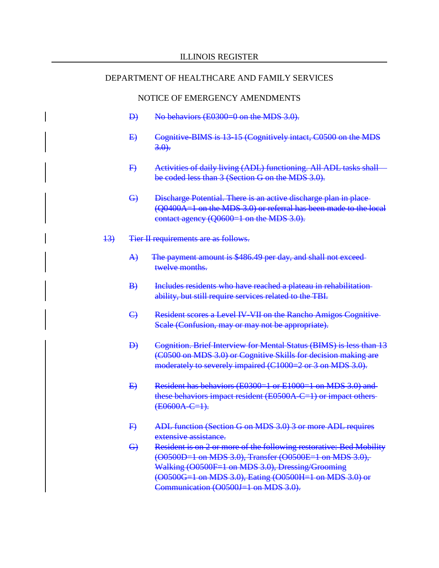- D) No behaviors (E0300=0 on the MDS 3.0).
- E) Cognitive-BIMS is 13-15 (Cognitively intact, C0500 on the MDS  $3.0$ .
- F) Activities of daily living (ADL) functioning. All ADL tasks shall be coded less than 3 (Section G on the MDS 3.0).
- G) Discharge Potential. There is an active discharge plan in place (Q0400A=1 on the MDS 3.0) or referral has been made to the local contact agency (Q0600=1 on the MDS 3.0).
- 13) Tier II requirements are as follows.
	- A) The payment amount is \$486.49 per day, and shall not exceedtwelve months.
	- B) Includes residents who have reached a plateau in rehabilitationability, but still require services related to the TBI.
	- C) Resident scores a Level IV-VII on the Rancho Amigos Cognitive Scale (Confusion, may or may not be appropriate).
	- D) Cognition. Brief Interview for Mental Status (BIMS) is less than 13 (C0500 on MDS 3.0) or Cognitive Skills for decision making are moderately to severely impaired (C1000=2 or 3 on MDS 3.0).
	- E) Resident has behaviors (E0300=1 or E1000=1 on MDS 3.0) and these behaviors impact resident (E0500A-C=1) or impact others  $(E0600A-C=1)$ .
	- F) ADL function (Section G on MDS 3.0) 3 or more ADL requires extensive assistance.
	- G) Resident is on 2 or more of the following restorative: Bed Mobility (O0500D=1 on MDS 3.0), Transfer (O0500E=1 on MDS 3.0), Walking (O0500F=1 on MDS 3.0), Dressing/Grooming (O0500G=1 on MDS 3.0), Eating (O0500H=1 on MDS 3.0) or Communication  $(0.0500J=1)$  on MDS 3.0).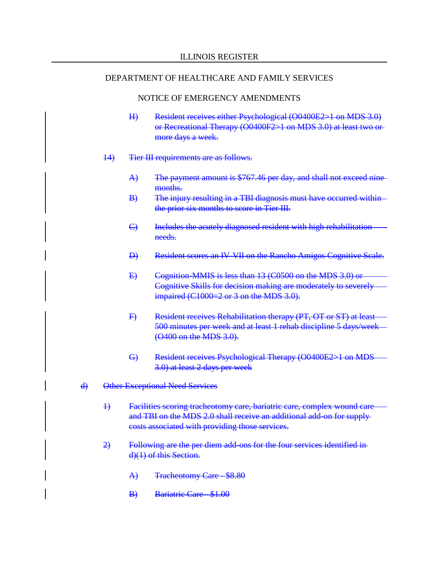- H) Resident receives either Psychological (O0400E2>1 on MDS 3.0) or Recreational Therapy (O0400F2>1 on MDS 3.0) at least two or more days a week.
- 14) Tier III requirements are as follows.
	- A) The payment amount is \$767.46 per day, and shall not exceed ninemonths.
	- B) The injury resulting in a TBI diagnosis must have occurred within the prior six months to score in Tier III.
	- C) Includes the acutely diagnosed resident with high rehabilitation needs.
	- D) Resident scores an IV-VII on the Rancho Amigos Cognitive Scale.
	- E) Cognition-MMIS is less than 13 (C0500 on the MDS 3.0) or Cognitive Skills for decision making are moderately to severely impaired (C1000=2 or 3 on the MDS 3.0).
	- F) Resident receives Rehabilitation therapy (PT, OT or ST) at least 500 minutes per week and at least 1 rehab discipline 5 days/week (O400 on the MDS 3.0).
	- G) Resident receives Psychological Therapy (O0400E2>1 on MDS 3.0) at least 2 days per week
- d) Other Exceptional Need Services
	- 1) Facilities scoring tracheotomy care, bariatric care, complex wound care and TBI on the MDS 2.0 shall receive an additional add-on for supply costs associated with providing those services.
	- 2) Following are the per diem add-ons for the four services identified in d)(1) of this Section.
		- A) Tracheotomy Care \$8.80
		- B) Bariatric Care \$1.00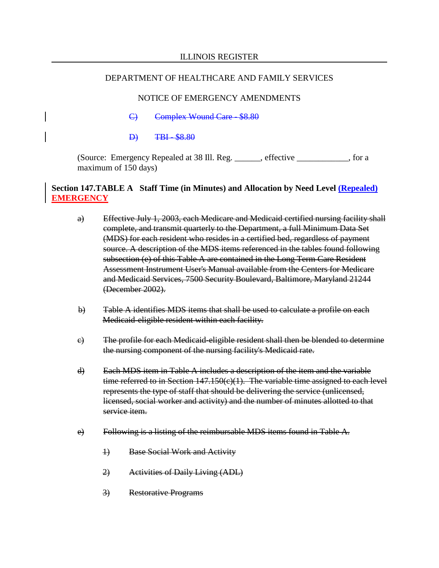# NOTICE OF EMERGENCY AMENDMENTS

- C) Complex Wound Care \$8.80
- D) TBI \$8.80

(Source: Emergency Repealed at 38 Ill. Reg. \_\_\_\_\_\_, effective \_\_\_\_\_\_\_\_\_\_\_\_, for a maximum of 150 days)

# **Section 147.TABLE A Staff Time (in Minutes) and Allocation by Need Level (Repealed) EMERGENCY**

- a) Effective July 1, 2003, each Medicare and Medicaid certified nursing facility shall complete, and transmit quarterly to the Department, a full Minimum Data Set (MDS) for each resident who resides in a certified bed, regardless of payment source. A description of the MDS items referenced in the tables found following subsection (e) of this Table A are contained in the Long Term Care Resident Assessment Instrument User's Manual available from the Centers for Medicare and Medicaid Services, 7500 Security Boulevard, Baltimore, Maryland 21244 (December 2002).
- b) Table A identifies MDS items that shall be used to calculate a profile on each Medicaid-eligible resident within each facility.
- c) The profile for each Medicaid-eligible resident shall then be blended to determine the nursing component of the nursing facility's Medicaid rate.
- d) Each MDS item in Table A includes a description of the item and the variable time referred to in Section 147.150(c)(1). The variable time assigned to each level represents the type of staff that should be delivering the service (unlicensed, licensed, social worker and activity) and the number of minutes allotted to that service item.
- e) Following is a listing of the reimbursable MDS items found in Table A.
	- 1) Base Social Work and Activity
	- 2) Activities of Daily Living (ADL)
	- 3) Restorative Programs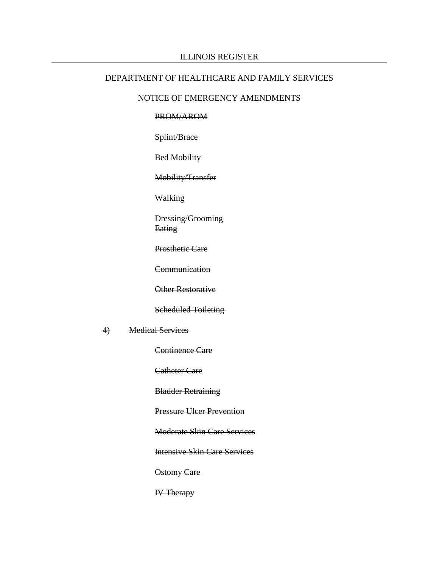#### ILLINOIS REGISTER

### DEPARTMENT OF HEALTHCARE AND FAMILY SERVICES

### NOTICE OF EMERGENCY AMENDMENTS

#### PROM/AROM

Splint/Brace

Bed Mobility

Mobility/Transfer

Walking

Dressing/Grooming **Eating** 

Prosthetic Care

**Communication** 

Other Restorative

Scheduled Toileting

4) Medical Services

Continence Care

Catheter Care

Bladder Retraining

Pressure Ulcer Prevention

Moderate Skin Care Services

Intensive Skin Care Services

Ostomy Care

IV Therapy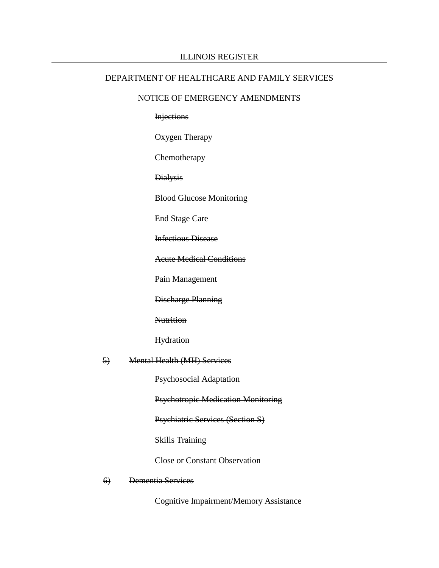#### ILLINOIS REGISTER

#### DEPARTMENT OF HEALTHCARE AND FAMILY SERVICES

#### NOTICE OF EMERGENCY AMENDMENTS

**Injections** 

Oxygen Therapy

**Chemotherapy** 

Dialysis

Blood Glucose Monitoring

End Stage Care

Infectious Disease

Acute Medical Conditions

Pain Management

Discharge Planning

**Nutrition** 

**Hydration** 

#### 5) Mental Health (MH) Services

Psychosocial Adaptation

Psychotropic Medication Monitoring

Psychiatric Services (Section S)

Skills Training

Close or Constant Observation

6) Dementia Services

Cognitive Impairment/Memory Assistance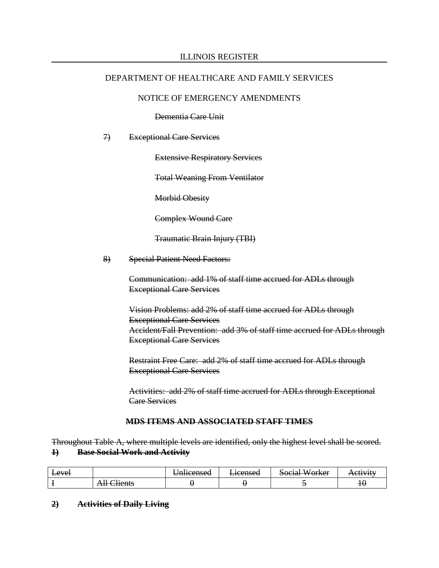## NOTICE OF EMERGENCY AMENDMENTS

Dementia Care Unit

### 7) Exceptional Care Services

Extensive Respiratory Services

Total Weaning From Ventilator

Morbid Obesity

Complex Wound Care

Traumatic Brain Injury (TBI)

8) Special Patient Need Factors:

Communication: add 1% of staff time accrued for ADLs through Exceptional Care Services

Vision Problems: add 2% of staff time accrued for ADLs through Exceptional Care Services Accident/Fall Prevention: add 3% of staff time accrued for ADLs through Exceptional Care Services

Restraint Free Care: add 2% of staff time accrued for ADLs through Exceptional Care Services

Activities: add 2% of staff time accrued for ADLs through Exceptional Care Services

### **MDS ITEMS AND ASSOCIATED STAFF TIMES**

Throughout Table A, where multiple levels are identified, only the highest level shall be scored. **1) Base Social Work and Activity**

| <del>Level</del> |                                       | $n$ lacancad<br>omneensea | 10ancad<br>E <del>icciiscu</del> | $\sim$<br>$M$ orlear<br><del>buchai woingi</del> | $C$ tiv $U$ tv<br><del>ncuvit</del> |
|------------------|---------------------------------------|---------------------------|----------------------------------|--------------------------------------------------|-------------------------------------|
|                  | 11.<br>110nte<br><del>ui Chents</del> |                           |                                  |                                                  | ΙV                                  |

**2) Activities of Daily Living**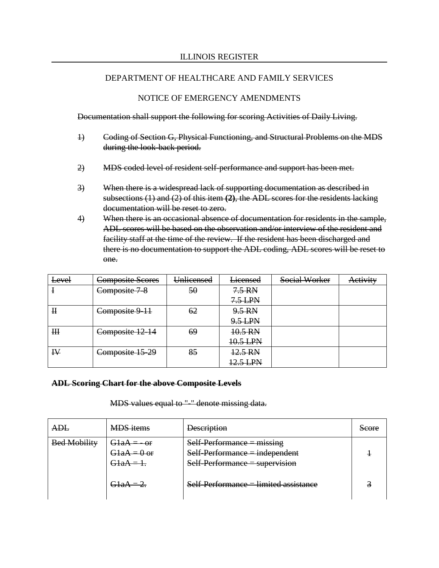## NOTICE OF EMERGENCY AMENDMENTS

Documentation shall support the following for scoring Activities of Daily Living.

- 1) Coding of Section G, Physical Functioning, and Structural Problems on the MDS during the look-back period.
- 2) MDS coded level of resident self-performance and support has been met.
- 3) When there is a widespread lack of supporting documentation as described in subsections (1) and (2) of this item **(2)**, the ADL scores for the residents lacking documentation will be reset to zero.
- 4) When there is an occasional absence of documentation for residents in the sample, ADL scores will be based on the observation and/or interview of the resident and facility staff at the time of the review. If the resident has been discharged and there is no documentation to support the ADL coding, ADL scores will be reset to one.

| Level          | Composite Scores | Unlicensed | <b>Licensed</b>  | Social Worker | Activity |
|----------------|------------------|------------|------------------|---------------|----------|
|                | Composite 7-8    | 50         | $7.5 \text{ RN}$ |               |          |
|                |                  |            | $7.5$ LPN        |               |          |
| $\mathbf H$    | Composite 9-11   | 62         | 9.5 RN           |               |          |
|                |                  |            | 9.5 LPN          |               |          |
| H <sub>H</sub> | Composite 12-14  | 69         | 10.5 RN          |               |          |
|                |                  |            | 10.5 LPN         |               |          |
| $\mathbf{I}$   | Composite 15-29  | 85         | 12.5 RN          |               |          |
|                |                  |            | 12.5 LPN         |               |          |

### **ADL Scoring Chart for the above Composite Levels**

MDS values equal to "-" denote missing data.

| ad t                | <b>MDS</b> items                                | <b>Description</b>                                                                                   | Score<br>ovuc |
|---------------------|-------------------------------------------------|------------------------------------------------------------------------------------------------------|---------------|
| <b>Bed Mobility</b> | <del>GlaA = - or</del><br>$G1aA = 0$ or<br>GlaA | $Self-Performance = missing$<br>$Self-Performance = independent$<br>$Self-Performance = supervision$ |               |
|                     | GlaA-                                           | Self-Performance = limited assistance                                                                |               |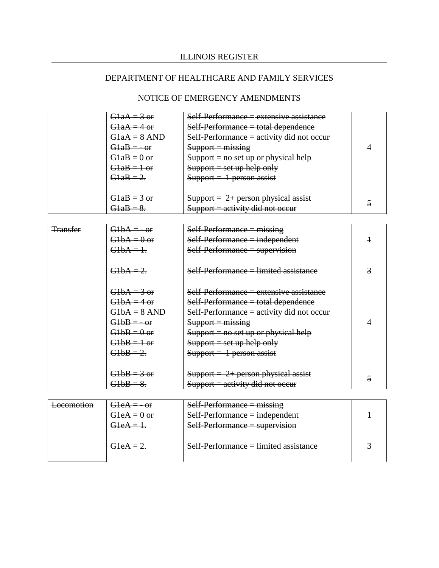| $G1aA = 3$ or<br>$G1aA = 4$ or<br>G1aA = 8 AND<br>$G1aB = -or$<br>$G1aB = 0$ or<br>$G1aB = 1$ or<br>$G1aB = 2$ | Self-Performance = extensive assistance<br>$Self-Performance = total dependence$<br>Self-Performance = activity did not occur<br>$Support = missing$<br>$Support = no set up or physical help$<br>$\text{Support} = \text{set up help only}$<br>$Support = 1 person assist$ |  |
|----------------------------------------------------------------------------------------------------------------|-----------------------------------------------------------------------------------------------------------------------------------------------------------------------------------------------------------------------------------------------------------------------------|--|
| $G1aB = 3$ or<br>$21aD =$                                                                                      | $Support = 2 + person physical assist$<br>$Support = activity did not occur$                                                                                                                                                                                                |  |

| <del>Transfer</del> | $G1bA = -or$   | $Self-Performance = missing$              |   |
|---------------------|----------------|-------------------------------------------|---|
|                     | $G1bA = 0$ or  | $Self-Performance = independent$          |   |
|                     | $G1bA=1.$      | $Self-Performance = supervision$          |   |
|                     | $G1bA = 2.$    | Self-Performance = limited assistance     | 3 |
|                     | $G1bA = 3$ or  | Self-Performance = extensive assistance   |   |
|                     | $G1bA = 4$ or  | Self-Performance = total dependence       |   |
|                     | $G1bA = 8$ AND | Self-Performance = activity did not occur |   |
|                     | $G1bB = -0f$   | $Support = missing$                       |   |
|                     | $G1bB = 0$ or  | $Support = no set up or physical help$    |   |
|                     | $G1bB = 1$ or  | $Support = set up help only$              |   |
|                     | $G1bB = 2.$    | $Support = 1 person assist$               |   |
|                     |                |                                           |   |
|                     | $G1bB = 3$ or  | $Support = 2 + person physical assist$    |   |
|                     | $G1bB = 8.$    | $Support = activity did not occur$        |   |

| <u>ocomotion</u><br><del>EUCUMN76070</del> | $GHeA = -\omega f$                | $Self-Performance = missing$          |  |
|--------------------------------------------|-----------------------------------|---------------------------------------|--|
|                                            | $G1eA = 0$ or                     | $Self-Performance = independent$      |  |
|                                            | $G1eA = 1$ .                      | $Self-Performance = supervision$      |  |
|                                            |                                   |                                       |  |
|                                            | $\Omega$ $\Delta$ $\sim$ $\Omega$ | Self-Performance = limited assistance |  |
|                                            |                                   |                                       |  |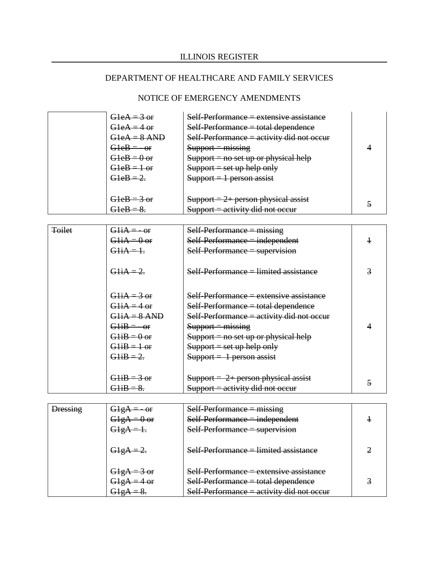| $G$ leA = $3$ or<br>$G$ leA = 4 or<br>$G1eA = 8$ AND<br>$G1eB = -or$<br>$G1eB = 0$ or<br>$G1eB = 1$ or | Self-Performance = extensive assistance<br>$Self-Performance = total dependence$<br>Self-Performance $=$ activity did not occur<br>$Support = missing$<br>$Support = no set up or physical help$<br>$\text{Support} = \text{set up help only}$ |  |
|--------------------------------------------------------------------------------------------------------|------------------------------------------------------------------------------------------------------------------------------------------------------------------------------------------------------------------------------------------------|--|
| $G1eB = 2$<br>$G1eB = 3$ or                                                                            | $Support = 1 person assist$<br>$Support = 2 + person physical assist$<br>$Support = activity did not occur$                                                                                                                                    |  |

| <b>Toilet</b> | $G1iA = -0f$   | $Self-Performance = missing$                  |  |
|---------------|----------------|-----------------------------------------------|--|
|               | $G1iA = 0$ or  | $Self-Performance = independent$              |  |
|               | $G1iA=1.$      | Self-Performance = supervision                |  |
|               | $G1iA = 2$     | <u> Self-Performance = limited assistance</u> |  |
|               | $G1iA = 3$ or  | Self-Performance = extensive assistance       |  |
|               | $G1iA = 4$ or  | Self-Performance = total dependence           |  |
|               | $G1iA = 8$ AND | Self-Performance = activity did not occur     |  |
|               | $G1iB = -0f$   | $S$ upport = missing                          |  |
|               | $G1iB = 0$ or  | $Support = no set up or physical help$        |  |
|               | $G1iB = 1$ or  | $Support = set up help only$                  |  |
|               | $G1iB = 2.$    | $Support = 1 person assist$                   |  |
|               |                |                                               |  |
|               | $G1iB = 3$ or  | $Support = 2 + person physical assist$        |  |
|               | $G1iB = 8.$    | $Support = activity did not occur$            |  |

| <del>Dressing</del> |     | $Self-Performance = missing$              |  |
|---------------------|-----|-------------------------------------------|--|
|                     | -or | $Self-Performance = independent$          |  |
|                     |     | $Self-Performance = supervision$          |  |
|                     |     |                                           |  |
|                     |     | Self-Performance = limited assistance     |  |
|                     |     |                                           |  |
|                     |     | $Self-Performance = extensive assistance$ |  |
|                     |     | $Self-Performance = total dependence$     |  |
|                     |     | Self-Performance = activity did not occur |  |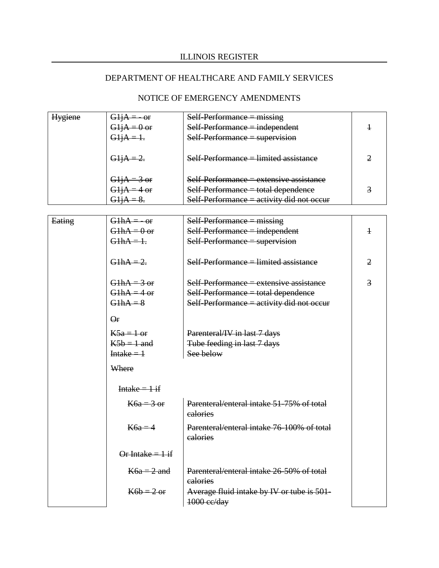# ILLINOIS REGISTER

# DEPARTMENT OF HEALTHCARE AND FAMILY SERVICES

| <b>Hygiene</b> |                  | $Self-Performance = missing$              |  |
|----------------|------------------|-------------------------------------------|--|
|                | $= 0$ or         | $Self-Performance = independent$          |  |
|                | <del>GljA</del>  | $Self-Performance = supervision$          |  |
|                |                  |                                           |  |
|                | <del>GljA</del>  | Self-Performance = limited assistance     |  |
|                |                  |                                           |  |
|                | $\frac{3}{5}$ or | Self-Performance = extensive assistance   |  |
|                |                  | $Self-Performance = total dependence$     |  |
|                |                  | Self-Performance = activity did not occur |  |

| Eating | $G1hA = -or$       | $Self-Performance = missing$               |                |
|--------|--------------------|--------------------------------------------|----------------|
|        | $G1hA = 0$ or      | $Self-Performance = independent$           | $\ddagger$     |
|        | $G1hA=1.$          | $Self-Performance = supervision$           |                |
|        |                    |                                            |                |
|        |                    |                                            |                |
|        | $G1hA = 2.$        | $Self-Performance = limited assistance$    | $\overline{2}$ |
|        |                    |                                            |                |
|        | $G1hA = 3$ or      | Self-Performance = extensive assistance    | 3              |
|        | $G1hA = 4$ or      | $Self-Performance = total dependence$      |                |
|        | $G1hA = 8$         | Self-Performance = activity did not occur  |                |
|        |                    |                                            |                |
|        | $Q_{\rm f}$        |                                            |                |
|        | $K5a = 1$ or       | Parenteral/IV in last 7 days               |                |
|        | $K5b = 1$ and      | Tube feeding in last 7 days                |                |
|        | Intake $=$ 1       | See below                                  |                |
|        |                    |                                            |                |
|        | Where              |                                            |                |
|        |                    |                                            |                |
|        | $Intake = 1 if$    |                                            |                |
|        | $K6a = 3$ or       | Parenteral/enteral intake 51-75% of total  |                |
|        |                    | ealories                                   |                |
|        |                    |                                            |                |
|        | $K6a = 4$          | Parenteral/enteral intake 76-100% of total |                |
|        |                    | calories                                   |                |
|        |                    |                                            |                |
|        | Or Intake = $1$ if |                                            |                |
|        | $K6a = 2$ and      | Parenteral/enteral intake 26-50% of total  |                |
|        |                    | calories                                   |                |
|        | $K6b = 2$ or       |                                            |                |
|        |                    | Average fluid intake by IV or tube is 501- |                |
|        |                    | 1000 ce/day                                |                |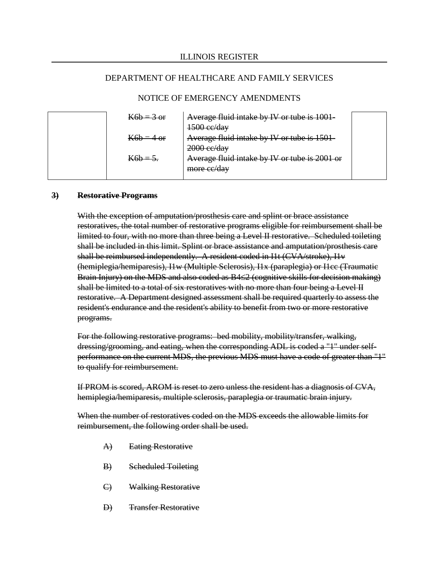### NOTICE OF EMERGENCY AMENDMENTS

| $K6b = 3$ or | Average fluid intake by IV or tube is 1001-                    |  |
|--------------|----------------------------------------------------------------|--|
| $K6b = 4$ or | $1500$ ee/day<br>Average fluid intake by IV or tube is 1501-   |  |
| $K6h = 5.$   | $2000$ ee/day<br>Average fluid intake by IV or tube is 2001 or |  |
|              | more ce/day                                                    |  |

#### **3) Restorative Programs**

With the exception of amputation/prosthesis care and splint or brace assistance restoratives, the total number of restorative programs eligible for reimbursement shall be limited to four, with no more than three being a Level II restorative. Scheduled toileting shall be included in this limit. Splint or brace assistance and amputation/prosthesis care shall be reimbursed independently. A resident coded in I1t (CVA/stroke), I1v (hemiplegia/hemiparesis), I1w (Multiple Sclerosis), I1x (paraplegia) or I1cc (Traumatic Brain Injury) on the MDS and also coded as B4≤2 (cognitive skills for decision making) shall be limited to a total of six restoratives with no more than four being a Level II restorative. A Department designed assessment shall be required quarterly to assess the resident's endurance and the resident's ability to benefit from two or more restorative programs.

For the following restorative programs: bed mobility, mobility/transfer, walking, dressing/grooming, and eating, when the corresponding ADL is coded a "1" under selfperformance on the current MDS, the previous MDS must have a code of greater than "1" to qualify for reimbursement.

If PROM is scored, AROM is reset to zero unless the resident has a diagnosis of CVA, hemiplegia/hemiparesis, multiple sclerosis, paraplegia or traumatic brain injury.

When the number of restoratives coded on the MDS exceeds the allowable limits for reimbursement, the following order shall be used.

- A) Eating Restorative
- B) Scheduled Toileting
- C) Walking Restorative
- D) Transfer Restorative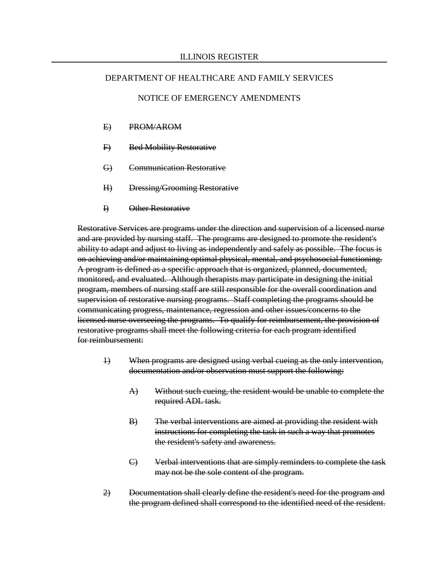## NOTICE OF EMERGENCY AMENDMENTS

- E) PROM/AROM
- F) Bed Mobility Restorative
- G) Communication Restorative
- H) Dressing/Grooming Restorative
- I) Other Restorative

Restorative Services are programs under the direction and supervision of a licensed nurse and are provided by nursing staff. The programs are designed to promote the resident's ability to adapt and adjust to living as independently and safely as possible. The focus is on achieving and/or maintaining optimal physical, mental, and psychosocial functioning. A program is defined as a specific approach that is organized, planned, documented, monitored, and evaluated. Although therapists may participate in designing the initial program, members of nursing staff are still responsible for the overall coordination and supervision of restorative nursing programs. Staff completing the programs should be communicating progress, maintenance, regression and other issues/concerns to the licensed nurse overseeing the programs. To qualify for reimbursement, the provision of restorative programs shall meet the following criteria for each program identified for reimbursement:

- 1) When programs are designed using verbal cueing as the only intervention, documentation and/or observation must support the following:
	- A) Without such cueing, the resident would be unable to complete the required ADL task.
	- B) The verbal interventions are aimed at providing the resident with instructions for completing the task in such a way that promotes the resident's safety and awareness.
	- C) Verbal interventions that are simply reminders to complete the task may not be the sole content of the program.
- 2) Documentation shall clearly define the resident's need for the program and the program defined shall correspond to the identified need of the resident.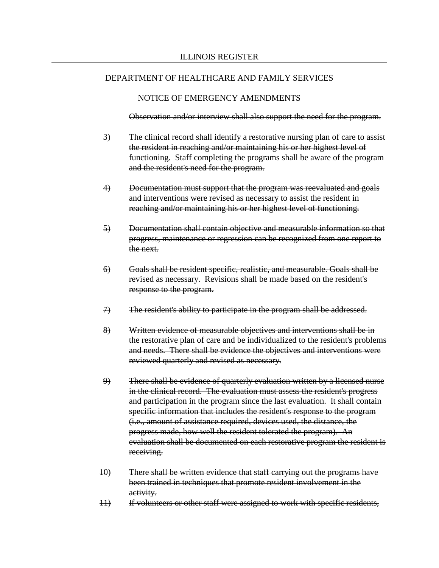#### NOTICE OF EMERGENCY AMENDMENTS

Observation and/or interview shall also support the need for the program.

- 3) The clinical record shall identify a restorative nursing plan of care to assist the resident in reaching and/or maintaining his or her highest level of functioning. Staff completing the programs shall be aware of the program and the resident's need for the program.
- 4) Documentation must support that the program was reevaluated and goals and interventions were revised as necessary to assist the resident in reaching and/or maintaining his or her highest level of functioning.
- 5) Documentation shall contain objective and measurable information so that progress, maintenance or regression can be recognized from one report to the next.
- 6) Goals shall be resident specific, realistic, and measurable. Goals shall be revised as necessary. Revisions shall be made based on the resident's response to the program.
- 7) The resident's ability to participate in the program shall be addressed.
- 8) Written evidence of measurable objectives and interventions shall be in the restorative plan of care and be individualized to the resident's problems and needs. There shall be evidence the objectives and interventions were reviewed quarterly and revised as necessary.
- 9) There shall be evidence of quarterly evaluation written by a licensed nurse in the clinical record. The evaluation must assess the resident's progress and participation in the program since the last evaluation. It shall contain specific information that includes the resident's response to the program (i.e., amount of assistance required, devices used, the distance, the progress made, how well the resident tolerated the program). An evaluation shall be documented on each restorative program the resident is receiving.
- 10) There shall be written evidence that staff carrying out the programs have been trained in techniques that promote resident involvement in the activity.
- 11) If volunteers or other staff were assigned to work with specific residents,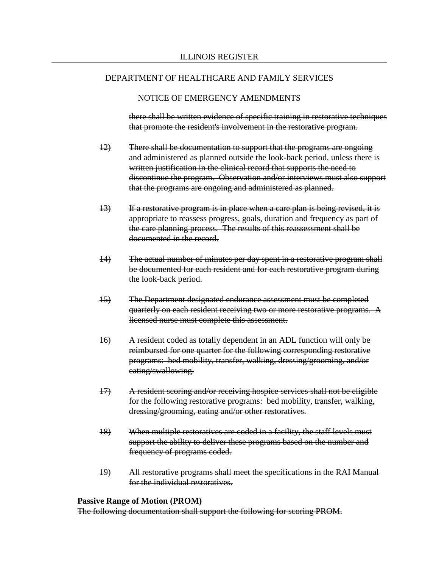#### NOTICE OF EMERGENCY AMENDMENTS

there shall be written evidence of specific training in restorative techniques that promote the resident's involvement in the restorative program.

- 12) There shall be documentation to support that the programs are ongoing and administered as planned outside the look-back period, unless there is written justification in the clinical record that supports the need to discontinue the program. Observation and/or interviews must also support that the programs are ongoing and administered as planned.
- 13) If a restorative program is in place when a care plan is being revised, it is appropriate to reassess progress, goals, duration and frequency as part of the care planning process. The results of this reassessment shall be documented in the record.
- 14) The actual number of minutes per day spent in a restorative program shall be documented for each resident and for each restorative program during the look-back period.
- 15) The Department designated endurance assessment must be completed quarterly on each resident receiving two or more restorative programs. A licensed nurse must complete this assessment.
- 16) A resident coded as totally dependent in an ADL function will only be reimbursed for one quarter for the following corresponding restorative programs: bed mobility, transfer, walking, dressing/grooming, and/or eating/swallowing.
- 17) A resident scoring and/or receiving hospice services shall not be eligible for the following restorative programs: bed mobility, transfer, walking, dressing/grooming, eating and/or other restoratives.
- 18) When multiple restoratives are coded in a facility, the staff levels must support the ability to deliver these programs based on the number and frequency of programs coded.
- 19) All restorative programs shall meet the specifications in the RAI Manual for the individual restoratives.

#### **Passive Range of Motion (PROM)**

The following documentation shall support the following for scoring PROM.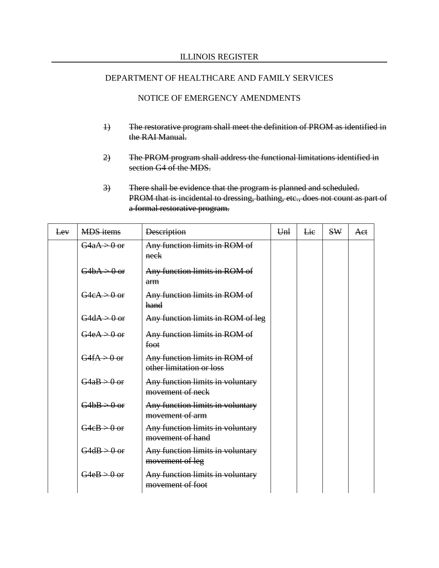#### NOTICE OF EMERGENCY AMENDMENTS

- 1) The restorative program shall meet the definition of PROM as identified in the RAI Manual.
- 2) The PROM program shall address the functional limitations identified in section G4 of the MDS.
- 3) There shall be evidence that the program is planned and scheduled. PROM that is incidental to dressing, bathing, etc., does not count as part of a formal restorative program.

| Lev | <b>MDS</b> items        | <b>Description</b>                                        | Unl | Lie | <b>SW</b> | Aet |
|-----|-------------------------|-----------------------------------------------------------|-----|-----|-----------|-----|
|     | $G4aA > 0$ or           | Any function limits in ROM of<br>neck                     |     |     |           |     |
|     | $G4bA \rightarrow 0$ or | Any function limits in ROM of<br>arm                      |     |     |           |     |
|     | $G4eA > 0$ or           | Any function limits in ROM of<br>hand                     |     |     |           |     |
|     | $G4dA > 0$ or           | Any function limits in ROM of leg                         |     |     |           |     |
|     | $G4eA > 0$ or           | Any function limits in ROM of<br>foot                     |     |     |           |     |
|     | $G4fA > 0$ or           | Any function limits in ROM of<br>other limitation or loss |     |     |           |     |
|     | $G4aB > 0$ or           | Any function limits in voluntary<br>movement of neck      |     |     |           |     |
|     | $G4bB > 0$ or           | Any function limits in voluntary<br>movement of arm       |     |     |           |     |
|     | $G4eB > 0$ or           | Any function limits in voluntary<br>movement of hand      |     |     |           |     |
|     | $G4dB > 0$ or           | Any function limits in voluntary<br>movement of leg       |     |     |           |     |
|     | $G4eB > 0$ or           | Any function limits in voluntary<br>movement of foot      |     |     |           |     |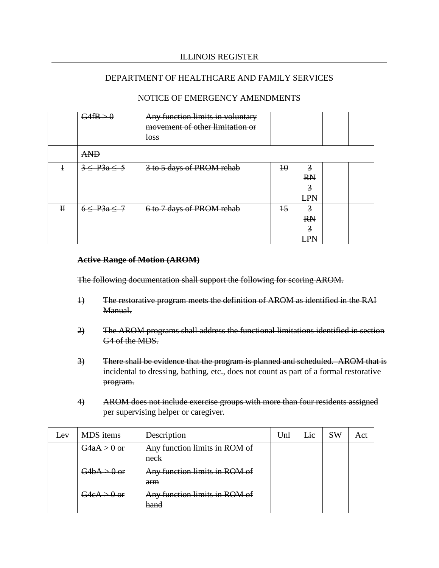## NOTICE OF EMERGENCY AMENDMENTS

|              | $G4fB \rightarrow 0$ | Any function limits in voluntary<br>movement of other limitation or<br><b>loss</b> |                 |                                                      |  |
|--------------|----------------------|------------------------------------------------------------------------------------|-----------------|------------------------------------------------------|--|
|              | <b>AND</b>           |                                                                                    |                 |                                                      |  |
| ł            | $3 < P_3a < 5$       | 3 to 5 days of PROM rehab                                                          | $\overline{10}$ | $\overline{3}$<br><b>RN</b><br>3<br><b>LPN</b>       |  |
| $\mathbf{H}$ | $6 < P_3a < 7$       | 6 to 7 days of PROM rehab                                                          | $\pm$           | $\overline{3}$<br><b>RN</b><br>$\overline{3}$<br>LPN |  |

#### **Active Range of Motion (AROM)**

The following documentation shall support the following for scoring AROM.

- 1) The restorative program meets the definition of AROM as identified in the RAI Manual.
- 2) The AROM programs shall address the functional limitations identified in section G4 of the MDS.
- 3) There shall be evidence that the program is planned and scheduled. AROM that is incidental to dressing, bathing, etc., does not count as part of a formal restorative program.
- 4) AROM does not include exercise groups with more than four residents assigned per supervising helper or caregiver.

| $E$ <sup><math>\theta</math></sup> $V$ | <b>MDS</b> items | <b>Description</b>                    | Unl | Lie | <b>SW</b> | Aet |
|----------------------------------------|------------------|---------------------------------------|-----|-----|-----------|-----|
|                                        | $G4aA > 0$ or    | Any function limits in ROM of<br>neck |     |     |           |     |
|                                        | $G4bA > 0$ or    | Any function limits in ROM of<br>arm  |     |     |           |     |
|                                        | $G4eA > 0$ or    | Any function limits in ROM of<br>hand |     |     |           |     |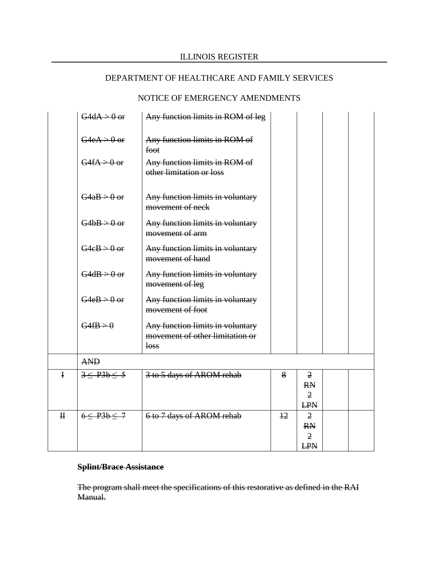# NOTICE OF EMERGENCY AMENDMENTS

|              | $G4dA > 0$ or        | Any function limits in ROM of leg                                           |                |                                                             |  |
|--------------|----------------------|-----------------------------------------------------------------------------|----------------|-------------------------------------------------------------|--|
|              | $G4eA > 0$ or        | Any function limits in ROM of<br>foot                                       |                |                                                             |  |
|              | $G4fA > 0$ or        | Any function limits in ROM of<br>other limitation or loss                   |                |                                                             |  |
|              | $G4aB > 0$ or        | Any function limits in voluntary<br>movement of neck                        |                |                                                             |  |
|              | $G4bB > 0$ or        | Any function limits in voluntary<br>movement of arm                         |                |                                                             |  |
|              | $G4eB > 0$ or        | Any function limits in voluntary<br>movement of hand                        |                |                                                             |  |
|              | $G4dB > 0$ or        | Any function limits in voluntary<br>movement of leg                         |                |                                                             |  |
|              | $G4eB > 0$ or        | Any function limits in voluntary<br>movement of foot                        |                |                                                             |  |
|              | $G4fB \rightarrow 0$ | Any function limits in voluntary<br>movement of other limitation or<br>loss |                |                                                             |  |
|              | <b>AND</b>           |                                                                             |                |                                                             |  |
| $\mathbf{I}$ | $3 \leq P3b \leq 5$  | 3 to 5 days of AROM rehab                                                   | 8              | $\overline{2}$<br><b>RN</b><br>$\overline{2}$<br><b>LPN</b> |  |
| $\mathbf H$  | $6 \leq P3b \leq 7$  | 6 to 7 days of AROM rehab                                                   | $\frac{12}{2}$ | 2<br><b>RN</b><br>2<br><b>LPN</b>                           |  |

# **Splint/Brace Assistance**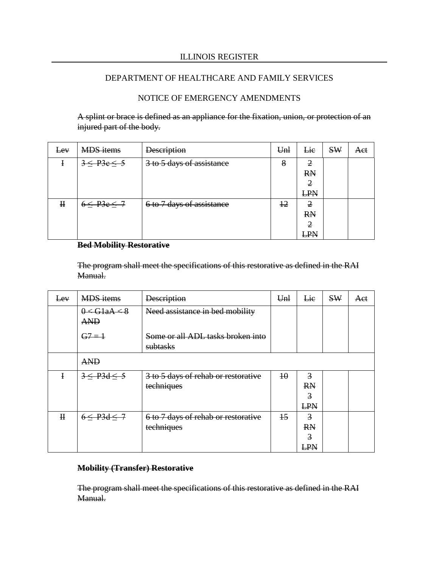## NOTICE OF EMERGENCY AMENDMENTS

A splint or brace is defined as an appliance for the fixation, union, or protection of an injured part of the body.

| Lev         | <b>MDS</b> items    | <b>Description</b>        | Unl           | Lie        | <b>SW</b> | Aet |
|-------------|---------------------|---------------------------|---------------|------------|-----------|-----|
|             | $3 \leq P3e \leq 5$ | 3 to 5 days of assistance | 8             | 2          |           |     |
|             |                     |                           |               | <b>RN</b>  |           |     |
|             |                     |                           |               | 2          |           |     |
|             |                     |                           |               | <b>LPN</b> |           |     |
| $\mathbf H$ | $6 \leq P3e \leq 7$ | 6 to 7 days of assistance | <del>12</del> | 2          |           |     |
|             |                     |                           |               | <b>RN</b>  |           |     |
|             |                     |                           |               | 2          |           |     |
|             |                     |                           |               | <b>LPN</b> |           |     |

## **Bed Mobility Restorative**

The program shall meet the specifications of this restorative as defined in the RAI Manual.

| Eev          | <b>MDS</b> items                                 | <b>Description</b>                            | Unl             | Lie            | <b>SW</b> | Aet |
|--------------|--------------------------------------------------|-----------------------------------------------|-----------------|----------------|-----------|-----|
|              | $0 \leftarrow$ GlaA $\leftarrow$ 8<br><b>AND</b> | Need assistance in bed mobility               |                 |                |           |     |
|              | $G7 = 1$                                         | Some or all ADL tasks broken into<br>subtasks |                 |                |           |     |
|              | <b>AND</b>                                       |                                               |                 |                |           |     |
| ł            | $3 \leq P3d \leq 5$                              | 3 to 5 days of rehab or restorative           | $\overline{10}$ | 3              |           |     |
|              |                                                  | techniques                                    |                 | <b>RN</b>      |           |     |
|              |                                                  |                                               |                 | 3              |           |     |
|              |                                                  |                                               |                 | LPN            |           |     |
| $\mathbf{H}$ | $6 \leq P3d \leq 7$                              | 6 to 7 days of rehab or restorative           | $\overline{15}$ | $\overline{3}$ |           |     |
|              |                                                  | techniques                                    |                 | <b>RN</b>      |           |     |
|              |                                                  |                                               |                 | 3              |           |     |
|              |                                                  |                                               |                 | <b>LPN</b>     |           |     |

#### **Mobility (Transfer) Restorative**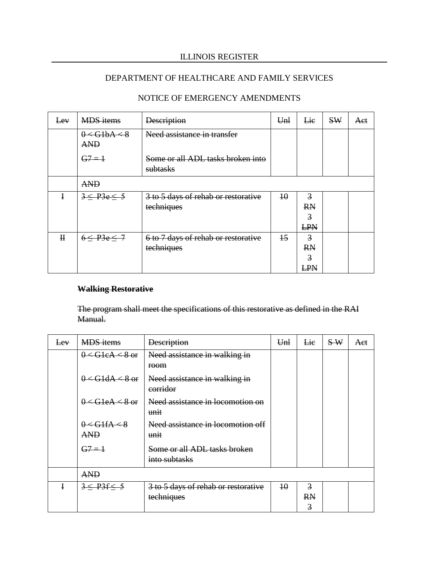# DEPARTMENT OF HEALTHCARE AND FAMILY SERVICES

| Lev         | <b>MDS</b> items                  | <b>Description</b>                            | Unl             | Lie            | SW | Aet |
|-------------|-----------------------------------|-----------------------------------------------|-----------------|----------------|----|-----|
|             | $0 <$ GlbA $\leq$ 8<br><b>AND</b> | Need assistance in transfer                   |                 |                |    |     |
|             | $G7 = 1$                          | Some or all ADL tasks broken into<br>subtasks |                 |                |    |     |
|             | <b>AND</b>                        |                                               |                 |                |    |     |
| I           | 3 < P3e < 5                       | 3 to 5 days of rehab or restorative           | $\overline{10}$ | 3              |    |     |
|             |                                   | techniques                                    |                 | <b>RN</b>      |    |     |
|             |                                   |                                               |                 | $\overline{3}$ |    |     |
|             |                                   |                                               |                 | LPN            |    |     |
| $\mathbf H$ | $6 \leq P3e \leq 7$               | 6 to 7 days of rehab or restorative           | $\pm$           | $\overline{3}$ |    |     |
|             |                                   | techniques                                    |                 | <b>RN</b>      |    |     |
|             |                                   |                                               |                 | 3              |    |     |
|             |                                   |                                               |                 | LPN            |    |     |

# NOTICE OF EMERGENCY AMENDMENTS

#### **Walking Restorative**

| <del>Lev</del> | <b>MDS</b> items    | <b>Description</b>                        | Unl             | Lie            | $S_{\rm w}$ | Aet |
|----------------|---------------------|-------------------------------------------|-----------------|----------------|-------------|-----|
|                | $0 < G1eA < 8$ or   | Need assistance in walking in             |                 |                |             |     |
|                |                     | room                                      |                 |                |             |     |
|                | $0 <$ G1dA $<$ 8 or | Need assistance in walking in<br>corridor |                 |                |             |     |
|                | $0 <$ GleA $<$ 8 or | Need assistance in locomotion on<br>unit  |                 |                |             |     |
|                | 0 < G1fA < 8        | Need assistance in locomotion off         |                 |                |             |     |
|                | <b>AND</b>          | unit                                      |                 |                |             |     |
|                | $G7 = 1$            | Some or all ADL tasks broken              |                 |                |             |     |
|                |                     | into subtasks                             |                 |                |             |     |
|                | <b>AND</b>          |                                           |                 |                |             |     |
| Į              | $3 \leq P3f \leq 5$ | 3 to 5 days of rehab or restorative       | $\overline{10}$ | $\overline{3}$ |             |     |
|                |                     | techniques                                |                 | <b>RN</b>      |             |     |
|                |                     |                                           |                 | $\overline{3}$ |             |     |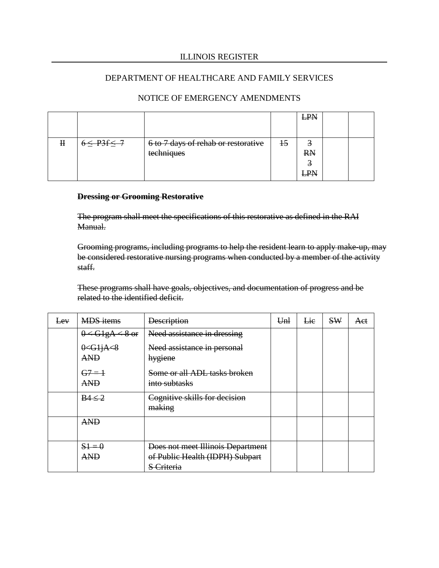|   |                     |                                                   |    | £₽                    |  |
|---|---------------------|---------------------------------------------------|----|-----------------------|--|
| н | $\leq$ P3f $\leq$ 7 | 6 to 7 days of rehab or restorative<br>techniques | 45 | Э<br><b>RN</b><br>LPN |  |

# NOTICE OF EMERGENCY AMENDMENTS

#### **Dressing or Grooming Restorative**

The program shall meet the specifications of this restorative as defined in the RAI Manual.

Grooming programs, including programs to help the resident learn to apply make-up, may be considered restorative nursing programs when conducted by a member of the activity staff.

These programs shall have goals, objectives, and documentation of progress and be related to the identified deficit.

| Eev | <b>MDS</b> items                    | <b>Description</b>                                                                 | Unl | Lie | SW | Aet |
|-----|-------------------------------------|------------------------------------------------------------------------------------|-----|-----|----|-----|
|     | $\leftarrow$ G1gA $\leftarrow$ 8 or | Need assistance in dressing                                                        |     |     |    |     |
|     | $0 <$ Glj $A < 8$<br><b>AND</b>     | Need assistance in personal<br>hygiene                                             |     |     |    |     |
|     | $G7 = 1$<br><b>AND</b>              | Some or all ADL tasks broken<br>into subtasks                                      |     |     |    |     |
|     | BA < 2                              | Cognitive skills for decision<br>making                                            |     |     |    |     |
|     | <b>AND</b>                          |                                                                                    |     |     |    |     |
|     | $51 = 0$<br>AND                     | Does not meet Illinois Department<br>of Public Health (IDPH) Subpart<br>S Criteria |     |     |    |     |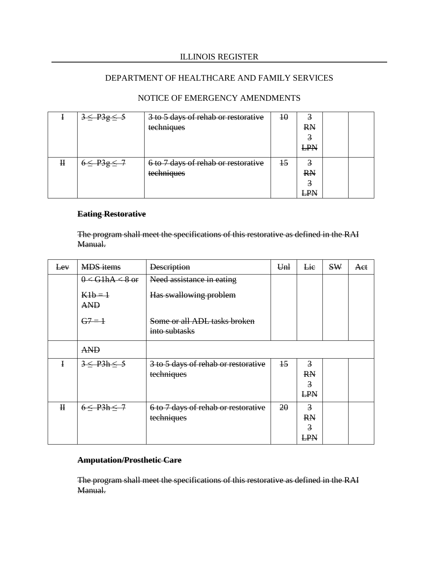|   | $3 \leq P3g \leq 5$ | 3 to 5 days of rehab or restorative | 40            | 3         |  |
|---|---------------------|-------------------------------------|---------------|-----------|--|
|   |                     | techniques                          |               | <b>RN</b> |  |
|   |                     |                                     |               | €         |  |
|   |                     |                                     |               | LPN       |  |
| Η | $\leq P3$ $\leq$ 7  | 6 to 7 days of rehab or restorative | <del>15</del> | 3         |  |
|   |                     |                                     |               |           |  |
|   |                     | techniques                          |               | <b>RN</b> |  |
|   |                     |                                     |               | €         |  |
|   |                     |                                     |               | LPN       |  |

# NOTICE OF EMERGENCY AMENDMENTS

## **Eating Restorative**

The program shall meet the specifications of this restorative as defined in the RAI Manual.

| Lev          | <b>MDS</b> items      | <b>Description</b>                                | U <sub>nl</sub> | Lie                                            | SW | Aet |
|--------------|-----------------------|---------------------------------------------------|-----------------|------------------------------------------------|----|-----|
|              | $0 <$ G1hA $<$ 8 or   | Need assistance in eating                         |                 |                                                |    |     |
|              | $K1b=1$<br><b>AND</b> | Has swallowing problem                            |                 |                                                |    |     |
|              | $G7 = 1$              | Some or all ADL tasks broken<br>into subtasks     |                 |                                                |    |     |
|              | <b>AND</b>            |                                                   |                 |                                                |    |     |
| $\mathbf{I}$ | 3 < P3h < 5           | 3 to 5 days of rehab or restorative<br>techniques | $\overline{15}$ | 3<br><b>RN</b><br>$\overline{3}$<br><b>LPN</b> |    |     |
| $\mathbf H$  | $6 \leq P3h \leq 7$   | 6 to 7 days of rehab or restorative<br>techniques | 20              | 3<br><b>RN</b><br>3<br><b>LPN</b>              |    |     |

## **Amputation/Prosthetic Care**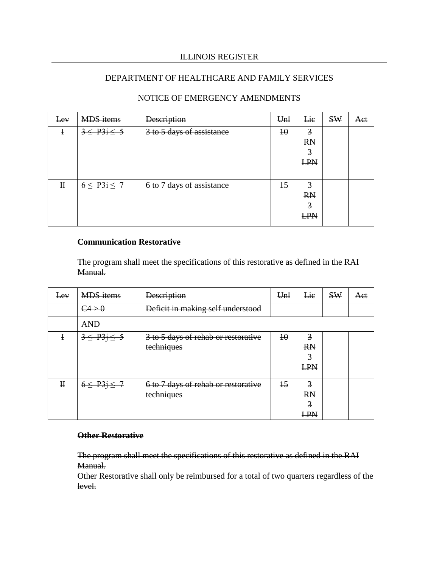## DEPARTMENT OF HEALTHCARE AND FAMILY SERVICES

| Eev         | <b>MDS</b> items      | <b>Description</b>        | Unl             | Lie                                            | <b>SW</b> | Aet |
|-------------|-----------------------|---------------------------|-----------------|------------------------------------------------|-----------|-----|
|             | $3 \leq$ P3i $\leq$ 5 | 3 to 5 days of assistance | $\overline{10}$ | $\overline{3}$<br><b>RN</b><br>3<br>LPN        |           |     |
| $\mathbf H$ | $6 \leq P3i \leq 7$   | 6 to 7 days of assistance | $+5$            | $\overline{3}$<br><b>RN</b><br>3<br><b>LPN</b> |           |     |

# NOTICE OF EMERGENCY AMENDMENTS

#### **Communication Restorative**

The program shall meet the specifications of this restorative as defined in the RAI Manual.

| Lev         | <b>MDS</b> items      | <b>Description</b>                  | Unl             | Lie            | <b>SW</b> | Aet |
|-------------|-----------------------|-------------------------------------|-----------------|----------------|-----------|-----|
|             | C4>0                  | Deficit in making self understood   |                 |                |           |     |
|             | <b>AND</b>            |                                     |                 |                |           |     |
| I           | $3 \leq$ $P3j \leq 5$ | 3 to 5 days of rehab or restorative | $\overline{10}$ | $\overline{3}$ |           |     |
|             |                       | techniques                          |                 | <b>RN</b>      |           |     |
|             |                       |                                     |                 | 3              |           |     |
|             |                       |                                     |                 | LPN            |           |     |
| $\mathbf H$ | $6 \leq$ P3j $\leq$ 7 | 6 to 7 days of rehab or restorative | $\overline{15}$ | $\overline{3}$ |           |     |
|             |                       | techniques                          |                 | <b>RN</b>      |           |     |
|             |                       |                                     |                 | 3              |           |     |
|             |                       |                                     |                 | <b>LPN</b>     |           |     |

## **Other Restorative**

The program shall meet the specifications of this restorative as defined in the RAI Manual.

Other Restorative shall only be reimbursed for a total of two quarters regardless of the level.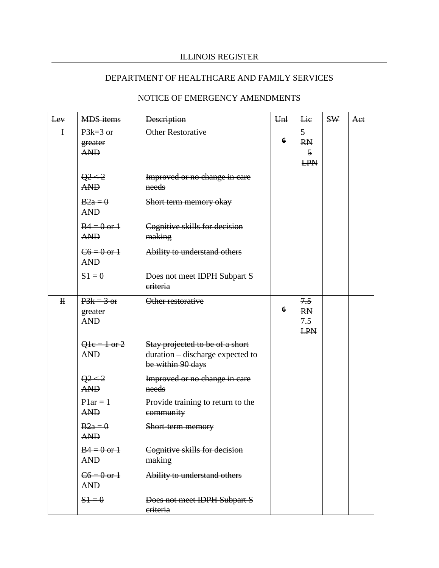# DEPARTMENT OF HEALTHCARE AND FAMILY SERVICES

| Lev         |                                                         |                                                                                          |                      |                                                       | <b>SW</b> |     |
|-------------|---------------------------------------------------------|------------------------------------------------------------------------------------------|----------------------|-------------------------------------------------------|-----------|-----|
| $\mathbf I$ | <b>MDS</b> items<br>$P3k=3$ or<br>greater<br><b>AND</b> | <b>Description</b><br>Other Restorative                                                  | U <sub>nl</sub><br>6 | Lie<br>5<br><b>RN</b><br>$\overline{5}$<br><b>LPN</b> |           | Aet |
|             | $Q^2 < 2$<br><b>AND</b>                                 | Improved or no change in care<br>needs                                                   |                      |                                                       |           |     |
|             | $B2a=0$<br><b>AND</b>                                   | Short term memory okay                                                                   |                      |                                                       |           |     |
|             | $B4 = 0$ or $\overline{1}$<br><b>AND</b>                | Cognitive skills for decision<br>making                                                  |                      |                                                       |           |     |
|             | $C6 = 0$ or $\pm$<br><b>AND</b>                         | Ability to understand others                                                             |                      |                                                       |           |     |
|             | $51 = 0$                                                | Does not meet IDPH Subpart S<br>eriteria                                                 |                      |                                                       |           |     |
| $\bf H$     | $P3k = 3$ or<br>greater<br><b>AND</b>                   | Other restorative                                                                        | 6                    | 7.5<br><b>RN</b><br>7.5<br><b>LPN</b>                 |           |     |
|             | $Q1e = 1$ or 2<br><b>AND</b>                            | Stay projected to be of a short<br>duration - discharge expected to<br>be within 90 days |                      |                                                       |           |     |
|             | $Q^2 < 2$<br><b>AND</b>                                 | Improved or no change in care<br>needs                                                   |                      |                                                       |           |     |
|             | $Plar = 1$<br><b>AND</b>                                | Provide training to return to the<br>community                                           |                      |                                                       |           |     |
|             | $B2a=0$<br><b>AND</b>                                   | Short-term memory                                                                        |                      |                                                       |           |     |
|             | $B4 = 0$ or $\pm$<br><b>AND</b>                         | Cognitive skills for decision<br>making                                                  |                      |                                                       |           |     |
|             | $C6 = 0$ or $\frac{1}{2}$<br><b>AND</b>                 | Ability to understand others                                                             |                      |                                                       |           |     |
|             | $51 = 0$                                                | Does not meet IDPH Subpart S<br>criteria                                                 |                      |                                                       |           |     |

# NOTICE OF EMERGENCY AMENDMENTS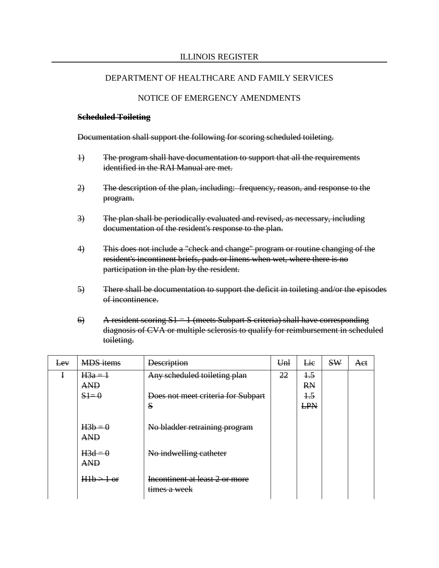## NOTICE OF EMERGENCY AMENDMENTS

#### **Scheduled Toileting**

Documentation shall support the following for scoring scheduled toileting.

- 1) The program shall have documentation to support that all the requirements identified in the RAI Manual are met.
- 2) The description of the plan, including: frequency, reason, and response to the program.
- 3) The plan shall be periodically evaluated and revised, as necessary, including documentation of the resident's response to the plan.
- 4) This does not include a "check and change" program or routine changing of the resident's incontinent briefs, pads or linens when wet, where there is no participation in the plan by the resident.
- 5) There shall be documentation to support the deficit in toileting and/or the episodes of incontinence.
- 6) A resident scoring  $S1 = 1$  (meets Subpart S criteria) shall have corresponding diagnosis of CVA or multiple sclerosis to qualify for reimbursement in scheduled toileting.

| Eev | <b>MDS</b> items                | <b>Description</b>                                                      | Unl | Lie                                     | SW | Aet |
|-----|---------------------------------|-------------------------------------------------------------------------|-----|-----------------------------------------|----|-----|
| I   | $H3a=1$<br><b>AND</b><br>$$1=0$ | Any scheduled toileting plan<br>Does not meet criteria for Subpart<br>S | 22  | $+5$<br><b>RN</b><br>$+5$<br><b>LPN</b> |    |     |
|     | $H3b=0$<br><b>AND</b>           | No bladder retraining program                                           |     |                                         |    |     |
|     | $H3d=0$<br><b>AND</b>           | No indwelling catheter                                                  |     |                                         |    |     |
|     | $H1b > 1$ or                    | Incontinent at least 2 or more<br>times a week                          |     |                                         |    |     |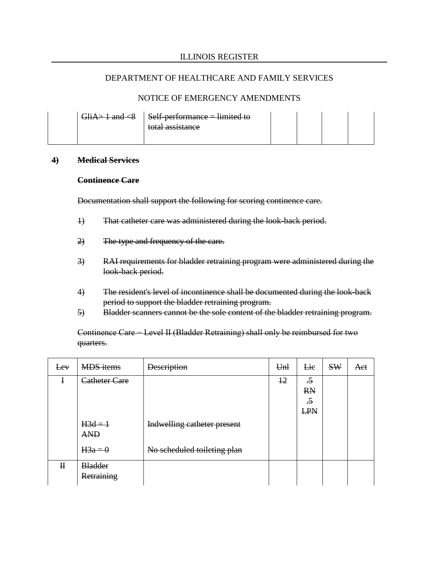## NOTICE OF EMERGENCY AMENDMENTS

| <del>anu &lt; 0</del> | $Self-performance = limited to$<br>total accidence<br><del>wai assistance</del> |  |  |
|-----------------------|---------------------------------------------------------------------------------|--|--|
|                       |                                                                                 |  |  |

#### **4) Medical Services**

#### **Continence Care**

Documentation shall support the following for scoring continence care.

- 1) That catheter care was administered during the look-back period.
- 2) The type and frequency of the care.
- 3) RAI requirements for bladder retraining program were administered during the look-back period.
- 4) The resident's level of incontinence shall be documented during the look-back period to support the bladder retraining program.
- 5) Bladder scanners cannot be the sole content of the bladder retraining program.

Continence Care − Level II (Bladder Retraining) shall only be reimbursed for two quarters.

| Eev          | <b>MDS</b> items             | <b>Description</b>          | Unl | Lie                                                              | <b>SW</b> | Aet |
|--------------|------------------------------|-----------------------------|-----|------------------------------------------------------------------|-----------|-----|
| $\ddagger$   | Catheter Care                |                             | 12  | $\overline{\cdot}$<br><b>RN</b><br>$\overline{.5}$<br><b>LPN</b> |           |     |
|              | $H3d=1$<br><b>AND</b>        | Indwelling catheter present |     |                                                                  |           |     |
|              | $H3a=0$                      | No scheduled toileting plan |     |                                                                  |           |     |
| $\mathbf{H}$ | <b>Bladder</b><br>Retraining |                             |     |                                                                  |           |     |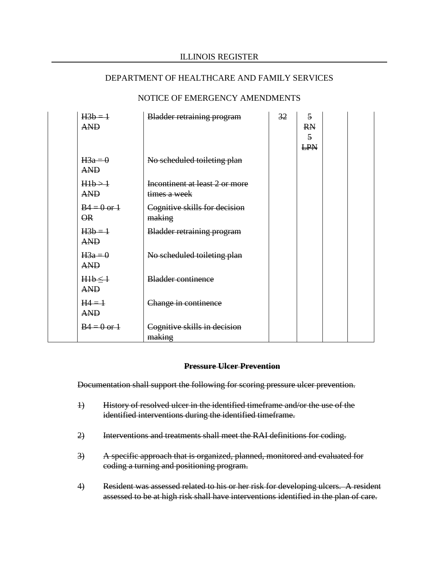| $H3b=1$<br><b>AND</b>                                  | <b>Bladder retraining program</b>              | 32 | $\overline{5}$<br><b>RN</b><br>$\overline{5}$<br><b>LPN</b> |  |
|--------------------------------------------------------|------------------------------------------------|----|-------------------------------------------------------------|--|
| $H3a=0$<br><b>AND</b>                                  | No scheduled toileting plan                    |    |                                                             |  |
| H1b > 1<br><b>AND</b>                                  | Incontinent at least 2 or more<br>times a week |    |                                                             |  |
| $B4 = 0$ or $\overline{1}$<br>$\overline{\mathsf{OR}}$ | Cognitive skills for decision<br>making        |    |                                                             |  |
| $H3b=1$<br><b>AND</b>                                  | <b>Bladder retraining program</b>              |    |                                                             |  |
| $H3a=0$<br><b>AND</b>                                  | No scheduled toileting plan                    |    |                                                             |  |
| $H1b \leq 1$<br><b>AND</b>                             | <b>Bladder continence</b>                      |    |                                                             |  |
| $H4 = 1$<br><b>AND</b>                                 | Change in continence                           |    |                                                             |  |
| $B4 = 0$ or $\overline{1}$                             | Cognitive skills in decision<br>making         |    |                                                             |  |

## NOTICE OF EMERGENCY AMENDMENTS

#### **Pressure Ulcer Prevention**

Documentation shall support the following for scoring pressure ulcer prevention.

- 1) History of resolved ulcer in the identified timeframe and/or the use of the identified interventions during the identified timeframe.
- 2) Interventions and treatments shall meet the RAI definitions for coding.
- 3) A specific approach that is organized, planned, monitored and evaluated for coding a turning and positioning program.
- 4) Resident was assessed related to his or her risk for developing ulcers. A resident assessed to be at high risk shall have interventions identified in the plan of care.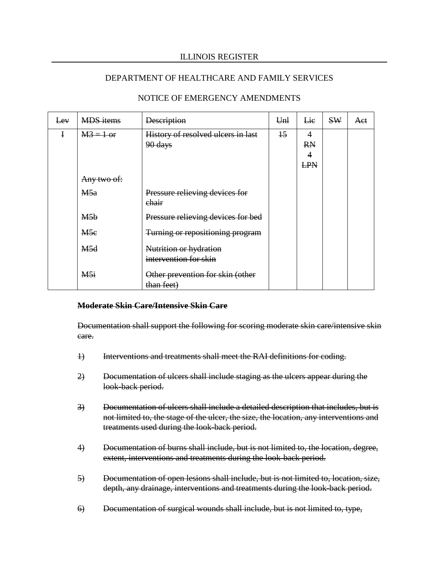## DEPARTMENT OF HEALTHCARE AND FAMILY SERVICES

| Lev | <b>MDS</b> items | <b>Description</b>                              | U <sub>nl</sub> | <b>Lie</b>                                     | SW | <b>Act</b> |
|-----|------------------|-------------------------------------------------|-----------------|------------------------------------------------|----|------------|
| Ŧ   | $M3 = 1$ or      | History of resolved ulcers in last<br>90 days   | $+5$            | 4<br><b>RN</b><br>$\overline{4}$<br><b>LPN</b> |    |            |
|     | Any two of:      |                                                 |                 |                                                |    |            |
|     | M5a              | Pressure relieving devices for<br>chair         |                 |                                                |    |            |
|     | M <sub>5b</sub>  | Pressure relieving devices for bed              |                 |                                                |    |            |
|     | M5e              | Turning or repositioning program                |                 |                                                |    |            |
|     | M5d              | Nutrition or hydration<br>intervention for skin |                 |                                                |    |            |
|     | M5i              | Other prevention for skin (other<br>than feet)  |                 |                                                |    |            |

# NOTICE OF EMERGENCY AMENDMENTS

#### **Moderate Skin Care/Intensive Skin Care**

Documentation shall support the following for scoring moderate skin care/intensive skin care.

- 1) Interventions and treatments shall meet the RAI definitions for coding.
- 2) Documentation of ulcers shall include staging as the ulcers appear during the look-back period.
- 3) Documentation of ulcers shall include a detailed description that includes, but is not limited to, the stage of the ulcer, the size, the location, any interventions and treatments used during the look-back period.
- 4) Documentation of burns shall include, but is not limited to, the location, degree, extent, interventions and treatments during the look-back period.
- 5) Documentation of open lesions shall include, but is not limited to, location, size, depth, any drainage, interventions and treatments during the look-back period.
- 6) Documentation of surgical wounds shall include, but is not limited to, type,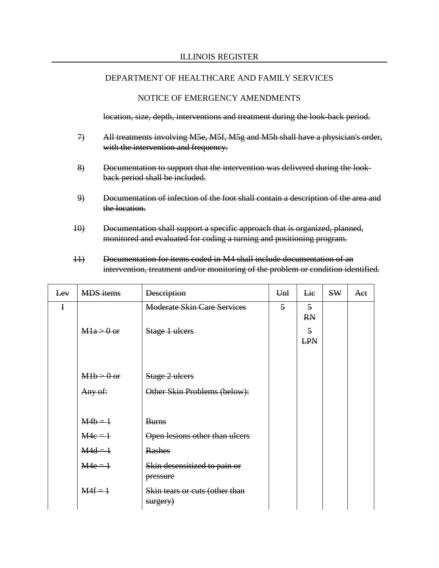## NOTICE OF EMERGENCY AMENDMENTS

location, size, depth, interventions and treatment during the look-back period.

- 7) All treatments involving M5e, M5f, M5g and M5h shall have a physician's order, with the intervention and frequency.
- 8) Documentation to support that the intervention was delivered during the lookback period shall be included.
- 9) Documentation of infection of the foot shall contain a description of the area and the location.
- 10) Documentation shall support a specific approach that is organized, planned, monitored and evaluated for coding a turning and positioning program.
- 11) Documentation for items coded in M4 shall include documentation of an intervention, treatment and/or monitoring of the problem or condition identified.

| Lev         | <b>MDS</b> items | <b>Description</b>                         | U <sub>nl</sub> | Lie                          | <b>SW</b> | Aet |
|-------------|------------------|--------------------------------------------|-----------------|------------------------------|-----------|-----|
| $\mathbf I$ |                  | <b>Moderate Skin Care Services</b>         | $\overline{5}$  | $\overline{5}$<br><b>RN</b>  |           |     |
|             | $M1a > 0$ or     | Stage 1 ulcers                             |                 | $\overline{5}$<br><b>LPN</b> |           |     |
|             | $M1b > 0$ or     | Stage 2 ulcers                             |                 |                              |           |     |
|             | Any of:          | Other Skin Problems (below):               |                 |                              |           |     |
|             | $M4b = 1$        | <b>Burns</b>                               |                 |                              |           |     |
|             | $M4e = 1$        | Open lesions other than ulcers             |                 |                              |           |     |
|             | $M4d = 1$        | <b>Rashes</b>                              |                 |                              |           |     |
|             | $M4e = 1$        | Skin desensitized to pain or<br>pressure   |                 |                              |           |     |
|             | $M4f = 1$        | Skin tears or cuts (other than<br>surgery) |                 |                              |           |     |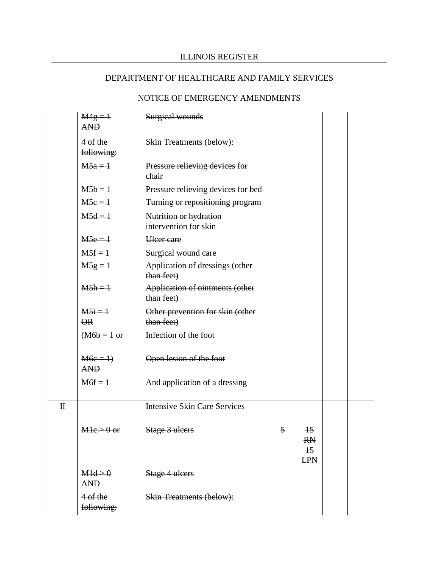# NOTICE OF EMERGENCY AMENDMENTS

|                         | $M4g = 1$<br><b>AND</b>            | Surgical wounds                                 |   |                                                               |  |
|-------------------------|------------------------------------|-------------------------------------------------|---|---------------------------------------------------------------|--|
|                         | $4of$ the<br>following:            | <b>Skin Treatments (below):</b>                 |   |                                                               |  |
|                         | $M5a=1$                            | Pressure relieving devices for<br>chair         |   |                                                               |  |
|                         | $M5b=1$                            | Pressure relieving devices for bed              |   |                                                               |  |
|                         | $M5e = 1$                          | Turning or repositioning program                |   |                                                               |  |
|                         | $M5d=1$                            | Nutrition or hydration<br>intervention for skin |   |                                                               |  |
|                         | $M5e = 1$                          | <b>Ulcer</b> care                               |   |                                                               |  |
|                         | $M5f = 1$                          | Surgical wound care                             |   |                                                               |  |
|                         | $M5g=1$                            | Application of dressings (other<br>than feet)   |   |                                                               |  |
|                         | $M5h = 1$                          | Application of ointments (other<br>than feet)   |   |                                                               |  |
|                         | $M5i = 1$<br>$\Theta$ <sub>R</sub> | Other prevention for skin (other<br>than feet)  |   |                                                               |  |
|                         | $(M6b = 1 or$                      | Infection of the foot                           |   |                                                               |  |
|                         | $M6e = 1$<br><b>AND</b>            | Open lesion of the foot                         |   |                                                               |  |
|                         | $M6f = 1$                          | And application of a dressing                   |   |                                                               |  |
| $\overline{\mathbf{H}}$ |                                    | <b>Intensive Skin Care Services</b>             |   |                                                               |  |
|                         | $M1e > 0$ or                       | Stage 3 ulcers                                  | 5 | $\overline{15}$<br><b>RN</b><br>$\overline{15}$<br><b>LPN</b> |  |
|                         | M1d > 0<br><b>AND</b>              | Stage 4 ulcers                                  |   |                                                               |  |
|                         | 4 of the<br>following:             | <b>Skin Treatments (below):</b>                 |   |                                                               |  |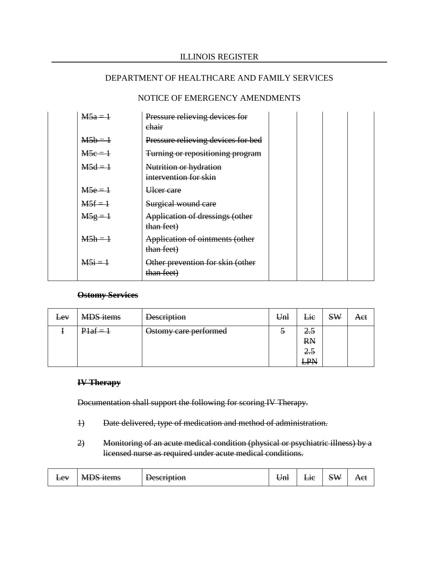## NOTICE OF EMERGENCY AMENDMENTS

| $M5a=1$   | Pressure relieving devices for<br>chair         |  |  |
|-----------|-------------------------------------------------|--|--|
| $M5b = 1$ | Pressure relieving devices for bed              |  |  |
| $M5c=1$   | Turning or repositioning program                |  |  |
| $M5d=1$   | Nutrition or hydration<br>intervention for skin |  |  |
| $M5e = 1$ | Heer care                                       |  |  |
| $M5f = 1$ | Surgical wound care                             |  |  |
| $M5g = 1$ | Application of dressings (other<br>than feet)   |  |  |
| $M5h = 1$ | Application of ointments (other<br>than feet)   |  |  |
| $M5i = 1$ | Other prevention for skin (other<br>than feet)  |  |  |

#### **Ostomy Services**

| <b>Lev</b> | <b>MDS</b> items | <b>Description</b>    | Unl           | Lie                                   | <b>SW</b> | Act |
|------------|------------------|-----------------------|---------------|---------------------------------------|-----------|-----|
|            | $P1af = 1$       | Ostomy care performed | $\mathcal{D}$ | 2.5<br><b>RN</b><br>2.5<br>I DN<br>cr |           |     |

#### **IV Therapy**

Documentation shall support the following for scoring IV Therapy.

- 1) Date delivered, type of medication and method of administration.
- 2) Monitoring of an acute medical condition (physical or psychiatric illness) by a licensed nurse as required under acute medical conditions.

| $\Delta V$<br>æ | $. \pi \mathbb{N}$<br>n. л<br>1tame<br>widd iwilis | Jacomption<br>Desembuon | ⊎m⊦ | $\overline{10}$<br>–π | $\sim$ $\mathbf{v}$<br>$\sim$ W<br>∼ | $\Delta \mathbf{e}^t$<br>$\pi$ |
|-----------------|----------------------------------------------------|-------------------------|-----|-----------------------|--------------------------------------|--------------------------------|
|-----------------|----------------------------------------------------|-------------------------|-----|-----------------------|--------------------------------------|--------------------------------|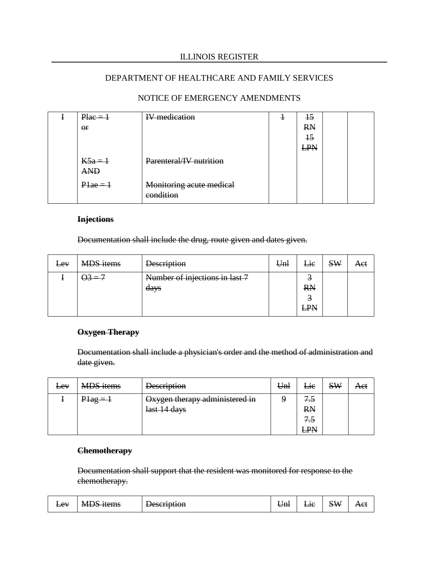## DEPARTMENT OF HEALTHCARE AND FAMILY SERVICES

# NOTICE OF EMERGENCY AMENDMENTS

| $Place = 1$             | <b>IV</b> medication                  | ÷ | $+5$       |  |
|-------------------------|---------------------------------------|---|------------|--|
| $\Theta$ r              |                                       |   | <b>RN</b>  |  |
|                         |                                       |   | $+5$       |  |
|                         |                                       |   | <b>LPN</b> |  |
| $K5a = 1$<br><b>AND</b> | Parenteral/IV nutrition               |   |            |  |
| $P1ae = 1$              | Monitoring acute medical<br>condition |   |            |  |

## **Injections**

Documentation shall include the drug, route given and dates given.

| $E$ <sub>e</sub> $V$ | <b>MDS</b> items | <b>Description</b>             | Unl | <b>Lie</b> | <b>SW</b> | Act |
|----------------------|------------------|--------------------------------|-----|------------|-----------|-----|
|                      | $\Theta_3 = 7$   | Number of injections in last 7 |     |            |           |     |
|                      |                  | days                           |     | <b>RN</b>  |           |     |
|                      |                  |                                |     | ◠          |           |     |
|                      |                  |                                |     | <b>LPN</b> |           |     |

# **Oxygen Therapy**

Documentation shall include a physician's order and the method of administration and date given.

| $E$ <sub>E</sub> $V$ | <b>MDS</b> items | <b>Description</b>             | Unl | Lie            | <b>SW</b> | Aet |
|----------------------|------------------|--------------------------------|-----|----------------|-----------|-----|
|                      | $P1ag = 1$       | Oxygen therapy administered in |     | 7.5            |           |     |
|                      |                  | last 14 days                   |     | <b>RN</b>      |           |     |
|                      |                  |                                |     | <del>7.5</del> |           |     |
|                      |                  |                                |     | <b>LPN</b>     |           |     |

# **Chemotherapy**

Documentation shall support that the resident was monitored for response to the chemotherapy.

| $\Delta V$<br>œ | $\sim$<br>N/I<br>1tame<br><del>NIDO Items</del> | $\alpha$ c $\alpha$ rintion<br><del>Description</del> | Um | $\overline{10}$<br><u>Lit</u> | $\sum$ | Aet |
|-----------------|-------------------------------------------------|-------------------------------------------------------|----|-------------------------------|--------|-----|
|-----------------|-------------------------------------------------|-------------------------------------------------------|----|-------------------------------|--------|-----|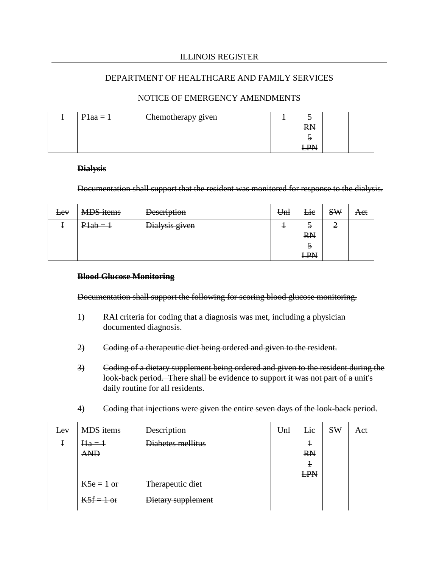## NOTICE OF EMERGENCY AMENDMENTS

| $P1aa=1$ | <sub>1</sub> Chemotherapy given |           |  |
|----------|---------------------------------|-----------|--|
|          |                                 | <b>RN</b> |  |
|          |                                 |           |  |
|          |                                 | ≖         |  |

#### **Dialysis**

Documentation shall support that the resident was monitored for response to the dialysis.

| Eev | <b>MDS</b> items | <b>Description</b> | Unl | Lie                               | <b>SW</b> | Act |
|-----|------------------|--------------------|-----|-----------------------------------|-----------|-----|
|     | $P1ab = 1$       | Dialysis given     |     | э<br><b>RN</b><br>э<br><b>LPN</b> | ◠<br>Ź    |     |

#### **Blood Glucose Monitoring**

Documentation shall support the following for scoring blood glucose monitoring.

- 1) RAI criteria for coding that a diagnosis was met, including a physician documented diagnosis.
- 2) Coding of a therapeutic diet being ordered and given to the resident.
- 3) Coding of a dietary supplement being ordered and given to the resident during the look-back period. There shall be evidence to support it was not part of a unit's daily routine for all residents.
- 4) Coding that injections were given the entire seven days of the look-back period.

| Lev | <b>MDS</b> items | <b>Description</b> | Unl | Lie        | <b>SW</b> | Aet |
|-----|------------------|--------------------|-----|------------|-----------|-----|
|     | $Ha = 1$         | Diabetes mellitus  |     |            |           |     |
|     | <b>AND</b>       |                    |     | <b>RN</b>  |           |     |
|     |                  |                    |     | $\pm$      |           |     |
|     |                  |                    |     | <b>LPN</b> |           |     |
|     | $K5e = 1$ or     | Therapeutic diet   |     |            |           |     |
|     | $K5f = 1$ or     | Dietary supplement |     |            |           |     |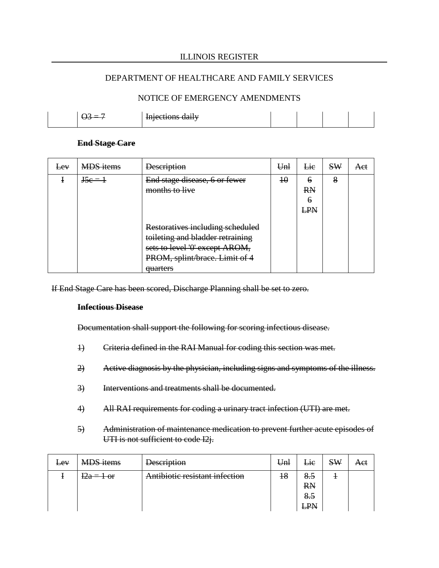#### DEPARTMENT OF HEALTHCARE AND FAMILY SERVICES

## NOTICE OF EMERGENCY AMENDMENTS

| = | Injections daily |  |  |
|---|------------------|--|--|
|   |                  |  |  |

#### **End Stage Care**

| <del>Lev</del> | <b>MDS</b> items | <b>Description</b>                                                                                                                                              | Unl | Lie                        | <b>SW</b> | Aet |
|----------------|------------------|-----------------------------------------------------------------------------------------------------------------------------------------------------------------|-----|----------------------------|-----------|-----|
|                | $\text{J5e} = 1$ | End stage disease, 6 or fewer<br>months to live                                                                                                                 | 40  | 6<br><b>RN</b><br>Ð<br>LPN | 8         |     |
|                |                  | Restoratives including scheduled<br>toileting and bladder retraining<br>sets to level '0' except AROM,<br>PROM, splint/brace. Limit of 4<br><del>quarters</del> |     |                            |           |     |

If End Stage Care has been scored, Discharge Planning shall be set to zero.

#### **Infectious Disease**

Documentation shall support the following for scoring infectious disease.

- 1) Criteria defined in the RAI Manual for coding this section was met.
- 2) Active diagnosis by the physician, including signs and symptoms of the illness.
- 3) Interventions and treatments shall be documented.
- 4) All RAI requirements for coding a urinary tract infection (UTI) are met.
- 5) Administration of maintenance medication to prevent further acute episodes of UTI is not sufficient to code I2j.

| $E$ <sub>E</sub> $V$ | <b>MDS</b> items | <b>Description</b>             | Unl             | Lie              | <b>SW</b> | Act |
|----------------------|------------------|--------------------------------|-----------------|------------------|-----------|-----|
|                      | $12a = 1$ or     | Antibiotic resistant infection | $\overline{18}$ | 8.5              |           |     |
|                      |                  |                                |                 | <b>RN</b><br>8.5 |           |     |
|                      |                  |                                |                 | <b>LPN</b>       |           |     |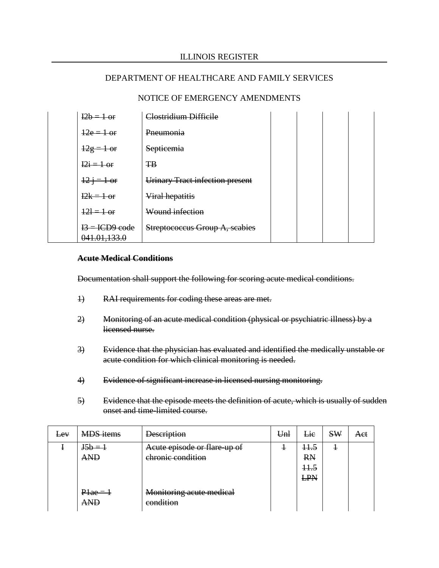## NOTICE OF EMERGENCY AMENDMENTS

| $12b = 1$ or                     | Clostridium Difficile                  |  |  |
|----------------------------------|----------------------------------------|--|--|
| $\frac{12e}{10r}$                | Pneumonia                              |  |  |
| $\frac{12g}{10}$                 | Septicemia                             |  |  |
| $12i = 1$ or                     | <b>TB</b>                              |  |  |
| $\frac{12}{1} = 1$ or            | <b>Urinary Tract infection present</b> |  |  |
| $12k = 1$ or                     | Viral hepatitis                        |  |  |
| $121 = 1$ or                     | Wound infection                        |  |  |
| $I3 = ICD9 code$<br>041.01,133.0 | Streptococcus Group A, scabies         |  |  |

#### **Acute Medical Conditions**

Documentation shall support the following for scoring acute medical conditions.

- 1) RAI requirements for coding these areas are met.
- 2) Monitoring of an acute medical condition (physical or psychiatric illness) by a licensed nurse.
- 3) Evidence that the physician has evaluated and identified the medically unstable or acute condition for which clinical monitoring is needed.
- 4) Evidence of significant increase in licensed nursing monitoring.
- 5) Evidence that the episode meets the definition of acute, which is usually of sudden onset and time-limited course.

| $E$ <sub>E</sub> $V$ | <b>MDS</b> items         | <b>Description</b>                                | Unl | Lie                                         | <b>SW</b> | Aet |
|----------------------|--------------------------|---------------------------------------------------|-----|---------------------------------------------|-----------|-----|
|                      | $J5b =$<br><b>AND</b>    | Acute episode or flare-up of<br>chronic condition |     | <del>11.5</del><br><b>RN</b><br>11.5<br>LPN |           |     |
|                      | $P1ae = 1$<br><b>ANF</b> | Monitoring acute medical<br>condition             |     |                                             |           |     |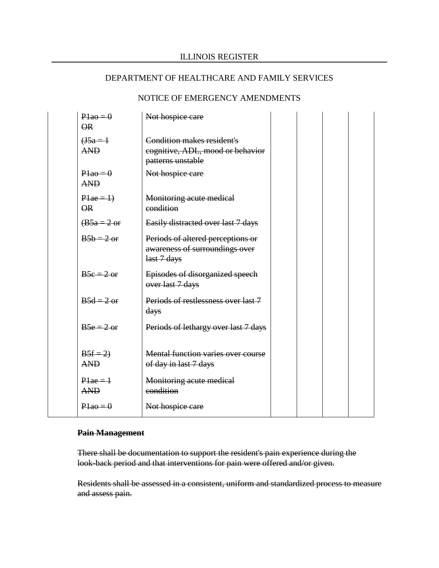## NOTICE OF EMERGENCY AMENDMENTS

| $P1a0=0$<br>$\Theta$ <sub>R</sub>      | Not hospice care                                                                    |  |  |
|----------------------------------------|-------------------------------------------------------------------------------------|--|--|
| $($ J $5a=1$<br><b>AND</b>             | Condition makes resident's<br>cognitive, ADL, mood or behavior<br>patterns unstable |  |  |
| $P1a0=0$<br><b>AND</b>                 | Not hospice care                                                                    |  |  |
| $P1ae = 1$<br>$\overline{\mathsf{OR}}$ | Monitoring acute medical<br>condition                                               |  |  |
| $\overline{AB5a} = 2 \text{ or}$       | Easily distracted over last 7 days                                                  |  |  |
| $B5b = 2$ or                           | Periods of altered perceptions or<br>awareness of surroundings over<br>last 7 days  |  |  |
| $B5c = 2$ or                           | Episodes of disorganized speech<br>over last 7 days                                 |  |  |
| $B5d = 2$ or                           | Periods of restlessness over last 7<br>days                                         |  |  |
| $B5e = 2$ or                           | Periods of lethargy over last 7 days                                                |  |  |
| $B5f = 2$<br><b>AND</b>                | Mental function varies over course<br>of day in last 7 days                         |  |  |
| $P1ae = 1$<br><b>AND</b>               | Monitoring acute medical<br>condition                                               |  |  |
| $P1a0=0$                               | Not hospice care                                                                    |  |  |

## **Pain Management**

There shall be documentation to support the resident's pain experience during the look-back period and that interventions for pain were offered and/or given.

Residents shall be assessed in a consistent, uniform and standardized process to measure and assess pain.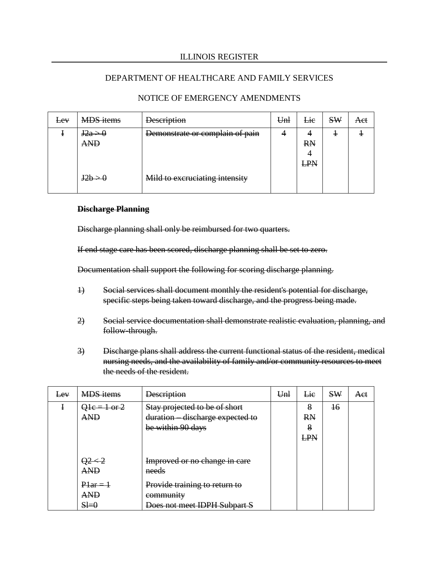## DEPARTMENT OF HEALTHCARE AND FAMILY SERVICES

| $E$ <sub>E</sub> $V$ | <b>MDS</b> items                 | <b>Description</b>              | Unl | Lie        | <b>SW</b> | Act |
|----------------------|----------------------------------|---------------------------------|-----|------------|-----------|-----|
|                      | $\text{Hz}_{a} > 0$              | Demonstrate or complain of pain |     |            |           |     |
|                      | <b>AND</b>                       |                                 |     | <b>RN</b>  |           |     |
|                      |                                  |                                 |     |            |           |     |
|                      |                                  |                                 |     | <b>LPN</b> |           |     |
|                      | 12h > 0<br>$J \angle U \angle T$ | Mild to excruciating intensity  |     |            |           |     |

## NOTICE OF EMERGENCY AMENDMENTS

#### **Discharge Planning**

Discharge planning shall only be reimbursed for two quarters.

If end stage care has been scored, discharge planning shall be set to zero.

Documentation shall support the following for scoring discharge planning.

- 1) Social services shall document monthly the resident's potential for discharge, specific steps being taken toward discharge, and the progress being made.
- 2) Social service documentation shall demonstrate realistic evaluation, planning, and follow-through.
- 3) Discharge plans shall address the current functional status of the resident, medical nursing needs, and the availability of family and/or community resources to meet the needs of the resident.

| Lev | <b>MDS</b> items | <b>Description</b>                     | U <sub>nl</sub> | Lie        | SW | Aet |
|-----|------------------|----------------------------------------|-----------------|------------|----|-----|
|     | $Q1e = 1$ or 2   | Stay projected to be of short          |                 | 8          | 16 |     |
|     | <b>AND</b>       | duration discharge expected to         |                 | <b>RN</b>  |    |     |
|     |                  | be within 90 days                      |                 | 8          |    |     |
|     |                  |                                        |                 | <b>LPN</b> |    |     |
|     |                  |                                        |                 |            |    |     |
|     | <b>AND</b>       | Improved or no change in care<br>needs |                 |            |    |     |
|     | $Plar = 1$       | Provide training to return to          |                 |            |    |     |
|     | <b>AND</b>       | community                              |                 |            |    |     |
|     | $H=0$            | Does not meet IDPH Subpart S           |                 |            |    |     |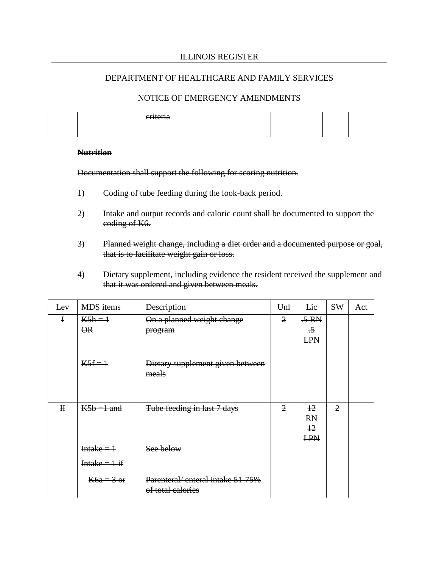#### NOTICE OF EMERGENCY AMENDMENTS

| eriteria |  |  |
|----------|--|--|
|          |  |  |
|          |  |  |
|          |  |  |

#### **Nutrition**

Documentation shall support the following for scoring nutrition.

- 1) Coding of tube feeding during the look-back period.
- 2) Intake and output records and caloric count shall be documented to support the coding of K6.
- 3) Planned weight change, including a diet order and a documented purpose or goal, that is to facilitate weight gain or loss.
- 4) Dietary supplement, including evidence the resident received the supplement and that it was ordered and given between meals.

| Eev          | <b>MDS</b> items         | <b>Description</b>               | U <sub>nl</sub> | Lie             | SW             | Aet |
|--------------|--------------------------|----------------------------------|-----------------|-----------------|----------------|-----|
| ł            | $K5h = 1$                | On a planned weight change       | $\overline{2}$  | $.5 \text{ RN}$ |                |     |
|              | $\overline{\mathsf{OR}}$ | program                          |                 | $\overline{.5}$ |                |     |
|              |                          |                                  |                 | <b>LPN</b>      |                |     |
|              |                          |                                  |                 |                 |                |     |
|              | $K5f = 1$                | Dietary supplement given between |                 |                 |                |     |
|              |                          | meals                            |                 |                 |                |     |
|              |                          |                                  |                 |                 |                |     |
|              |                          |                                  |                 |                 |                |     |
| $\mathbf{H}$ | $K5b = 1$ and            | Tube feeding in last 7 days      | $\overline{2}$  | $+2$            | $\overline{2}$ |     |
|              |                          |                                  |                 | <b>RN</b>       |                |     |
|              |                          |                                  |                 | $+2$            |                |     |
|              |                          |                                  |                 | <b>LPN</b>      |                |     |
|              | Intake $=$ 1             | See below                        |                 |                 |                |     |
|              | Intake = $1$ if          |                                  |                 |                 |                |     |
|              | $K6a = 3$ or             | Parenteral/enteral intake 51-75% |                 |                 |                |     |
|              |                          | of total calories                |                 |                 |                |     |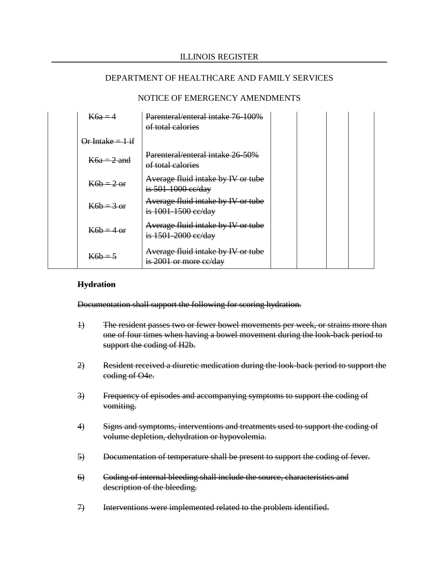## NOTICE OF EMERGENCY AMENDMENTS

| $K6a=4$                     | Parenteral/enteral intake 76-100%<br>of total calories        |  |  |
|-----------------------------|---------------------------------------------------------------|--|--|
| <del>Or Intake = 1 if</del> |                                                               |  |  |
| $K6a = 2$ and               | Parenteral/enteral intake 26-50%<br>of total calories         |  |  |
| $K6h = 2$ or                | Average fluid intake by IV or tube<br>is $501-1000$ ee/day    |  |  |
| $K6b = 3$ or                | Average fluid intake by IV or tube<br>is $1001 - 1500$ ee/day |  |  |
| $K6h = 4$ or                | Average fluid intake by IV or tube<br>is 1501-2000 ee/day     |  |  |
| $K6h = 5$                   | Average fluid intake by IV or tube<br>is 2001 or more ce/day  |  |  |

#### **Hydration**

Documentation shall support the following for scoring hydration.

- 1) The resident passes two or fewer bowel movements per week, or strains more than one of four times when having a bowel movement during the look-back period to support the coding of H2b.
- 2) Resident received a diuretic medication during the look-back period to support the coding of O4e.
- 3) Frequency of episodes and accompanying symptoms to support the coding of vomiting.
- 4) Signs and symptoms, interventions and treatments used to support the coding of volume depletion, dehydration or hypovolemia.
- 5) Documentation of temperature shall be present to support the coding of fever.
- 6) Coding of internal bleeding shall include the source, characteristics and description of the bleeding.
- 7) Interventions were implemented related to the problem identified.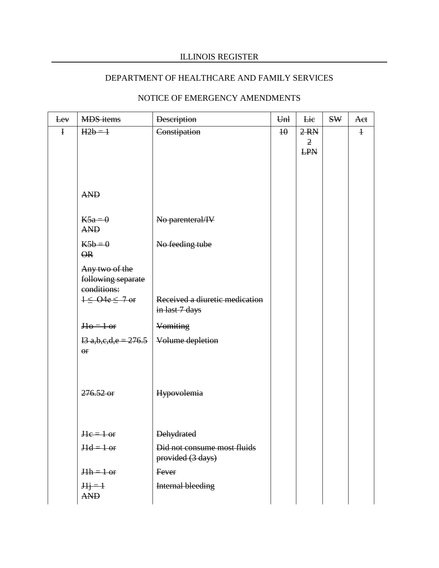# DEPARTMENT OF HEALTHCARE AND FAMILY SERVICES

| Lev         | <b>MDS</b> items                                    | <b>Description</b>                               | Unl             | Lie                                              | <b>SW</b> | Aet        |
|-------------|-----------------------------------------------------|--------------------------------------------------|-----------------|--------------------------------------------------|-----------|------------|
| $\mathbf I$ | $H2b=1$                                             | Constipation                                     | $\overline{10}$ | $2 \, \text{RN}$<br>$\overline{2}$<br><b>LPN</b> |           | $\ddagger$ |
|             | <b>AND</b>                                          |                                                  |                 |                                                  |           |            |
|             | $K5a=0$<br><b>AND</b>                               | No parenteral/IV                                 |                 |                                                  |           |            |
|             | $K5b=0$<br>$\overline{\mathsf{OR}}$                 | No feeding tube                                  |                 |                                                  |           |            |
|             | Any two of the<br>following separate<br>conditions: |                                                  |                 |                                                  |           |            |
|             | $1 \leq$ O4e $\leq$ 7 or                            | Received a diuretic medication<br>in last 7 days |                 |                                                  |           |            |
|             | $H\theta = 1$ or                                    | Vomiting                                         |                 |                                                  |           |            |
|             | $13$ a,b,e,d,e = 276.5<br>$\Theta$ r                | Volume depletion                                 |                 |                                                  |           |            |
|             | $276.52 \text{ or }$                                | Hypovolemia                                      |                 |                                                  |           |            |
|             | $He = 1$ or                                         | <b>Dehydrated</b>                                |                 |                                                  |           |            |
|             | $Hd = 1$ or                                         | Did not consume most fluids<br>provided (3 days) |                 |                                                  |           |            |
|             | $Hh = 1$ or                                         | Fever                                            |                 |                                                  |           |            |
|             | $Hj=1$<br><b>AND</b>                                | Internal bleeding                                |                 |                                                  |           |            |

# NOTICE OF EMERGENCY AMENDMENTS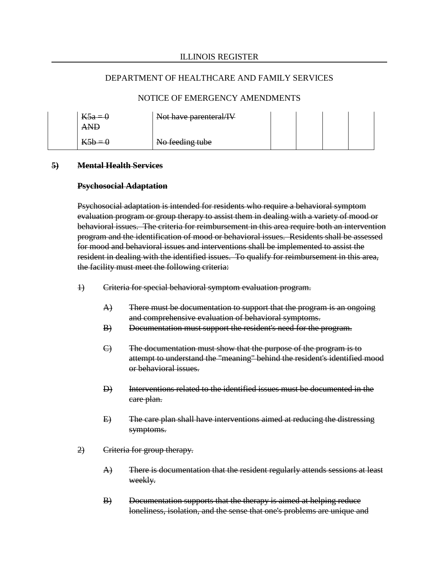#### NOTICE OF EMERGENCY AMENDMENTS

| $K5a=0$                    | Not have parenteral/IV |  |  |
|----------------------------|------------------------|--|--|
| $V$ 5h $-$<br>$\mathbf{L}$ | No feeding tube        |  |  |

#### **5) Mental Health Services**

#### **Psychosocial Adaptation**

Psychosocial adaptation is intended for residents who require a behavioral symptom evaluation program or group therapy to assist them in dealing with a variety of mood or behavioral issues. The criteria for reimbursement in this area require both an intervention program and the identification of mood or behavioral issues. Residents shall be assessed for mood and behavioral issues and interventions shall be implemented to assist the resident in dealing with the identified issues. To qualify for reimbursement in this area, the facility must meet the following criteria:

- 1) Criteria for special behavioral symptom evaluation program.
	- A) There must be documentation to support that the program is an ongoing and comprehensive evaluation of behavioral symptoms.
	- B) Documentation must support the resident's need for the program.
	- C) The documentation must show that the purpose of the program is to attempt to understand the "meaning" behind the resident's identified mood or behavioral issues.
	- D) Interventions related to the identified issues must be documented in the care plan.
	- E) The care plan shall have interventions aimed at reducing the distressing symptoms.
- 2) Criteria for group therapy.
	- A) There is documentation that the resident regularly attends sessions at least weekly.
	- B) Documentation supports that the therapy is aimed at helping reduce loneliness, isolation, and the sense that one's problems are unique and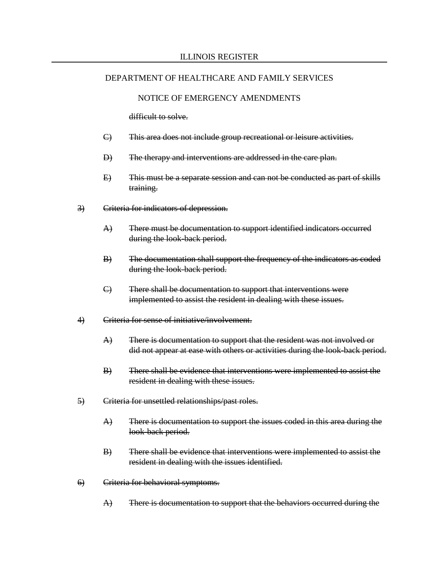#### NOTICE OF EMERGENCY AMENDMENTS

difficult to solve.

- C) This area does not include group recreational or leisure activities.
- D) The therapy and interventions are addressed in the care plan.
- E) This must be a separate session and can not be conducted as part of skills training.
- 3) Criteria for indicators of depression.
	- A) There must be documentation to support identified indicators occurred during the look-back period.
	- B) The documentation shall support the frequency of the indicators as coded during the look-back period.
	- C) There shall be documentation to support that interventions were implemented to assist the resident in dealing with these issues.
- 4) Criteria for sense of initiative/involvement.
	- $\overrightarrow{A}$  There is documentation to support that the resident was not involved or did not appear at ease with others or activities during the look-back period.
	- B) There shall be evidence that interventions were implemented to assist the resident in dealing with these issues.
- 5) Criteria for unsettled relationships/past roles.
	- A) There is documentation to support the issues coded in this area during the look-back period.
	- B) There shall be evidence that interventions were implemented to assist the resident in dealing with the issues identified.
- 6) Criteria for behavioral symptoms.
	- $\overrightarrow{A}$  There is documentation to support that the behaviors occurred during the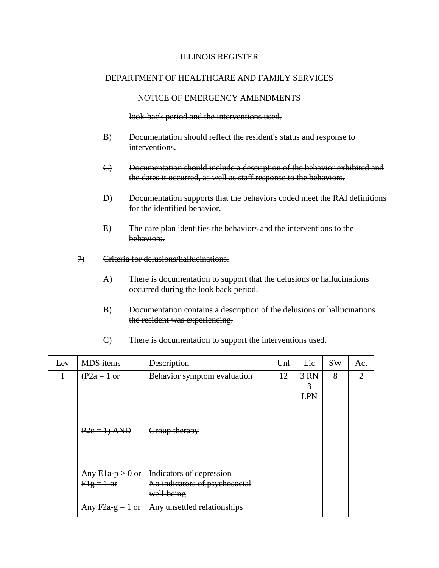#### NOTICE OF EMERGENCY AMENDMENTS

look-back period and the interventions used.

- B) Documentation should reflect the resident's status and response to interventions.
- C) Documentation should include a description of the behavior exhibited and the dates it occurred, as well as staff response to the behaviors.
- D) Documentation supports that the behaviors coded meet the RAI definitions for the identified behavior.
- E) The care plan identifies the behaviors and the interventions to the behaviors.
- 7) Criteria for delusions/hallucinations.
	- A) There is documentation to support that the delusions or hallucinations occurred during the look back period.
	- B) Documentation contains a description of the delusions or hallucinations the resident was experiencing.

| Lev | <b>MDS</b> items                  | <b>Description</b>                                                      | Unl  | Lie                       | <b>SW</b> | Aet            |
|-----|-----------------------------------|-------------------------------------------------------------------------|------|---------------------------|-----------|----------------|
| I   | $(\overline{P2a} = 1 \text{ or }$ | Behavior symptom evaluation                                             | $+2$ | $3-RN$<br>3<br><b>LPN</b> | 8         | $\overline{2}$ |
|     | $P2e = 1$ ) AND                   | Group therapy                                                           |      |                           |           |                |
|     | Any $E1a-p > 0$ or<br>$Hg = 1$ or | Indicators of depression<br>No indicators of psychosocial<br>well-being |      |                           |           |                |
|     | Any $F2a-g = 1$ or                | Any unsettled relationships                                             |      |                           |           |                |

C) There is documentation to support the interventions used.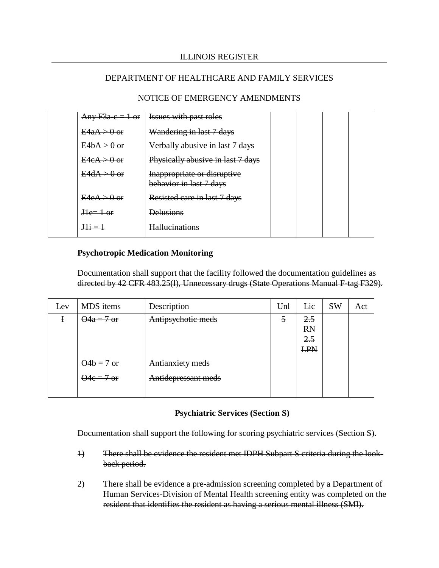## NOTICE OF EMERGENCY AMENDMENTS

|                         | Any $F3a-c = 1$ or   Issues with past roles            |  |  |
|-------------------------|--------------------------------------------------------|--|--|
| $E4aA > 0$ or           | Wandering in last 7 days                               |  |  |
| $E4hA \rightarrow 0$ or | Verbally abusive in last 7 days                        |  |  |
| $E4eA \rightarrow 0$ or | Physically abusive in last 7 days                      |  |  |
| $E4dA > 0$ or           | Inappropriate or disruptive<br>behavior in last 7 days |  |  |
| $E4eA > 0$ or           | Resisted care in last 7 days                           |  |  |
| $He=1$ or               | <b>Delusions</b>                                       |  |  |
| $\frac{111}{2}$         | <b>Hallucinations</b>                                  |  |  |

#### **Psychotropic Medication Monitoring**

Documentation shall support that the facility followed the documentation guidelines as directed by 42 CFR 483.25(l), Unnecessary drugs (State Operations Manual F-tag F329).

| <del>Lev</del> | <b>MDS</b> items   | <b>Description</b>  | Unl | Lie        | <b>SW</b> | Aet |
|----------------|--------------------|---------------------|-----|------------|-----------|-----|
|                | $\Theta$ 4a = 7 or | Antipsychotic meds  | 5   | 2.5        |           |     |
|                |                    |                     |     | <b>RN</b>  |           |     |
|                |                    |                     |     | 2.5        |           |     |
|                |                    |                     |     | <b>LPN</b> |           |     |
|                | $\Theta$ 4b = 7 or | Antianxiety meds    |     |            |           |     |
|                | $\Theta$ 4e = 7 or | Antidepressant meds |     |            |           |     |
|                |                    |                     |     |            |           |     |

#### **Psychiatric Services (Section S)**

Documentation shall support the following for scoring psychiatric services (Section S).

- 1) There shall be evidence the resident met IDPH Subpart S criteria during the lookback period.
- 2) There shall be evidence a pre-admission screening completed by a Department of Human Services-Division of Mental Health screening entity was completed on the resident that identifies the resident as having a serious mental illness (SMI).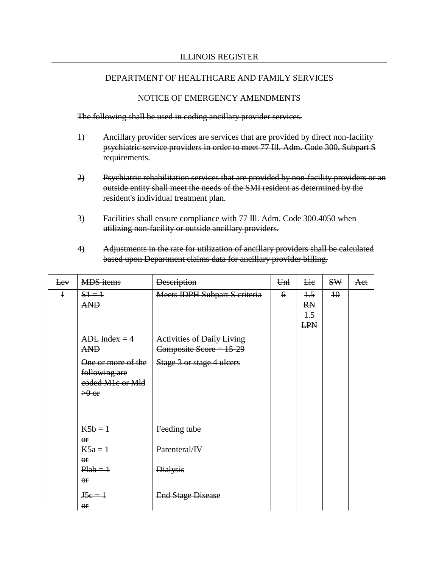## NOTICE OF EMERGENCY AMENDMENTS

The following shall be used in coding ancillary provider services.

- 1) Ancillary provider services are services that are provided by direct non-facility psychiatric service providers in order to meet 77 Ill. Adm. Code 300, Subpart S requirements.
- 2) Psychiatric rehabilitation services that are provided by non-facility providers or an outside entity shall meet the needs of the SMI resident as determined by the resident's individual treatment plan.
- 3) Facilities shall ensure compliance with 77 Ill. Adm. Code 300.4050 when utilizing non-facility or outside ancillary providers.
- 4) Adjustments in the rate for utilization of ancillary providers shall be calculated based upon Department claims data for ancillary provider billing.

| Eev          | <b>MDS</b> items                                                                           | <b>Description</b>                                             | Unl         | <b>Lie</b>                                 | <b>SW</b>       | Aet |
|--------------|--------------------------------------------------------------------------------------------|----------------------------------------------------------------|-------------|--------------------------------------------|-----------------|-----|
| $\mathbf{I}$ | $51 = 1$<br><b>AND</b>                                                                     | Meets IDPH Subpart S criteria                                  | $6^{\circ}$ | $+5$<br><b>RN</b><br>$\pm 5$<br><b>LPN</b> | $\overline{10}$ |     |
|              | $ADL$ Index = 4<br><b>AND</b>                                                              | <b>Activities of Daily Living</b><br>Composite Score = $15-29$ |             |                                            |                 |     |
|              | One or more of the<br>following are<br>eoded M <sub>1</sub> e or Mld<br>$\rightarrow 0$ or | Stage 3 or stage 4 ulcers                                      |             |                                            |                 |     |
|              | $K5b=1$<br>$\Theta$ <b>F</b>                                                               | Feeding tube                                                   |             |                                            |                 |     |
|              | $K5a=1$<br>$_{\rm$ or                                                                      | Parenteral/IV                                                  |             |                                            |                 |     |
|              | $Plab = 1$<br>$_{\rm \Theta f}$                                                            | <b>Dialysis</b>                                                |             |                                            |                 |     |
|              | $J5e = 1$<br>$_{\rm or}$                                                                   | <b>End Stage Disease</b>                                       |             |                                            |                 |     |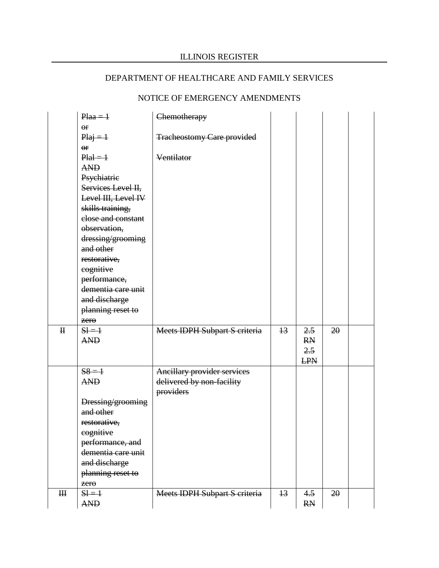# NOTICE OF EMERGENCY AMENDMENTS

|                | $Plaa = 1$          | Chemotherapy                      |                 |            |    |  |
|----------------|---------------------|-----------------------------------|-----------------|------------|----|--|
|                | or                  |                                   |                 |            |    |  |
|                | $Piaj = 1$          | <b>Tracheostomy Care provided</b> |                 |            |    |  |
|                | $\overline{or}$     |                                   |                 |            |    |  |
|                | $P_{\text{tal}}=1$  | Ventilator                        |                 |            |    |  |
|                | <b>AND</b>          |                                   |                 |            |    |  |
|                | Psychiatrie         |                                   |                 |            |    |  |
|                | Services Level II,  |                                   |                 |            |    |  |
|                | Level III, Level IV |                                   |                 |            |    |  |
|                | skills training,    |                                   |                 |            |    |  |
|                | close and constant  |                                   |                 |            |    |  |
|                | observation,        |                                   |                 |            |    |  |
|                | dressing/grooming   |                                   |                 |            |    |  |
|                | and other           |                                   |                 |            |    |  |
|                | restorative,        |                                   |                 |            |    |  |
|                | cognitive           |                                   |                 |            |    |  |
|                | performance,        |                                   |                 |            |    |  |
|                | dementia care unit  |                                   |                 |            |    |  |
|                | and discharge       |                                   |                 |            |    |  |
|                | planning reset to   |                                   |                 |            |    |  |
|                | zero                |                                   |                 |            |    |  |
| $\mathbf H$    | $SI = 1$            | Meets IDPH Subpart S criteria     | $\overline{13}$ | 2.5        | 20 |  |
|                | <b>AND</b>          |                                   |                 | <b>RN</b>  |    |  |
|                |                     |                                   |                 | 2.5        |    |  |
|                |                     |                                   |                 | <b>LPN</b> |    |  |
|                | $58 = 1$            | Ancillary provider services       |                 |            |    |  |
|                | <b>AND</b>          | delivered by non-facility         |                 |            |    |  |
|                |                     | providers                         |                 |            |    |  |
|                | Dressing/grooming   |                                   |                 |            |    |  |
|                | and other           |                                   |                 |            |    |  |
|                | restorative,        |                                   |                 |            |    |  |
|                | eognitive           |                                   |                 |            |    |  |
|                | performance, and    |                                   |                 |            |    |  |
|                | dementia care unit  |                                   |                 |            |    |  |
|                | and discharge       |                                   |                 |            |    |  |
|                | planning reset to   |                                   |                 |            |    |  |
|                | zero                |                                   |                 |            |    |  |
| H <sub>H</sub> | $H = 1$             | Meets IDPH Subpart S criteria     | $+3$            | 4.5        | 20 |  |
|                | <b>AND</b>          |                                   |                 | <b>RN</b>  |    |  |
|                |                     |                                   |                 |            |    |  |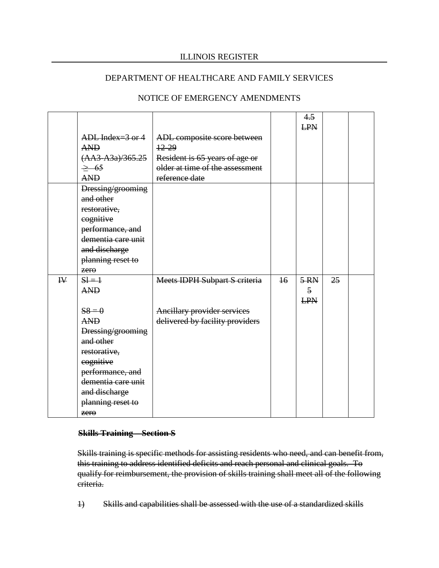## DEPARTMENT OF HEALTHCARE AND FAMILY SERVICES

|   |                       |                                      |                 | 4.5<br><b>LPN</b> |    |  |
|---|-----------------------|--------------------------------------|-----------------|-------------------|----|--|
|   |                       |                                      |                 |                   |    |  |
|   | ADL Index= $3$ or $4$ | ADL composite score between          |                 |                   |    |  |
|   | <b>AND</b>            | $12 - 29$                            |                 |                   |    |  |
|   | $(AA3 - A3a)/365.25$  | Resident is 65 years of age or       |                 |                   |    |  |
|   | $\geq$ 65             | older at time of the assessment      |                 |                   |    |  |
|   | <b>AND</b>            | reference date                       |                 |                   |    |  |
|   | Dressing/grooming     |                                      |                 |                   |    |  |
|   | and other             |                                      |                 |                   |    |  |
|   | restorative,          |                                      |                 |                   |    |  |
|   | cognitive             |                                      |                 |                   |    |  |
|   | performance, and      |                                      |                 |                   |    |  |
|   | dementia care unit    |                                      |                 |                   |    |  |
|   | and discharge         |                                      |                 |                   |    |  |
|   | planning reset to     |                                      |                 |                   |    |  |
|   | $z$ ero               |                                      |                 |                   |    |  |
| W | $S = 1$               | <b>Meets IDPH Subpart S criteria</b> | $\overline{16}$ | $5-RN$            | 25 |  |
|   | <b>AND</b>            |                                      |                 | $\overline{5}$    |    |  |
|   |                       |                                      |                 | <b>LPN</b>        |    |  |
|   | $S_8 = 0$             | <b>Ancillary provider services</b>   |                 |                   |    |  |
|   | <b>AND</b>            | delivered by facility providers      |                 |                   |    |  |
|   | Dressing/grooming     |                                      |                 |                   |    |  |
|   | and other             |                                      |                 |                   |    |  |
|   | restorative,          |                                      |                 |                   |    |  |
|   | eognitive             |                                      |                 |                   |    |  |
|   | performance, and      |                                      |                 |                   |    |  |
|   | dementia care unit    |                                      |                 |                   |    |  |
|   | and discharge         |                                      |                 |                   |    |  |
|   | planning reset to     |                                      |                 |                   |    |  |
|   | zero                  |                                      |                 |                   |    |  |

## NOTICE OF EMERGENCY AMENDMENTS

#### **Skills Training – Section S**

Skills training is specific methods for assisting residents who need, and can benefit from, this training to address identified deficits and reach personal and clinical goals. To qualify for reimbursement, the provision of skills training shall meet all of the following criteria.

1) Skills and capabilities shall be assessed with the use of a standardized skills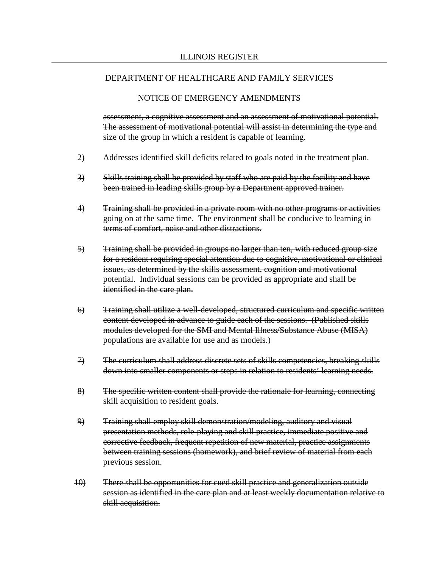#### NOTICE OF EMERGENCY AMENDMENTS

assessment, a cognitive assessment and an assessment of motivational potential. The assessment of motivational potential will assist in determining the type and size of the group in which a resident is capable of learning.

- 2) Addresses identified skill deficits related to goals noted in the treatment plan.
- 3) Skills training shall be provided by staff who are paid by the facility and have been trained in leading skills group by a Department approved trainer.
- 4) Training shall be provided in a private room with no other programs or activities going on at the same time. The environment shall be conducive to learning in terms of comfort, noise and other distractions.
- 5) Training shall be provided in groups no larger than ten, with reduced group size for a resident requiring special attention due to cognitive, motivational or clinical issues, as determined by the skills assessment, cognition and motivational potential. Individual sessions can be provided as appropriate and shall be identified in the care plan.
- 6) Training shall utilize a well-developed, structured curriculum and specific written content developed in advance to guide each of the sessions. (Published skills modules developed for the SMI and Mental Illness/Substance Abuse (MISA) populations are available for use and as models.)
- 7) The curriculum shall address discrete sets of skills competencies, breaking skills down into smaller components or steps in relation to residents' learning needs.
- 8) The specific written content shall provide the rationale for learning, connecting skill acquisition to resident goals.
- 9) Training shall employ skill demonstration/modeling, auditory and visual presentation methods, role-playing and skill practice, immediate positive and corrective feedback, frequent repetition of new material, practice assignments between training sessions (homework), and brief review of material from each previous session.
- 10) There shall be opportunities for cued skill practice and generalization outside session as identified in the care plan and at least weekly documentation relative to skill acquisition.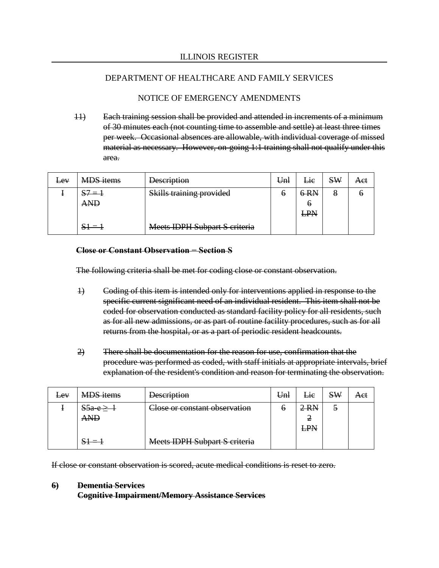### DEPARTMENT OF HEALTHCARE AND FAMILY SERVICES

### NOTICE OF EMERGENCY AMENDMENTS

11) Each training session shall be provided and attended in increments of a minimum of 30 minutes each (not counting time to assemble and settle) at least three times per week. Occasional absences are allowable, with individual coverage of missed material as necessary. However, on-going 1:1 training shall not qualify under this area.

| $E$ <sub>E</sub> $V$ | <b>MDS</b> items        | <b>Description</b>                                              | Unl | Lie | <b>SW</b> | Aet |
|----------------------|-------------------------|-----------------------------------------------------------------|-----|-----|-----------|-----|
|                      | $S7 = 1$                | Cl-ille troining provided<br><del>okins training provided</del> | O   | 6RN | 8         | O   |
|                      | <b>AND</b>              |                                                                 |     | O   |           |     |
|                      |                         |                                                                 |     | LPN |           |     |
|                      | $\overline{\mathbf{u}}$ | <b>Meets IDPH Subpart S criteria</b>                            |     |     |           |     |

#### **Close or Constant Observation − Section S**

The following criteria shall be met for coding close or constant observation.

- 1) Coding of this item is intended only for interventions applied in response to the specific current significant need of an individual resident. This item shall not be coded for observation conducted as standard facility policy for all residents, such as for all new admissions, or as part of routine facility procedures, such as for all returns from the hospital, or as a part of periodic resident headcounts.
- 2) There shall be documentation for the reason for use, confirmation that the procedure was performed as coded, with staff initials at appropriate intervals, brief explanation of the resident's condition and reason for terminating the observation.

| $E$ <sub>E</sub> $V$ | <b>MDS</b> items | <b>Description</b>                   | Unl | Lie                | <b>SW</b> | Aet |
|----------------------|------------------|--------------------------------------|-----|--------------------|-----------|-----|
|                      | $S5a e \ge$      | Close or constant observation        | O   | $2 \, \mathrm{RN}$ | €         |     |
|                      | AND              |                                      |     | 2                  |           |     |
|                      |                  |                                      |     | <b>LPN</b>         |           |     |
|                      |                  | <b>Meets IDPH Subpart S criteria</b> |     |                    |           |     |

If close or constant observation is scored, acute medical conditions is reset to zero.

#### **6) Dementia Services**

**Cognitive Impairment/Memory Assistance Services**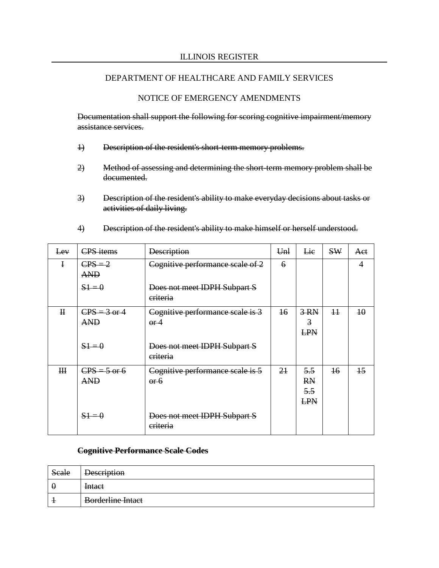#### DEPARTMENT OF HEALTHCARE AND FAMILY SERVICES

#### NOTICE OF EMERGENCY AMENDMENTS

Documentation shall support the following for scoring cognitive impairment/memory assistance services.

- 1) Description of the resident's short-term memory problems.
- 2) Method of assessing and determining the short-term memory problem shall be documented.
- 3) Description of the resident's ability to make everyday decisions about tasks or activities of daily living.

| Eev          | <b>CPS</b> items             | <b>Description</b>                        | Unl             | Lie                            | <b>SW</b>       | Aet             |
|--------------|------------------------------|-------------------------------------------|-----------------|--------------------------------|-----------------|-----------------|
| $\bf{I}$     | $CPS = 2$<br><b>AND</b>      | Cognitive performance scale of 2          | 6               |                                |                 | 4               |
|              | $51 = 0$                     | Does not meet IDPH Subpart S<br>eriteria  |                 |                                |                 |                 |
| $\mathbf{H}$ | $CPS = 3$ or 4<br><b>AND</b> | Cognitive performance scale is 3<br>$-6f$ | $\overline{16}$ | $3-RN$<br>3<br><b>LPN</b>      | H               | $\overline{10}$ |
|              | $51 = 0$                     | Does not meet IDPH Subpart S<br>eriteria  |                 |                                |                 |                 |
| $H\!\!H$     | $CPS = 5$ or 6<br><b>AND</b> | Cognitive performance scale is 5<br>$-6$  | 2 <sub>1</sub>  | 5.5<br><b>RN</b><br>5.5<br>LPN | $\overline{16}$ | $\overline{15}$ |
|              | $51 = 0$                     | Does not meet IDPH Subpart S<br>eriteria  |                 |                                |                 |                 |

4) Description of the resident's ability to make himself or herself understood.

#### **Cognitive Performance Scale Codes**

| Seale    | <b>Description</b>       |
|----------|--------------------------|
| $\theta$ | <b>Intact</b>            |
|          | <b>Borderline Intact</b> |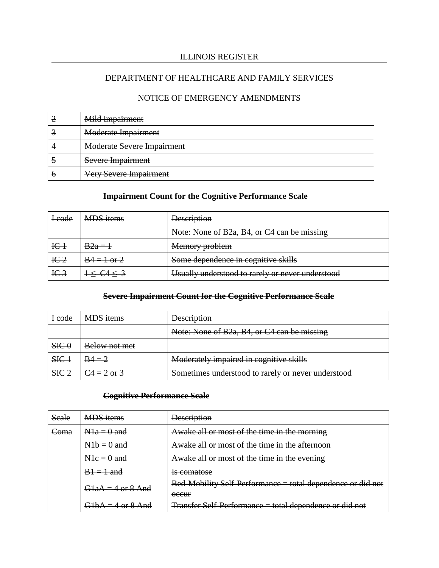# DEPARTMENT OF HEALTHCARE AND FAMILY SERVICES

### NOTICE OF EMERGENCY AMENDMENTS

|   | Mild Impairment                   |
|---|-----------------------------------|
|   | <b>Moderate Impairment</b>        |
|   | <b>Moderate Severe Impairment</b> |
|   | Severe Impairment                 |
| n | <b>Very Severe Impairment</b>     |

## **Impairment Count for the Cognitive Performance Scale**

| <del>I code</del>           | <b>MDS</b> items | <b>Description</b>                               |
|-----------------------------|------------------|--------------------------------------------------|
|                             |                  | Note: None of B2a, B4, or C4 can be missing      |
| $_{\rm IC1}$                | $B2a =$          | Memory problem                                   |
| IC <sub>2</sub>             | $B4 = 1 or 2$    | Some dependence in cognitive skills              |
| $I\left\subset \frac{3}{2}$ |                  | Usually understood to rarely or never understood |

### **Severe Impairment Count for the Cognitive Performance Scale**

| <b>Leode</b>     | <b>MDS</b> items        | <b>Description</b>                                 |
|------------------|-------------------------|----------------------------------------------------|
|                  |                         | Note: None of B2a, B4, or C4 can be missing        |
| SIC <sub>0</sub> | Below not met           |                                                    |
| $SE+$            | $B4 = 2$                | Moderately impaired in cognitive skills            |
| SE <sub>2</sub>  | $C_4 = 2 \text{ or } 3$ | Sometimes understood to rarely or never understood |

### **Cognitive Performance Scale**

| Seale           | <b>MDS</b> items    | <b>Description</b>                                                                  |
|-----------------|---------------------|-------------------------------------------------------------------------------------|
| <del>Coma</del> | $N1a = 0$ and       | Awake all or most of the time in the morning                                        |
|                 | $N1b = 0$ and       | Awake all or most of the time in the afternoon                                      |
|                 | $N1e = 0$ and       | Awake all or most of the time in the evening                                        |
|                 | $B = 1$ and         | <del>Is comatose</del>                                                              |
|                 | $G1aA = 4$ or 8 And | Bed-Mobility Self-Performance = total dependence or did not<br>$0$ <del>CCU</del> F |
|                 | $G1bA = 4$ or 8 And | <b>Transfer Self-Performance = total dependence or did not</b>                      |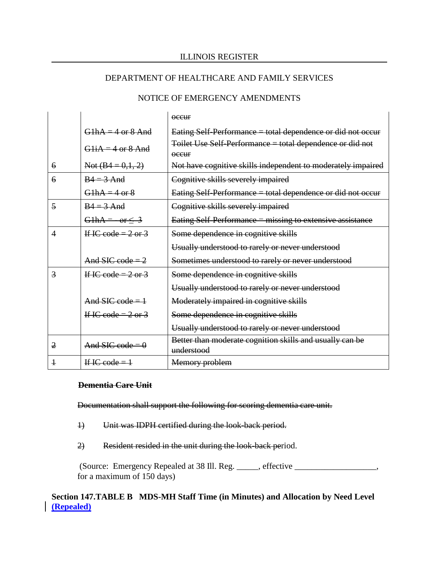#### DEPARTMENT OF HEALTHCARE AND FAMILY SERVICES

#### NOTICE OF EMERGENCY AMENDMENTS

|                |                                | $\alpha$ ceur                                                              |
|----------------|--------------------------------|----------------------------------------------------------------------------|
|                | $G1hA = 4$ or $8$ And          | Eating Self-Performance = total dependence or did not occur                |
|                | $G1iA = 4$ or 8 And            | Toilet Use Self-Performance = total dependence or did not<br>$\alpha$ ceur |
| 6              | Not $(B4 = 0,1, 2)$            | Not have cognitive skills independent to moderately impaired               |
| $\overline{6}$ | $B4 = 3$ And                   | Cognitive skills severely impaired                                         |
|                | $G1hA = 4$ or 8                | Eating Self-Performance = total dependence or did not occur                |
| 5              | $B4 = 3$ And                   | Cognitive skills severely impaired                                         |
|                | G1hA = $-$ or $\leq$ 3         | Eating Self-Performance = missing to extensive assistance                  |
| 4              | If IC code = $2$ or $3$        | Some dependence in cognitive skills                                        |
|                |                                | Usually understood to rarely or never understood                           |
|                | And SIC code $=$ 2             | Sometimes understood to rarely or never understood                         |
| $\overline{3}$ | If IC code = $2$ or $3$        | Some dependence in cognitive skills                                        |
|                |                                | Usually understood to rarely or never understood                           |
|                | And SIC code = $\frac{1}{2}$   | Moderately impaired in cognitive skills                                    |
|                | If IC code = $2 \text{ or } 3$ | Some dependence in cognitive skills                                        |
|                |                                | Usually understood to rarely or never understood                           |
| $\overline{2}$ | And SIC code = $\theta$        | Better than moderate cognition skills and usually can be<br>understood     |
|                | If IC code = $1$               | Memory problem                                                             |

#### **Dementia Care Unit**

Documentation shall support the following for scoring dementia care unit.

- 1) Unit was IDPH certified during the look-back period.
- 2) Resident resided in the unit during the look-back period.

(Source: Emergency Repealed at 38 Ill. Reg. \_\_\_\_\_, effective \_\_\_\_\_\_\_\_\_\_\_\_\_\_\_\_\_\_\_, for a maximum of 150 days)

**Section 147.TABLE B MDS-MH Staff Time (in Minutes) and Allocation by Need Level (Repealed)**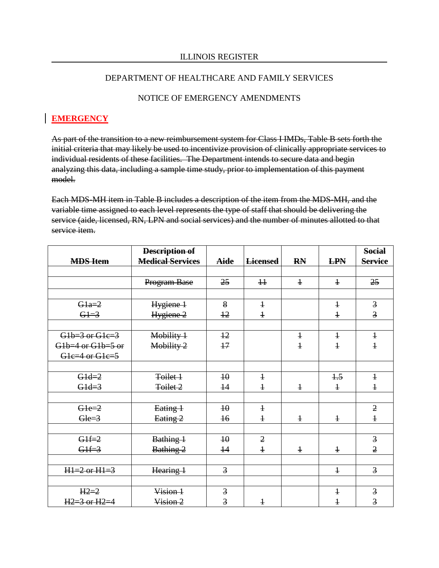### DEPARTMENT OF HEALTHCARE AND FAMILY SERVICES

### NOTICE OF EMERGENCY AMENDMENTS

## **EMERGENCY**

As part of the transition to a new reimbursement system for Class I IMDs, Table B sets forth the initial criteria that may likely be used to incentivize provision of clinically appropriate services to individual residents of these facilities. The Department intends to secure data and begin analyzing this data, including a sample time study, prior to implementation of this payment model.

Each MDS-MH item in Table B includes a description of the item from the MDS-MH, and the variable time assigned to each level represents the type of staff that should be delivering the service (aide, licensed, RN, LPN and social services) and the number of minutes allotted to that service item.

|                         | Description of          |                 |                 |              |                | <b>Social</b>  |
|-------------------------|-------------------------|-----------------|-----------------|--------------|----------------|----------------|
| <b>MDS Item</b>         | <b>Medical Services</b> | <b>Aide</b>     | <b>Licensed</b> | <b>RN</b>    | <b>LPN</b>     | <b>Service</b> |
|                         |                         |                 |                 |              |                |                |
|                         | Program Base            | 25              | $\overline{11}$ | $\ddagger$   | $\ddagger$     | 25             |
|                         |                         |                 |                 |              |                |                |
| $G1a=2$                 | Hygiene 1               | 8               | $\ddagger$      |              | $\ddagger$     | $\overline{3}$ |
| $G1=3$                  | Hygiene <sub>2</sub>    | 12              | $\ddagger$      |              | $\ddagger$     | $\overline{3}$ |
|                         |                         |                 |                 |              |                |                |
| $G1b=3$ or $G1c=3$      | Mobility 1              | $+2$            |                 | $\ddagger$   | $\ddagger$     | $\ddagger$     |
| $G1b=4$ or $G1b=5$ or   | Mobility 2              | 17              |                 | $\mathbf{1}$ | $\overline{1}$ | $\overline{1}$ |
| Gle=4 or Gle=5          |                         |                 |                 |              |                |                |
|                         |                         |                 |                 |              |                |                |
| $G1d=2$                 | Toilet 1                | 40              | $\mathbf{1}$    |              | $+5$           | $\ddagger$     |
| $G1d=3$                 | Toilet 2                | $\overline{14}$ | $\ddagger$      | $\mathbf{1}$ | $\ddagger$     | $\overline{1}$ |
|                         |                         |                 |                 |              |                |                |
| $G1e=2$                 | Eating 1                | 40              | $\ddagger$      |              |                | $\overline{2}$ |
| $Ge=3$                  | Eating <sub>2</sub>     | $\overline{16}$ | $\ddagger$      | $\ddagger$   | $\ddagger$     | $\ddagger$     |
|                         |                         |                 |                 |              |                |                |
| $G1f=2$                 | Bathing 1               | $\overline{40}$ | $\overline{2}$  |              |                | $\overline{3}$ |
| $G1f=3$                 | Bathing 2               | $\overline{14}$ | $\ddagger$      | $\ddagger$   | $\ddagger$     | $\overline{2}$ |
|                         |                         |                 |                 |              |                |                |
| $H1=2 \text{ or } H1=3$ | Hearing 1               | $\overline{3}$  |                 |              | $\ddagger$     | $\overline{3}$ |
|                         |                         |                 |                 |              |                |                |
| $H2=2$                  | Vision 1                | $\overline{3}$  |                 |              | $\mathbf{1}$   | $\overline{3}$ |
| $H2=3$ or $H2=4$        | Vision 2                | $\overline{3}$  | $\mathbf{1}$    |              | $\ddagger$     | $\overline{3}$ |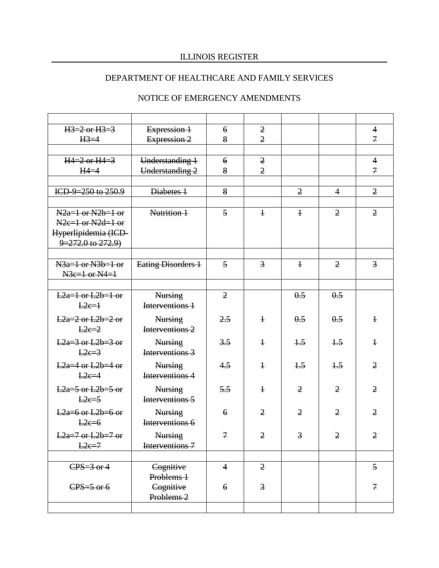# DEPARTMENT OF HEALTHCARE AND FAMILY SERVICES

| $H3=2$ or $H3=3$       | Expression 1                      | $\epsilon$       | $\overline{2}$          |                |                | $\overline{4}$              |
|------------------------|-----------------------------------|------------------|-------------------------|----------------|----------------|-----------------------------|
| $H3=4$                 | Expression 2                      | 8                | $\overline{2}$          |                |                | $\mathcal{I}$               |
|                        |                                   |                  |                         |                |                |                             |
| $H4=2$ or $H4=3$       | Understanding 1                   | $\boldsymbol{6}$ | $\overline{2}$          |                |                | $\overline{4}$              |
| $H4=4$                 | Understanding 2                   | 8                | $\overline{2}$          |                |                | $\mathcal{I}$               |
|                        |                                   |                  |                         |                |                |                             |
| ICD-9=250 to $250.9$   | Diabetes 1                        | 8                |                         | $\overline{2}$ | $\overline{4}$ | $\overline{2}$              |
|                        |                                   |                  |                         |                |                |                             |
| $N2a=1$ or $N2b=1$ or  | Nutrition 1                       | $\overline{5}$   | $\ddagger$              | $\ddagger$     | $\overline{2}$ | $\overline{2}$              |
| $N2e=1$ or $N2d=1$ or  |                                   |                  |                         |                |                |                             |
| Hyperlipidemia (ICD-   |                                   |                  |                         |                |                |                             |
| $9=272.0$ to $272.9$ ) |                                   |                  |                         |                |                |                             |
|                        |                                   |                  |                         |                |                |                             |
| $N3a=1$ or $N3b=1$ or  | Eating Disorders 1                | $\overline{5}$   | $\overline{3}$          | $\ddagger$     | $\overline{2}$ | $\overline{3}$              |
| $N3e=1$ or $N4=1$      |                                   |                  |                         |                |                |                             |
|                        |                                   |                  |                         |                |                |                             |
| $L2a=1$ or $L2b=1$ or  | <b>Nursing</b>                    | $\overline{2}$   |                         | 0.5            | 0.5            |                             |
| $L2e=1$                | Interventions 1                   |                  |                         |                |                |                             |
| $L2a=2$ or $L2b=2$ or  |                                   | 2.5              | $\ddagger$              | 0.5            | 0.5            | $\ddagger$                  |
| $E2e=2$                | <b>Nursing</b><br>Interventions 2 |                  |                         |                |                |                             |
|                        |                                   |                  |                         |                |                |                             |
| $L2a=3$ or $L2b=3$ or  | <b>Nursing</b>                    | 3.5              | $\ddagger$              | $+5$           | $+5$           | $\ddagger$                  |
| $L2e=3$                | Interventions 3                   |                  |                         |                |                |                             |
| $L2a=4$ or $L2b=4$ or  | <b>Nursing</b>                    | 4.5              | $\ddagger$              | $+5$           | $+5$           | $\mathfrak{2}$              |
| $L2e=4$                | Interventions 4                   |                  |                         |                |                |                             |
| $L2a=5$ or $L2b=5$ or  | <b>Nursing</b>                    | 5.5              | $\ddagger$              | $\overline{2}$ | $\overline{2}$ | $\overline{2}$              |
| $L2e=5$                | Interventions 5                   |                  |                         |                |                |                             |
|                        |                                   |                  |                         |                |                |                             |
| $L2a=6$ or $L2b=6$ or  | <b>Nursing</b>                    | $\epsilon$       | $\overline{2}$          | $\overline{2}$ | $\overline{2}$ | $\overline{2}$              |
| $E2e=6$                | Interventions 6                   |                  |                         |                |                |                             |
| $L2a=7$ or $L2b=7$ or  | Nursing                           | $\mathcal I$     | $\overline{2}$          | $\overline{3}$ | $\overline{2}$ | $\mathfrak{2}$              |
| $L2e=7$                | Interventions <sub>7</sub>        |                  |                         |                |                |                             |
|                        |                                   |                  |                         |                |                |                             |
| $CPS = 3$ or 4         | Cognitive                         | $\overline{4}$   | $\overline{2}$          |                |                | $\overline{5}$              |
|                        | Problems 1                        |                  |                         |                |                |                             |
| $CPS = 5$ or 6         | Cognitive                         | $\epsilon$       | $\overline{\mathbf{3}}$ |                |                | $\mathcal{F}_{\mathcal{A}}$ |
|                        | Problems 2                        |                  |                         |                |                |                             |
|                        |                                   |                  |                         |                |                |                             |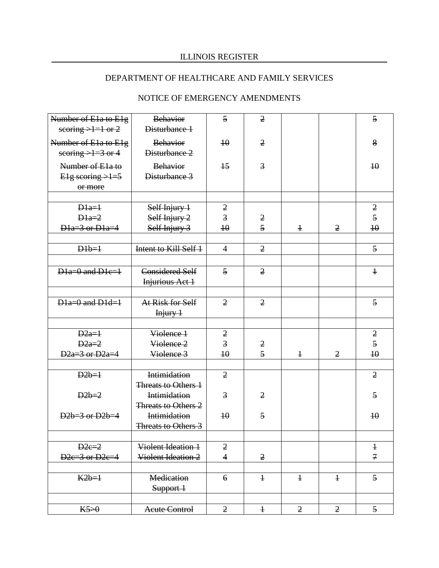# DEPARTMENT OF HEALTHCARE AND FAMILY SERVICES

| Number of E1a to E1g                       | <b>Behavior</b>                            | $\overline{5}$  | $\overline{2}$ |                |                | 5               |
|--------------------------------------------|--------------------------------------------|-----------------|----------------|----------------|----------------|-----------------|
| scoring $>1=1$ or 2                        | Disturbance 1                              |                 |                |                |                |                 |
| Number of E1a to E1g                       | <b>Behavior</b>                            | $\overline{10}$ | $\overline{2}$ |                |                | 8               |
| scoring $>1=3$ or 4                        | Disturbance 2                              |                 |                |                |                |                 |
| Number of E <sub>1a</sub> to               | <b>Behavior</b>                            | $\overline{15}$ | $\overline{3}$ |                |                | 40              |
| E <sub>1</sub> g scoring $\rightarrow$ 1=5 | Disturbance 3                              |                 |                |                |                |                 |
| or more                                    |                                            |                 |                |                |                |                 |
|                                            |                                            |                 |                |                |                |                 |
| $D1a=1$                                    | Self Injury 1                              | $\overline{2}$  |                |                |                | $\overline{2}$  |
| $D1a=2$                                    | Self Injury 2                              | $\overline{3}$  | $\overline{2}$ |                |                | 5               |
| $D1a=3$ or $D1a=4$                         | Self Injury 3                              | $\overline{10}$ | 5              | $\ddagger$     | $\overline{2}$ | $\overline{40}$ |
|                                            |                                            |                 |                |                |                |                 |
| $D1b=1$                                    | Intent to Kill Self 1                      | $\overline{4}$  | $\overline{2}$ |                |                | $\overline{5}$  |
|                                            |                                            |                 |                |                |                |                 |
| $D1a=0$ and $D1c=1$                        | <b>Considered Self</b>                     | $\overline{5}$  | $\overline{2}$ |                |                | $\overline{1}$  |
|                                            | Injurious Act 1                            |                 |                |                |                |                 |
| $D1a=0$ and $D1d=1$                        | At Risk for Self                           | $\overline{2}$  | $\overline{2}$ |                |                | 5               |
|                                            | $I$ njury $1$                              |                 |                |                |                |                 |
|                                            |                                            |                 |                |                |                |                 |
| $D2a=1$                                    | Violence 1                                 | $\overline{2}$  |                |                |                | $\overline{2}$  |
| $D2a=2$                                    | Violence 2                                 | $\overline{3}$  | $\overline{2}$ |                |                | $\overline{5}$  |
| $D2a=3$ or $D2a=4$                         | Violence 3                                 | 40              | $\overline{5}$ | $\ddagger$     | 2              | 40              |
|                                            |                                            |                 |                |                |                |                 |
| $D2b=1$                                    | Intimidation                               | $\overline{2}$  |                |                |                | $\overline{2}$  |
|                                            | Threats to Others 1                        |                 |                |                |                |                 |
| $D2b=2$                                    | <b>Intimidation</b>                        | $\overline{3}$  | $\overline{2}$ |                |                | $\overline{5}$  |
|                                            | Threats to Others 2                        |                 |                |                |                |                 |
| $D2b=3$ or $D2b=4$                         | Intimidation<br><b>Threats to Others 3</b> | 40              | $\overline{5}$ |                |                | 40              |
|                                            |                                            |                 |                |                |                |                 |
| $D2e=2$                                    | Violent Ideation 1                         | $\overline{2}$  |                |                |                | $\ddagger$      |
| $D2e=3$ or $D2e=4$                         | Violent Ideation 2                         | $\overline{4}$  | $\overline{2}$ |                |                | $\overline{7}$  |
|                                            |                                            |                 |                |                |                |                 |
| $K2b=1$                                    | <b>Medication</b>                          | 6               | $\ddagger$     | $\ddagger$     | $\ddagger$     | $\overline{5}$  |
|                                            | Support 1                                  |                 |                |                |                |                 |
|                                            |                                            |                 |                |                |                |                 |
| $K5=0$                                     | <b>Acute Control</b>                       | $\overline{2}$  | $\ddagger$     | $\overline{2}$ | $\overline{2}$ | $\overline{5}$  |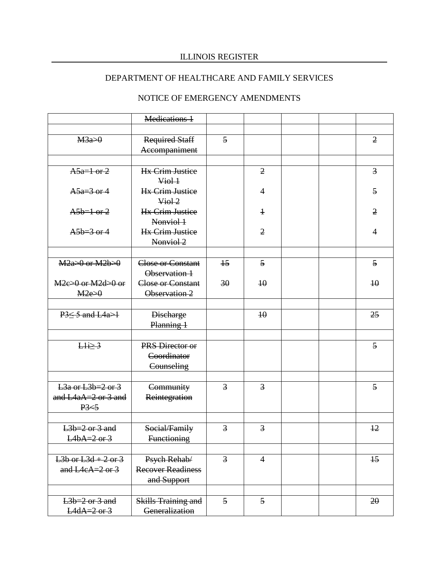# DEPARTMENT OF HEALTHCARE AND FAMILY SERVICES

|                                                               | <b>Medications 1</b>                             |                |                 |  |                 |
|---------------------------------------------------------------|--------------------------------------------------|----------------|-----------------|--|-----------------|
|                                                               |                                                  |                |                 |  |                 |
| M3a>0                                                         | <b>Required Staff</b><br>Accompaniment           | $\overline{5}$ |                 |  | $\overline{2}$  |
|                                                               |                                                  |                |                 |  |                 |
| $A5a=1$ or 2                                                  | <b>Hx Crim Justice</b><br>Viol 1                 |                | $\overline{2}$  |  | 3               |
| $A5a=3$ or 4                                                  | <b>Hx Crim Justice</b><br>$Viol-2$               |                | 4               |  | $\overline{5}$  |
| $A5b=1$ or 2                                                  | <b>Hx Crim Justice</b><br>Nonviol 1              |                | $\overline{1}$  |  | $\overline{2}$  |
| $A5b=3$ or 4                                                  | <b>Hx Crim Justice</b><br>Nonviol 2              |                | $\overline{2}$  |  | 4               |
|                                                               |                                                  |                |                 |  |                 |
| $M2a>0$ or $M2b>0$                                            | <b>Close or Constant</b><br>Observation 1        | $+5$           | $\overline{5}$  |  | 5               |
| $M2e>0$ or $M2d>0$ or                                         | <b>Close or Constant</b>                         | 30             | $\overline{10}$ |  | 40              |
| M2e>0                                                         | Observation 2                                    |                |                 |  |                 |
|                                                               |                                                  |                |                 |  |                 |
| $P3 \le 5$ and $L4a > 1$                                      | <b>Discharge</b><br>Planning 1                   |                | $\overline{10}$ |  | 25              |
| $H i \geq 3$                                                  | PRS Director or                                  |                |                 |  | 5               |
|                                                               | Coordinator<br>Counseling                        |                |                 |  |                 |
|                                                               |                                                  |                |                 |  |                 |
| $L3a$ or $L3b=2$ or 3<br>and $LAaA=2$ or 3 and<br>$P3 \leq 5$ | Community<br>Reintegration                       | $\overline{3}$ | $\overline{3}$  |  | $\overline{5}$  |
|                                                               |                                                  |                |                 |  |                 |
| $L3b=2$ or 3 and<br>$L4bA=2$ or 3                             | Social/Family<br><b>Functioning</b>              | $\overline{3}$ | $\overline{3}$  |  | $\overline{12}$ |
|                                                               |                                                  |                |                 |  |                 |
| $L3b$ or $L3d + 2$ or 3<br>and $L4eA=2$ or 3                  | Psych Rehab/<br>Recover Readiness<br>and Support | $\overline{3}$ | $\overline{4}$  |  | $\overline{15}$ |
|                                                               |                                                  |                |                 |  |                 |
| $L3b=2$ or 3 and<br>$L4dA=2$ or 3                             | <b>Skills Training and</b><br>Generalization     | 5              | 5               |  | 20              |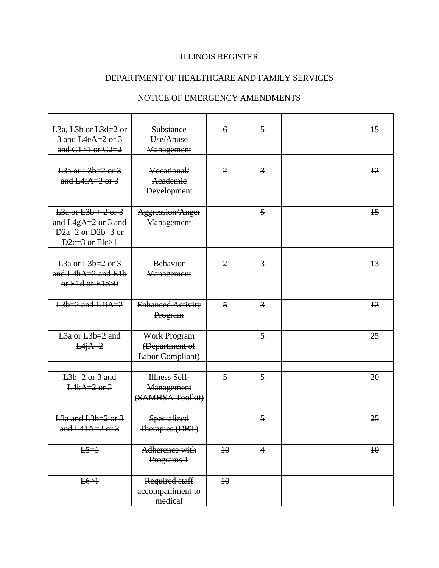# DEPARTMENT OF HEALTHCARE AND FAMILY SERVICES

| $L3a$ , $L3b$ or $L3d=2$ or               | <b>Substance</b>         | $\epsilon$      | $\overline{5}$ |  | $\overline{15}$ |
|-------------------------------------------|--------------------------|-----------------|----------------|--|-----------------|
| $3$ and L4eA= $2$ or $3$                  | Use/Abuse                |                 |                |  |                 |
| and $C1 > 1$ or $C2 = 2$                  | Management               |                 |                |  |                 |
|                                           |                          |                 |                |  |                 |
| $L3a$ or $L3b=2$ or $3$                   | Vocational/              | $\overline{2}$  | $\overline{3}$ |  | $\frac{12}{2}$  |
| and L4fA= $2$ or $3$                      | Academie                 |                 |                |  |                 |
|                                           | <b>Development</b>       |                 |                |  |                 |
|                                           |                          |                 |                |  |                 |
| $\frac{13a}{a}$ or $\frac{13b+2}{a}$ or 3 | <b>Aggression/Anger</b>  |                 | 5              |  | $\overline{15}$ |
| and $L4gA=2$ or 3 and                     | Management               |                 |                |  |                 |
| $D2a=2$ or $D2b=3$ or                     |                          |                 |                |  |                 |
| $D2e=3$ or $E1e>1$                        |                          |                 |                |  |                 |
|                                           |                          |                 |                |  |                 |
| $L3a$ or $L3b=2$ or $3$                   | <b>Behavior</b>          | $\overline{2}$  | $\overline{3}$ |  | $\overline{13}$ |
| and $L4hA=2$ and $E1h$                    | Management               |                 |                |  |                 |
| $or$ Eld or Ele> $\theta$                 |                          |                 |                |  |                 |
|                                           |                          |                 |                |  |                 |
| $L3b=2$ and $L4iA=2$                      | <b>Enhanced Activity</b> | $\overline{5}$  | $\overline{3}$ |  | $+2$            |
|                                           | Program                  |                 |                |  |                 |
|                                           |                          |                 |                |  |                 |
| L <sub>3a</sub> or L <sub>3b</sub> =2 and | Work Program             |                 | 5              |  | 25              |
| $L4A=2$                                   | (Department of           |                 |                |  |                 |
|                                           | Labor Compliant)         |                 |                |  |                 |
|                                           |                          |                 |                |  |                 |
| $L3b=2$ or 3 and                          | Illness Self-            | $\overline{5}$  | 5              |  | 20              |
| $L4kA=2$ or 3                             | Management               |                 |                |  |                 |
|                                           | (SAMHSA Toolkit)         |                 |                |  |                 |
|                                           |                          |                 |                |  |                 |
| $L3a$ and $L3b=2$ or 3                    | Specialized              |                 | $\overline{5}$ |  | 25              |
| and $LA1A=2$ or 3                         | Therapies (DBT)          |                 |                |  |                 |
|                                           |                          |                 |                |  |                 |
| $L5=1$                                    | Adherence with           | $\overline{40}$ | $\overline{4}$ |  | $\overline{10}$ |
|                                           | Programs 1               |                 |                |  |                 |
|                                           |                          |                 |                |  |                 |
| L6 <sub>21</sub>                          | Required staff           | $\overline{10}$ |                |  |                 |
|                                           | accompaniment to         |                 |                |  |                 |
|                                           | medical                  |                 |                |  |                 |